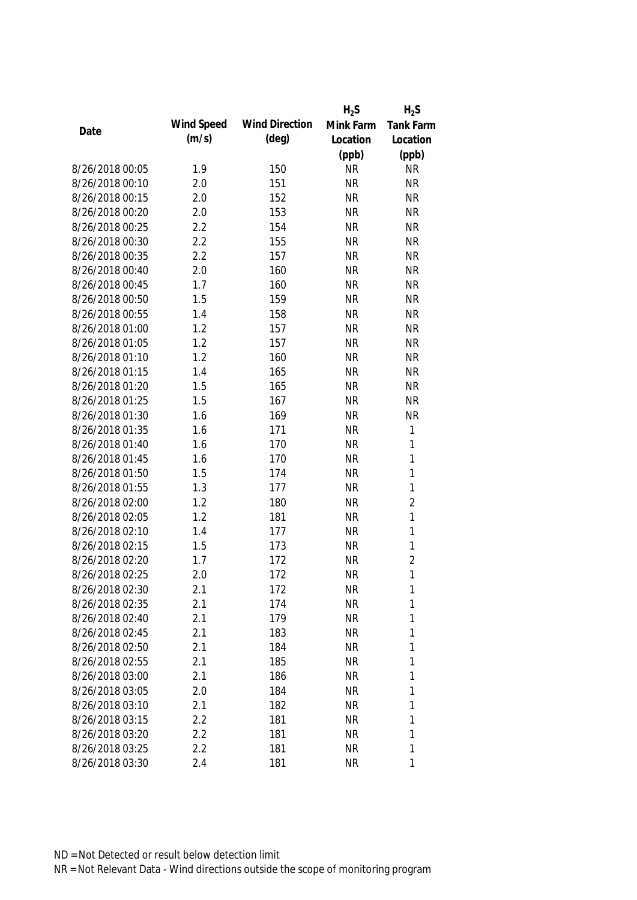|                 |            |                       | $H_2S$    | $H_2S$         |
|-----------------|------------|-----------------------|-----------|----------------|
|                 | Wind Speed | <b>Wind Direction</b> | Mink Farm | Tank Farm      |
| Date            | (m/s)      | $(\text{deg})$        | Location  | Location       |
|                 |            |                       | (ppb)     | (ppb)          |
| 8/26/2018 00:05 | 1.9        | 150                   | <b>NR</b> | <b>NR</b>      |
| 8/26/2018 00:10 | 2.0        | 151                   | <b>NR</b> | <b>NR</b>      |
| 8/26/2018 00:15 | 2.0        | 152                   | <b>NR</b> | <b>NR</b>      |
| 8/26/2018 00:20 | 2.0        | 153                   | <b>NR</b> | <b>NR</b>      |
| 8/26/2018 00:25 | 2.2        | 154                   | <b>NR</b> | <b>NR</b>      |
| 8/26/2018 00:30 | 2.2        | 155                   | <b>NR</b> | <b>NR</b>      |
| 8/26/2018 00:35 | 2.2        | 157                   | <b>NR</b> | <b>NR</b>      |
| 8/26/2018 00:40 | 2.0        | 160                   | <b>NR</b> | <b>NR</b>      |
| 8/26/2018 00:45 | 1.7        | 160                   | <b>NR</b> | <b>NR</b>      |
| 8/26/2018 00:50 | 1.5        | 159                   | <b>NR</b> | <b>NR</b>      |
| 8/26/2018 00:55 | 1.4        | 158                   | <b>NR</b> | <b>NR</b>      |
| 8/26/2018 01:00 | 1.2        | 157                   | <b>NR</b> | <b>NR</b>      |
| 8/26/2018 01:05 | 1.2        | 157                   | <b>NR</b> | <b>NR</b>      |
| 8/26/2018 01:10 | 1.2        | 160                   | <b>NR</b> | <b>NR</b>      |
| 8/26/2018 01:15 | 1.4        | 165                   | <b>NR</b> | <b>NR</b>      |
| 8/26/2018 01:20 | 1.5        | 165                   | <b>NR</b> | <b>NR</b>      |
| 8/26/2018 01:25 | 1.5        | 167                   | <b>NR</b> | <b>NR</b>      |
| 8/26/2018 01:30 | 1.6        | 169                   | <b>NR</b> | <b>NR</b>      |
| 8/26/2018 01:35 | 1.6        | 171                   | <b>NR</b> | $\mathbf{1}$   |
| 8/26/2018 01:40 | 1.6        | 170                   | <b>NR</b> | $\mathbf{1}$   |
| 8/26/2018 01:45 | 1.6        | 170                   | <b>NR</b> | $\mathbf{1}$   |
| 8/26/2018 01:50 | 1.5        | 174                   | <b>NR</b> | $\mathbf{1}$   |
| 8/26/2018 01:55 | 1.3        | 177                   | <b>NR</b> | $\mathbf{1}$   |
| 8/26/2018 02:00 | 1.2        | 180                   | <b>NR</b> | $\overline{2}$ |
| 8/26/2018 02:05 | 1.2        | 181                   | <b>NR</b> | $\mathbf{1}$   |
| 8/26/2018 02:10 | 1.4        | 177                   | <b>NR</b> | $\mathbf{1}$   |
| 8/26/2018 02:15 | 1.5        | 173                   | <b>NR</b> | $\mathbf{1}$   |
| 8/26/2018 02:20 | 1.7        | 172                   | <b>NR</b> | $\overline{2}$ |
| 8/26/2018 02:25 | 2.0        | 172                   | <b>NR</b> | $\mathbf{1}$   |
| 8/26/2018 02:30 | 2.1        | 172                   | <b>NR</b> | $\mathbf{1}$   |
| 8/26/2018 02:35 | 2.1        | 174                   | <b>NR</b> | 1              |
| 8/26/2018 02:40 | 2.1        | 179                   | <b>NR</b> | 1              |
| 8/26/2018 02:45 | 2.1        | 183                   | <b>NR</b> | 1              |
| 8/26/2018 02:50 | 2.1        | 184                   | <b>NR</b> | 1              |
| 8/26/2018 02:55 | 2.1        | 185                   | <b>NR</b> | 1              |
| 8/26/2018 03:00 | 2.1        | 186                   | <b>NR</b> | 1              |
| 8/26/2018 03:05 | 2.0        | 184                   | <b>NR</b> | 1              |
| 8/26/2018 03:10 | 2.1        | 182                   | <b>NR</b> | 1              |
| 8/26/2018 03:15 | 2.2        | 181                   | <b>NR</b> | 1              |
| 8/26/2018 03:20 | 2.2        | 181                   | <b>NR</b> | 1              |
| 8/26/2018 03:25 | 2.2        | 181                   | <b>NR</b> | 1              |
| 8/26/2018 03:30 | 2.4        | 181                   | <b>NR</b> | 1              |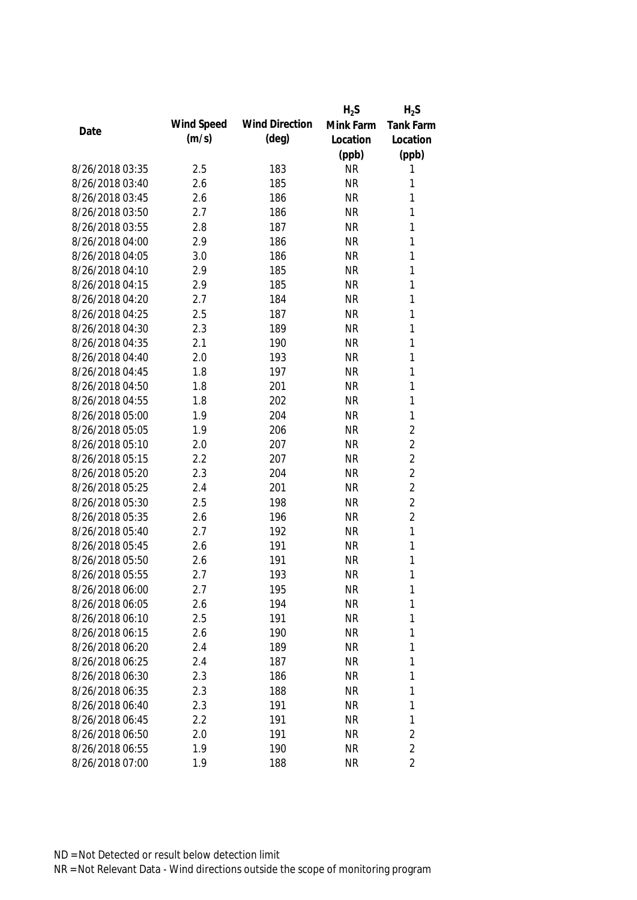|                 |            |                       | $H_2S$    | $H_2S$           |
|-----------------|------------|-----------------------|-----------|------------------|
| Date            | Wind Speed | <b>Wind Direction</b> | Mink Farm | <b>Tank Farm</b> |
|                 | (m/s)      | $(\text{deg})$        | Location  | Location         |
|                 |            |                       | (ppb)     | (ppb)            |
| 8/26/2018 03:35 | 2.5        | 183                   | <b>NR</b> | 1                |
| 8/26/2018 03:40 | 2.6        | 185                   | <b>NR</b> | 1                |
| 8/26/2018 03:45 | 2.6        | 186                   | <b>NR</b> | 1                |
| 8/26/2018 03:50 | 2.7        | 186                   | <b>NR</b> | 1                |
| 8/26/2018 03:55 | 2.8        | 187                   | <b>NR</b> | 1                |
| 8/26/2018 04:00 | 2.9        | 186                   | <b>NR</b> | $\mathbf{1}$     |
| 8/26/2018 04:05 | 3.0        | 186                   | <b>NR</b> | $\mathbf{1}$     |
| 8/26/2018 04:10 | 2.9        | 185                   | <b>NR</b> | $\mathbf{1}$     |
| 8/26/2018 04:15 | 2.9        | 185                   | <b>NR</b> | $\mathbf{1}$     |
| 8/26/2018 04:20 | 2.7        | 184                   | <b>NR</b> | 1                |
| 8/26/2018 04:25 | 2.5        | 187                   | <b>NR</b> | 1                |
| 8/26/2018 04:30 | 2.3        | 189                   | <b>NR</b> | $\mathbf{1}$     |
| 8/26/2018 04:35 | 2.1        | 190                   | <b>NR</b> | 1                |
| 8/26/2018 04:40 | 2.0        | 193                   | <b>NR</b> | $\mathbf{1}$     |
| 8/26/2018 04:45 | 1.8        | 197                   | <b>NR</b> | $\mathbf{1}$     |
| 8/26/2018 04:50 | 1.8        | 201                   | <b>NR</b> | $\mathbf{1}$     |
| 8/26/2018 04:55 | 1.8        | 202                   | <b>NR</b> | 1                |
| 8/26/2018 05:00 | 1.9        | 204                   | <b>NR</b> | $\mathbf{1}$     |
| 8/26/2018 05:05 | 1.9        | 206                   | <b>NR</b> | $\overline{2}$   |
| 8/26/2018 05:10 | 2.0        | 207                   | <b>NR</b> | $\overline{2}$   |
| 8/26/2018 05:15 | 2.2        | 207                   | <b>NR</b> | $\overline{2}$   |
| 8/26/2018 05:20 | 2.3        | 204                   | <b>NR</b> | $\overline{2}$   |
| 8/26/2018 05:25 | 2.4        | 201                   | <b>NR</b> | $\overline{2}$   |
| 8/26/2018 05:30 | 2.5        | 198                   | <b>NR</b> | $\overline{2}$   |
| 8/26/2018 05:35 | 2.6        | 196                   | <b>NR</b> | $\overline{2}$   |
| 8/26/2018 05:40 | 2.7        | 192                   | <b>NR</b> | $\mathbf{1}$     |
| 8/26/2018 05:45 | 2.6        | 191                   | <b>NR</b> | 1                |
| 8/26/2018 05:50 | 2.6        | 191                   | <b>NR</b> | 1                |
| 8/26/2018 05:55 | 2.7        | 193                   | <b>NR</b> | 1                |
| 8/26/2018 06:00 | 2.7        | 195                   | <b>NR</b> | 1                |
| 8/26/2018 06:05 | 2.6        | 194                   | <b>NR</b> | 1                |
| 8/26/2018 06:10 | 2.5        | 191                   | <b>NR</b> | 1                |
| 8/26/2018 06:15 | 2.6        | 190                   | <b>NR</b> | 1                |
| 8/26/2018 06:20 | 2.4        | 189                   | <b>NR</b> | 1                |
| 8/26/2018 06:25 | 2.4        | 187                   | <b>NR</b> | $\mathbf{1}$     |
| 8/26/2018 06:30 | 2.3        | 186                   | <b>NR</b> | $\mathbf{1}$     |
| 8/26/2018 06:35 | 2.3        | 188                   | <b>NR</b> | $\mathbf{1}$     |
| 8/26/2018 06:40 | 2.3        | 191                   | <b>NR</b> | $\mathbf{1}$     |
| 8/26/2018 06:45 | 2.2        | 191                   | <b>NR</b> | $\mathbf{1}$     |
| 8/26/2018 06:50 | 2.0        | 191                   | <b>NR</b> | $\overline{2}$   |
| 8/26/2018 06:55 | 1.9        | 190                   | <b>NR</b> | $\overline{2}$   |
| 8/26/2018 07:00 | 1.9        | 188                   | <b>NR</b> | $\overline{2}$   |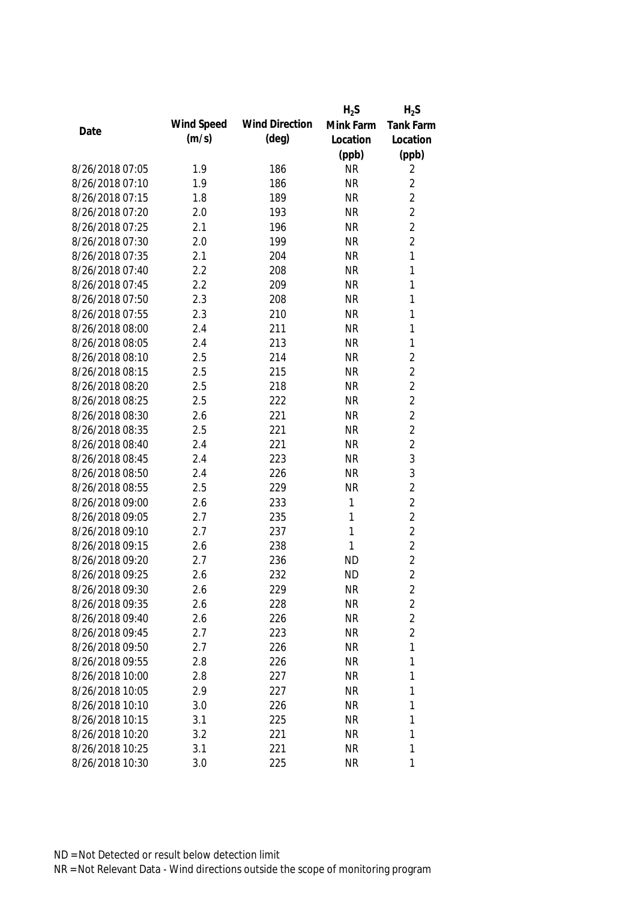|                 |            |                       | $H_2S$    | $H_2S$           |
|-----------------|------------|-----------------------|-----------|------------------|
| Date            | Wind Speed | <b>Wind Direction</b> | Mink Farm | <b>Tank Farm</b> |
|                 | (m/s)      | $(\text{deg})$        | Location  | Location         |
|                 |            |                       | (ppb)     | (ppb)            |
| 8/26/2018 07:05 | 1.9        | 186                   | <b>NR</b> | 2                |
| 8/26/2018 07:10 | 1.9        | 186                   | <b>NR</b> | $\overline{2}$   |
| 8/26/2018 07:15 | 1.8        | 189                   | <b>NR</b> | $\overline{2}$   |
| 8/26/2018 07:20 | 2.0        | 193                   | <b>NR</b> | $\overline{2}$   |
| 8/26/2018 07:25 | 2.1        | 196                   | <b>NR</b> | $\overline{2}$   |
| 8/26/2018 07:30 | 2.0        | 199                   | <b>NR</b> | $\overline{2}$   |
| 8/26/2018 07:35 | 2.1        | 204                   | <b>NR</b> | $\mathbf{1}$     |
| 8/26/2018 07:40 | 2.2        | 208                   | <b>NR</b> | 1                |
| 8/26/2018 07:45 | 2.2        | 209                   | <b>NR</b> | 1                |
| 8/26/2018 07:50 | 2.3        | 208                   | <b>NR</b> | 1                |
| 8/26/2018 07:55 | 2.3        | 210                   | <b>NR</b> | 1                |
| 8/26/2018 08:00 | 2.4        | 211                   | <b>NR</b> | 1                |
| 8/26/2018 08:05 | 2.4        | 213                   | <b>NR</b> | 1                |
| 8/26/2018 08:10 | 2.5        | 214                   | <b>NR</b> | $\overline{2}$   |
| 8/26/2018 08:15 | 2.5        | 215                   | <b>NR</b> | $\overline{2}$   |
| 8/26/2018 08:20 | 2.5        | 218                   | <b>NR</b> | $\overline{2}$   |
| 8/26/2018 08:25 | 2.5        | 222                   | <b>NR</b> | $\overline{2}$   |
| 8/26/2018 08:30 | 2.6        | 221                   | <b>NR</b> | $\overline{2}$   |
| 8/26/2018 08:35 | 2.5        | 221                   | <b>NR</b> | $\overline{2}$   |
| 8/26/2018 08:40 | 2.4        | 221                   | <b>NR</b> | $\overline{2}$   |
| 8/26/2018 08:45 | 2.4        | 223                   | <b>NR</b> | 3                |
| 8/26/2018 08:50 | 2.4        | 226                   | <b>NR</b> | $\mathfrak{Z}$   |
| 8/26/2018 08:55 | 2.5        | 229                   | <b>NR</b> | $\overline{2}$   |
| 8/26/2018 09:00 | 2.6        | 233                   | 1         | $\overline{2}$   |
| 8/26/2018 09:05 | 2.7        | 235                   | 1         | $\overline{2}$   |
| 8/26/2018 09:10 | 2.7        | 237                   | 1         | $\overline{2}$   |
| 8/26/2018 09:15 | 2.6        | 238                   | 1         | $\overline{2}$   |
| 8/26/2018 09:20 | 2.7        | 236                   | <b>ND</b> | $\overline{2}$   |
| 8/26/2018 09:25 | 2.6        | 232                   | <b>ND</b> | $\overline{2}$   |
| 8/26/2018 09:30 | 2.6        | 229                   | <b>NR</b> | 2                |
| 8/26/2018 09:35 | 2.6        | 228                   | <b>NR</b> | $\overline{c}$   |
| 8/26/2018 09:40 | 2.6        | 226                   | <b>NR</b> | $\overline{2}$   |
| 8/26/2018 09:45 | 2.7        | 223                   | <b>NR</b> | $\overline{2}$   |
| 8/26/2018 09:50 | 2.7        | 226                   | <b>NR</b> | 1                |
| 8/26/2018 09:55 | 2.8        | 226                   | <b>NR</b> | 1                |
| 8/26/2018 10:00 | 2.8        | 227                   | <b>NR</b> | 1                |
| 8/26/2018 10:05 | 2.9        | 227                   | <b>NR</b> | 1                |
| 8/26/2018 10:10 | 3.0        | 226                   | <b>NR</b> | 1                |
| 8/26/2018 10:15 | 3.1        | 225                   | <b>NR</b> | 1                |
| 8/26/2018 10:20 | 3.2        | 221                   | <b>NR</b> | 1                |
| 8/26/2018 10:25 | 3.1        | 221                   | <b>NR</b> | 1                |
| 8/26/2018 10:30 | 3.0        | 225                   | <b>NR</b> | 1                |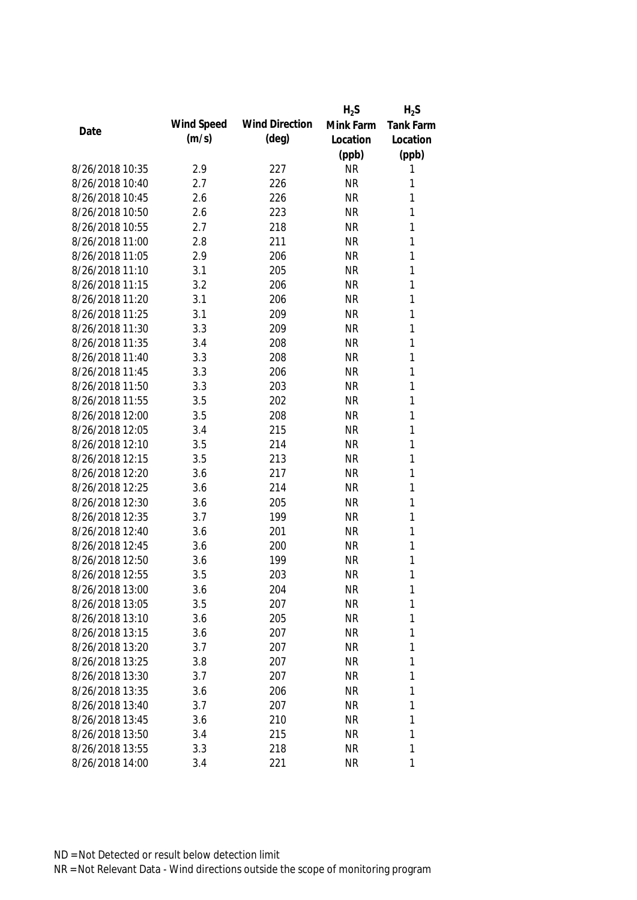|                 |            |                       | $H_2S$    | $H_2S$           |
|-----------------|------------|-----------------------|-----------|------------------|
| Date            | Wind Speed | <b>Wind Direction</b> | Mink Farm | <b>Tank Farm</b> |
|                 | (m/s)      | $(\text{deg})$        | Location  | Location         |
|                 |            |                       | (ppb)     | (ppb)            |
| 8/26/2018 10:35 | 2.9        | 227                   | <b>NR</b> | 1                |
| 8/26/2018 10:40 | 2.7        | 226                   | <b>NR</b> | 1                |
| 8/26/2018 10:45 | 2.6        | 226                   | <b>NR</b> | 1                |
| 8/26/2018 10:50 | 2.6        | 223                   | <b>NR</b> | 1                |
| 8/26/2018 10:55 | 2.7        | 218                   | <b>NR</b> | 1                |
| 8/26/2018 11:00 | 2.8        | 211                   | <b>NR</b> | $\mathbf{1}$     |
| 8/26/2018 11:05 | 2.9        | 206                   | <b>NR</b> | $\mathbf{1}$     |
| 8/26/2018 11:10 | 3.1        | 205                   | <b>NR</b> | 1                |
| 8/26/2018 11:15 | 3.2        | 206                   | <b>NR</b> | 1                |
| 8/26/2018 11:20 | 3.1        | 206                   | <b>NR</b> | 1                |
| 8/26/2018 11:25 | 3.1        | 209                   | <b>NR</b> | 1                |
| 8/26/2018 11:30 | 3.3        | 209                   | <b>NR</b> | 1                |
| 8/26/2018 11:35 | 3.4        | 208                   | <b>NR</b> | 1                |
| 8/26/2018 11:40 | 3.3        | 208                   | <b>NR</b> | 1                |
| 8/26/2018 11:45 | 3.3        | 206                   | <b>NR</b> | $\mathbf{1}$     |
| 8/26/2018 11:50 | 3.3        | 203                   | <b>NR</b> | $\mathbf{1}$     |
| 8/26/2018 11:55 | 3.5        | 202                   | <b>NR</b> | 1                |
| 8/26/2018 12:00 | 3.5        | 208                   | <b>NR</b> | 1                |
| 8/26/2018 12:05 | 3.4        | 215                   | <b>NR</b> | 1                |
| 8/26/2018 12:10 | 3.5        | 214                   | <b>NR</b> | 1                |
| 8/26/2018 12:15 | 3.5        | 213                   | <b>NR</b> | 1                |
| 8/26/2018 12:20 | 3.6        | 217                   | <b>NR</b> | 1                |
| 8/26/2018 12:25 | 3.6        | 214                   | <b>NR</b> | 1                |
| 8/26/2018 12:30 | 3.6        | 205                   | <b>NR</b> | $\mathbf{1}$     |
| 8/26/2018 12:35 | 3.7        | 199                   | <b>NR</b> | 1                |
| 8/26/2018 12:40 | 3.6        | 201                   | <b>NR</b> | 1                |
| 8/26/2018 12:45 | 3.6        | 200                   | <b>NR</b> | 1                |
| 8/26/2018 12:50 | 3.6        | 199                   | <b>NR</b> | 1                |
| 8/26/2018 12:55 | 3.5        | 203                   | <b>NR</b> | 1                |
| 8/26/2018 13:00 | 3.6        | 204                   | <b>NR</b> | 1                |
| 8/26/2018 13:05 | 3.5        | 207                   | <b>NR</b> | 1                |
| 8/26/2018 13:10 | 3.6        | 205                   | <b>NR</b> | 1                |
| 8/26/2018 13:15 | 3.6        | 207                   | <b>NR</b> | 1                |
| 8/26/2018 13:20 | 3.7        | 207                   | <b>NR</b> | 1                |
| 8/26/2018 13:25 | 3.8        | 207                   | <b>NR</b> | 1                |
| 8/26/2018 13:30 | 3.7        | 207                   | <b>NR</b> | 1                |
| 8/26/2018 13:35 | 3.6        | 206                   | <b>NR</b> | 1                |
| 8/26/2018 13:40 | 3.7        | 207                   | <b>NR</b> | 1                |
| 8/26/2018 13:45 | 3.6        | 210                   | <b>NR</b> | 1                |
| 8/26/2018 13:50 | 3.4        | 215                   | <b>NR</b> | 1                |
| 8/26/2018 13:55 | 3.3        | 218                   | <b>NR</b> | 1                |
| 8/26/2018 14:00 | 3.4        | 221                   | <b>NR</b> | 1                |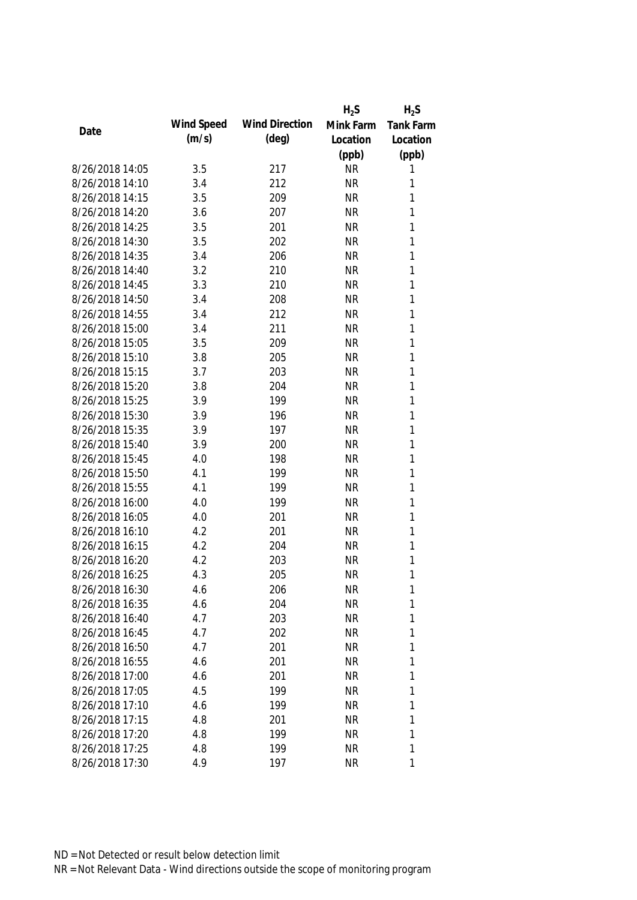|                 |            |                       | $H_2S$    | $H_2S$           |
|-----------------|------------|-----------------------|-----------|------------------|
| Date            | Wind Speed | <b>Wind Direction</b> | Mink Farm | <b>Tank Farm</b> |
|                 | (m/s)      | $(\text{deg})$        | Location  | Location         |
|                 |            |                       | (ppb)     | (ppb)            |
| 8/26/2018 14:05 | 3.5        | 217                   | <b>NR</b> | 1                |
| 8/26/2018 14:10 | 3.4        | 212                   | <b>NR</b> | 1                |
| 8/26/2018 14:15 | 3.5        | 209                   | <b>NR</b> | 1                |
| 8/26/2018 14:20 | 3.6        | 207                   | <b>NR</b> | 1                |
| 8/26/2018 14:25 | 3.5        | 201                   | <b>NR</b> | 1                |
| 8/26/2018 14:30 | 3.5        | 202                   | <b>NR</b> | $\mathbf{1}$     |
| 8/26/2018 14:35 | 3.4        | 206                   | <b>NR</b> | $\mathbf{1}$     |
| 8/26/2018 14:40 | 3.2        | 210                   | <b>NR</b> | $\mathbf{1}$     |
| 8/26/2018 14:45 | 3.3        | 210                   | <b>NR</b> | $\mathbf{1}$     |
| 8/26/2018 14:50 | 3.4        | 208                   | <b>NR</b> | 1                |
| 8/26/2018 14:55 | 3.4        | 212                   | <b>NR</b> | 1                |
| 8/26/2018 15:00 | 3.4        | 211                   | <b>NR</b> | $\mathbf{1}$     |
| 8/26/2018 15:05 | 3.5        | 209                   | <b>NR</b> | 1                |
| 8/26/2018 15:10 | 3.8        | 205                   | <b>NR</b> | $\mathbf{1}$     |
| 8/26/2018 15:15 | 3.7        | 203                   | <b>NR</b> | $\mathbf{1}$     |
| 8/26/2018 15:20 | 3.8        | 204                   | <b>NR</b> | $\mathbf{1}$     |
| 8/26/2018 15:25 | 3.9        | 199                   | <b>NR</b> | 1                |
| 8/26/2018 15:30 | 3.9        | 196                   | <b>NR</b> | 1                |
| 8/26/2018 15:35 | 3.9        | 197                   | <b>NR</b> | 1                |
| 8/26/2018 15:40 | 3.9        | 200                   | <b>NR</b> | 1                |
| 8/26/2018 15:45 | 4.0        | 198                   | <b>NR</b> | 1                |
| 8/26/2018 15:50 | 4.1        | 199                   | <b>NR</b> | 1                |
| 8/26/2018 15:55 | 4.1        | 199                   | <b>NR</b> | $\mathbf{1}$     |
| 8/26/2018 16:00 | 4.0        | 199                   | <b>NR</b> | $\mathbf{1}$     |
| 8/26/2018 16:05 | 4.0        | 201                   | <b>NR</b> | 1                |
| 8/26/2018 16:10 | 4.2        | 201                   | <b>NR</b> | 1                |
| 8/26/2018 16:15 | 4.2        | 204                   | <b>NR</b> | 1                |
| 8/26/2018 16:20 | 4.2        | 203                   | <b>NR</b> | 1                |
| 8/26/2018 16:25 | 4.3        | 205                   | <b>NR</b> | 1                |
| 8/26/2018 16:30 | 4.6        | 206                   | <b>NR</b> | 1                |
| 8/26/2018 16:35 | 4.6        | 204                   | <b>NR</b> | 1                |
| 8/26/2018 16:40 | 4.7        | 203                   | <b>NR</b> | 1                |
| 8/26/2018 16:45 | 4.7        | 202                   | <b>NR</b> | 1                |
| 8/26/2018 16:50 | 4.7        | 201                   | <b>NR</b> | 1                |
| 8/26/2018 16:55 | 4.6        | 201                   | <b>NR</b> | 1                |
| 8/26/2018 17:00 | 4.6        | 201                   | <b>NR</b> | 1                |
| 8/26/2018 17:05 | 4.5        | 199                   | <b>NR</b> | 1                |
| 8/26/2018 17:10 | 4.6        | 199                   | <b>NR</b> | 1                |
| 8/26/2018 17:15 | 4.8        | 201                   | <b>NR</b> | 1                |
| 8/26/2018 17:20 | 4.8        | 199                   | <b>NR</b> | 1                |
| 8/26/2018 17:25 | 4.8        | 199                   | <b>NR</b> | 1                |
| 8/26/2018 17:30 | 4.9        | 197                   | <b>NR</b> | 1                |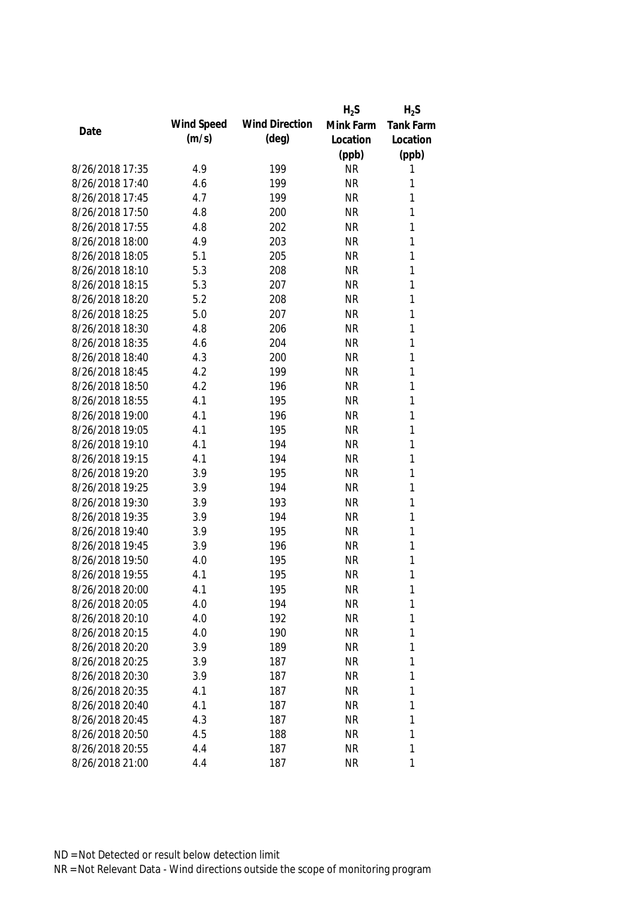|                 |            |                       | $H_2S$    | $H_2S$           |
|-----------------|------------|-----------------------|-----------|------------------|
| Date            | Wind Speed | <b>Wind Direction</b> | Mink Farm | <b>Tank Farm</b> |
|                 | (m/s)      | $(\text{deg})$        | Location  | Location         |
|                 |            |                       | (ppb)     | (ppb)            |
| 8/26/2018 17:35 | 4.9        | 199                   | <b>NR</b> | 1                |
| 8/26/2018 17:40 | 4.6        | 199                   | <b>NR</b> | 1                |
| 8/26/2018 17:45 | 4.7        | 199                   | <b>NR</b> | 1                |
| 8/26/2018 17:50 | 4.8        | 200                   | <b>NR</b> | 1                |
| 8/26/2018 17:55 | 4.8        | 202                   | <b>NR</b> | 1                |
| 8/26/2018 18:00 | 4.9        | 203                   | <b>NR</b> | $\mathbf{1}$     |
| 8/26/2018 18:05 | 5.1        | 205                   | <b>NR</b> | $\mathbf{1}$     |
| 8/26/2018 18:10 | 5.3        | 208                   | <b>NR</b> | $\mathbf{1}$     |
| 8/26/2018 18:15 | 5.3        | 207                   | <b>NR</b> | $\mathbf{1}$     |
| 8/26/2018 18:20 | 5.2        | 208                   | <b>NR</b> | 1                |
| 8/26/2018 18:25 | 5.0        | 207                   | <b>NR</b> | 1                |
| 8/26/2018 18:30 | 4.8        | 206                   | <b>NR</b> | $\mathbf{1}$     |
| 8/26/2018 18:35 | 4.6        | 204                   | <b>NR</b> | 1                |
| 8/26/2018 18:40 | 4.3        | 200                   | <b>NR</b> | $\mathbf{1}$     |
| 8/26/2018 18:45 | 4.2        | 199                   | <b>NR</b> | $\mathbf{1}$     |
| 8/26/2018 18:50 | 4.2        | 196                   | <b>NR</b> | $\mathbf{1}$     |
| 8/26/2018 18:55 | 4.1        | 195                   | <b>NR</b> | 1                |
| 8/26/2018 19:00 | 4.1        | 196                   | <b>NR</b> | 1                |
| 8/26/2018 19:05 | 4.1        | 195                   | <b>NR</b> | $\mathbf{1}$     |
| 8/26/2018 19:10 | 4.1        | 194                   | <b>NR</b> | 1                |
| 8/26/2018 19:15 | 4.1        | 194                   | <b>NR</b> | 1                |
| 8/26/2018 19:20 | 3.9        | 195                   | <b>NR</b> | $\mathbf{1}$     |
| 8/26/2018 19:25 | 3.9        | 194                   | <b>NR</b> | $\mathbf{1}$     |
| 8/26/2018 19:30 | 3.9        | 193                   | <b>NR</b> | $\mathbf{1}$     |
| 8/26/2018 19:35 | 3.9        | 194                   | <b>NR</b> | 1                |
| 8/26/2018 19:40 | 3.9        | 195                   | <b>NR</b> | 1                |
| 8/26/2018 19:45 | 3.9        | 196                   | <b>NR</b> | 1                |
| 8/26/2018 19:50 | 4.0        | 195                   | <b>NR</b> | 1                |
| 8/26/2018 19:55 | 4.1        | 195                   | <b>NR</b> | 1                |
| 8/26/2018 20:00 | 4.1        | 195                   | <b>NR</b> | 1                |
| 8/26/2018 20:05 | 4.0        | 194                   | <b>NR</b> | 1                |
| 8/26/2018 20:10 | 4.0        | 192                   | <b>NR</b> | 1                |
| 8/26/2018 20:15 | 4.0        | 190                   | <b>NR</b> | 1                |
| 8/26/2018 20:20 | 3.9        | 189                   | <b>NR</b> | 1                |
| 8/26/2018 20:25 | 3.9        | 187                   | <b>NR</b> | 1                |
| 8/26/2018 20:30 | 3.9        | 187                   | <b>NR</b> | 1                |
| 8/26/2018 20:35 | 4.1        | 187                   | <b>NR</b> | 1                |
| 8/26/2018 20:40 | 4.1        | 187                   | <b>NR</b> | 1                |
| 8/26/2018 20:45 | 4.3        | 187                   | <b>NR</b> | 1                |
| 8/26/2018 20:50 | 4.5        | 188                   | <b>NR</b> | 1                |
| 8/26/2018 20:55 | 4.4        | 187                   | <b>NR</b> | 1                |
| 8/26/2018 21:00 | 4.4        | 187                   | <b>NR</b> | 1                |
|                 |            |                       |           |                  |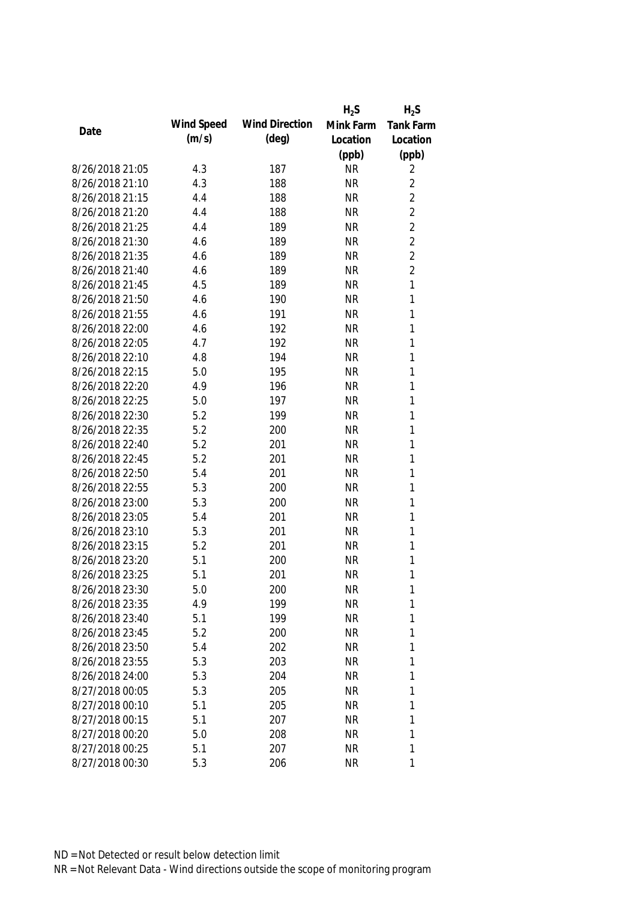|                 |            |                       | $H_2S$    | $H_2S$           |
|-----------------|------------|-----------------------|-----------|------------------|
| Date            | Wind Speed | <b>Wind Direction</b> | Mink Farm | <b>Tank Farm</b> |
|                 | (m/s)      | $(\text{deg})$        | Location  | Location         |
|                 |            |                       | (ppb)     | (ppb)            |
| 8/26/2018 21:05 | 4.3        | 187                   | <b>NR</b> | 2                |
| 8/26/2018 21:10 | 4.3        | 188                   | <b>NR</b> | $\overline{2}$   |
| 8/26/2018 21:15 | 4.4        | 188                   | <b>NR</b> | $\overline{2}$   |
| 8/26/2018 21:20 | 4.4        | 188                   | <b>NR</b> | $\overline{2}$   |
| 8/26/2018 21:25 | 4.4        | 189                   | <b>NR</b> | $\overline{2}$   |
| 8/26/2018 21:30 | 4.6        | 189                   | <b>NR</b> | $\overline{2}$   |
| 8/26/2018 21:35 | 4.6        | 189                   | <b>NR</b> | $\overline{2}$   |
| 8/26/2018 21:40 | 4.6        | 189                   | <b>NR</b> | $\overline{2}$   |
| 8/26/2018 21:45 | 4.5        | 189                   | <b>NR</b> | $\mathbf{1}$     |
| 8/26/2018 21:50 | 4.6        | 190                   | <b>NR</b> | 1                |
| 8/26/2018 21:55 | 4.6        | 191                   | <b>NR</b> | 1                |
| 8/26/2018 22:00 | 4.6        | 192                   | <b>NR</b> | 1                |
| 8/26/2018 22:05 | 4.7        | 192                   | <b>NR</b> | 1                |
| 8/26/2018 22:10 | 4.8        | 194                   | <b>NR</b> | 1                |
| 8/26/2018 22:15 | 5.0        | 195                   | <b>NR</b> | 1                |
| 8/26/2018 22:20 | 4.9        | 196                   | <b>NR</b> | 1                |
| 8/26/2018 22:25 | 5.0        | 197                   | <b>NR</b> | 1                |
| 8/26/2018 22:30 | 5.2        | 199                   | <b>NR</b> | 1                |
| 8/26/2018 22:35 | 5.2        | 200                   | <b>NR</b> | 1                |
| 8/26/2018 22:40 | 5.2        | 201                   | <b>NR</b> | 1                |
| 8/26/2018 22:45 | 5.2        | 201                   | <b>NR</b> | 1                |
| 8/26/2018 22:50 | 5.4        | 201                   | <b>NR</b> | 1                |
| 8/26/2018 22:55 | 5.3        | 200                   | <b>NR</b> | $\mathbf{1}$     |
| 8/26/2018 23:00 | 5.3        | 200                   | <b>NR</b> | 1                |
| 8/26/2018 23:05 | 5.4        | 201                   | <b>NR</b> | 1                |
| 8/26/2018 23:10 | 5.3        | 201                   | <b>NR</b> | 1                |
| 8/26/2018 23:15 | 5.2        | 201                   | <b>NR</b> | 1                |
| 8/26/2018 23:20 | 5.1        | 200                   | <b>NR</b> | 1                |
| 8/26/2018 23:25 | 5.1        | 201                   | <b>NR</b> | 1                |
| 8/26/2018 23:30 | 5.0        | 200                   | <b>NR</b> | 1                |
| 8/26/2018 23:35 | 4.9        | 199                   | <b>NR</b> | 1                |
| 8/26/2018 23:40 | 5.1        | 199                   | <b>NR</b> | 1                |
| 8/26/2018 23:45 | 5.2        | 200                   | <b>NR</b> | 1                |
| 8/26/2018 23:50 | 5.4        | 202                   | <b>NR</b> | 1                |
| 8/26/2018 23:55 | 5.3        | 203                   | <b>NR</b> | 1                |
| 8/26/2018 24:00 | 5.3        | 204                   | <b>NR</b> | 1                |
| 8/27/2018 00:05 | 5.3        | 205                   | <b>NR</b> | 1                |
| 8/27/2018 00:10 | 5.1        | 205                   | <b>NR</b> | 1                |
| 8/27/2018 00:15 | 5.1        |                       | <b>NR</b> |                  |
|                 |            | 207                   |           | 1<br>1           |
| 8/27/2018 00:20 | 5.0        | 208                   | <b>NR</b> |                  |
| 8/27/2018 00:25 | 5.1        | 207                   | <b>NR</b> | 1                |
| 8/27/2018 00:30 | 5.3        | 206                   | <b>NR</b> | 1                |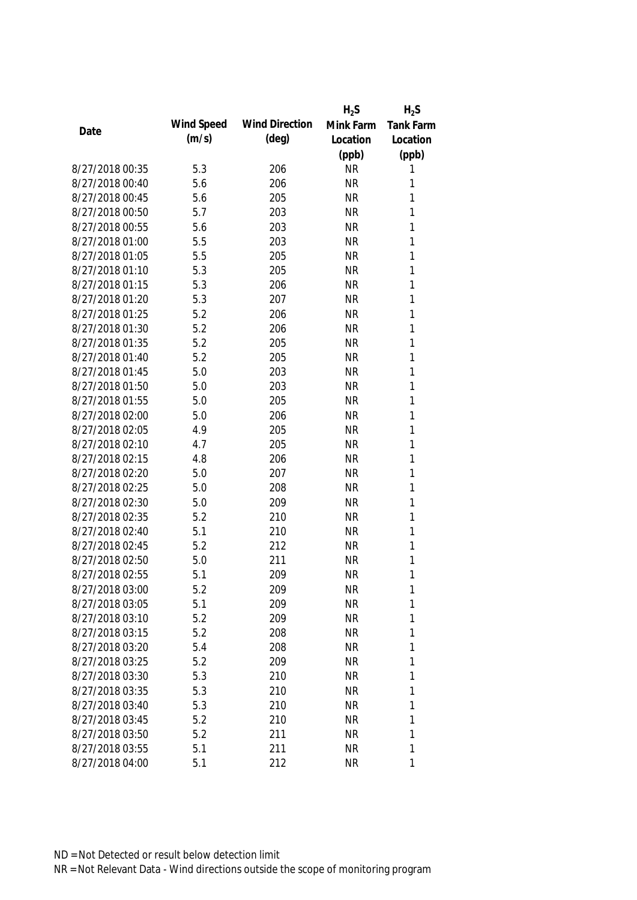|                 |            |                       | $H_2S$    | $H_2S$           |
|-----------------|------------|-----------------------|-----------|------------------|
|                 | Wind Speed | <b>Wind Direction</b> | Mink Farm | <b>Tank Farm</b> |
| Date            | (m/s)      | (deg)                 | Location  | Location         |
|                 |            |                       | (ppb)     | (ppb)            |
| 8/27/2018 00:35 | 5.3        | 206                   | <b>NR</b> | 1                |
| 8/27/2018 00:40 | 5.6        | 206                   | <b>NR</b> | 1                |
| 8/27/2018 00:45 | 5.6        | 205                   | <b>NR</b> | 1                |
| 8/27/2018 00:50 | 5.7        | 203                   | <b>NR</b> | 1                |
| 8/27/2018 00:55 | 5.6        | 203                   | <b>NR</b> | 1                |
| 8/27/2018 01:00 | 5.5        | 203                   | <b>NR</b> | 1                |
| 8/27/2018 01:05 | 5.5        | 205                   | <b>NR</b> | 1                |
| 8/27/2018 01:10 | 5.3        | 205                   | <b>NR</b> | $\mathbf{1}$     |
| 8/27/2018 01:15 | 5.3        | 206                   | <b>NR</b> | $\mathbf{1}$     |
| 8/27/2018 01:20 | 5.3        | 207                   | <b>NR</b> | 1                |
| 8/27/2018 01:25 | 5.2        | 206                   | <b>NR</b> | 1                |
| 8/27/2018 01:30 | 5.2        | 206                   | <b>NR</b> | 1                |
| 8/27/2018 01:35 | 5.2        | 205                   | <b>NR</b> | 1                |
| 8/27/2018 01:40 | 5.2        | 205                   | <b>NR</b> | $\mathbf{1}$     |
| 8/27/2018 01:45 | 5.0        | 203                   | <b>NR</b> | $\mathbf{1}$     |
| 8/27/2018 01:50 | 5.0        | 203                   | <b>NR</b> | 1                |
| 8/27/2018 01:55 | 5.0        | 205                   | <b>NR</b> | 1                |
| 8/27/2018 02:00 | 5.0        | 206                   | <b>NR</b> | $\mathbf{1}$     |
| 8/27/2018 02:05 | 4.9        | 205                   | <b>NR</b> | 1                |
| 8/27/2018 02:10 | 4.7        | 205                   | <b>NR</b> | 1                |
| 8/27/2018 02:15 | 4.8        | 206                   | <b>NR</b> | 1                |
| 8/27/2018 02:20 | 5.0        | 207                   | <b>NR</b> | $\mathbf{1}$     |
| 8/27/2018 02:25 | 5.0        | 208                   | <b>NR</b> | $\mathbf{1}$     |
| 8/27/2018 02:30 | 5.0        | 209                   | <b>NR</b> | 1                |
| 8/27/2018 02:35 | 5.2        | 210                   | <b>NR</b> | 1                |
| 8/27/2018 02:40 | 5.1        | 210                   | <b>NR</b> | 1                |
| 8/27/2018 02:45 | 5.2        | 212                   | <b>NR</b> | 1                |
| 8/27/2018 02:50 | 5.0        | 211                   | <b>NR</b> | 1                |
| 8/27/2018 02:55 | 5.1        | 209                   | <b>NR</b> | 1                |
| 8/27/2018 03:00 | 5.2        | 209                   | <b>NR</b> | 1                |
| 8/27/2018 03:05 | 5.1        | 209                   | <b>NR</b> | 1                |
| 8/27/2018 03:10 | 5.2        | 209                   | <b>NR</b> | 1                |
| 8/27/2018 03:15 | 5.2        | 208                   | <b>NR</b> | 1                |
| 8/27/2018 03:20 | 5.4        | 208                   | <b>NR</b> | 1                |
| 8/27/2018 03:25 | 5.2        | 209                   | <b>NR</b> | 1                |
| 8/27/2018 03:30 | 5.3        | 210                   | <b>NR</b> | 1                |
| 8/27/2018 03:35 | 5.3        | 210                   | <b>NR</b> | 1                |
| 8/27/2018 03:40 | 5.3        | 210                   | <b>NR</b> | 1                |
| 8/27/2018 03:45 | 5.2        | 210                   | <b>NR</b> | 1                |
| 8/27/2018 03:50 | 5.2        | 211                   | <b>NR</b> | 1                |
| 8/27/2018 03:55 | 5.1        | 211                   | <b>NR</b> | 1                |
| 8/27/2018 04:00 | 5.1        | 212                   | <b>NR</b> | 1                |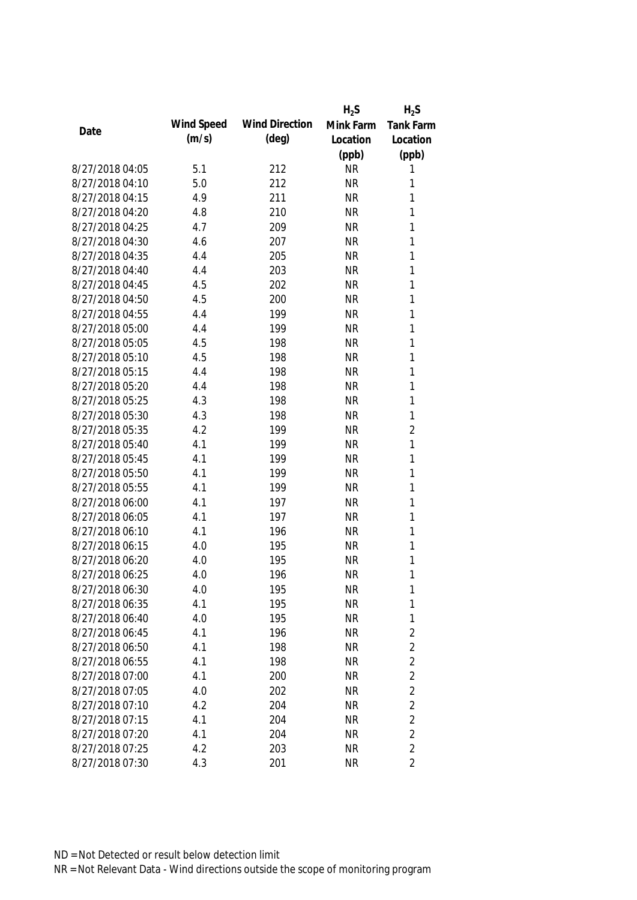|                 |            |                       | $H_2S$    | $H_2S$           |
|-----------------|------------|-----------------------|-----------|------------------|
| Date            | Wind Speed | <b>Wind Direction</b> | Mink Farm | <b>Tank Farm</b> |
|                 | (m/s)      | $(\text{deg})$        | Location  | Location         |
|                 |            |                       | (ppb)     | (ppb)            |
| 8/27/2018 04:05 | 5.1        | 212                   | <b>NR</b> | 1                |
| 8/27/2018 04:10 | 5.0        | 212                   | <b>NR</b> | 1                |
| 8/27/2018 04:15 | 4.9        | 211                   | <b>NR</b> | 1                |
| 8/27/2018 04:20 | 4.8        | 210                   | <b>NR</b> | 1                |
| 8/27/2018 04:25 | 4.7        | 209                   | <b>NR</b> | 1                |
| 8/27/2018 04:30 | 4.6        | 207                   | <b>NR</b> | $\mathbf{1}$     |
| 8/27/2018 04:35 | 4.4        | 205                   | <b>NR</b> | $\mathbf{1}$     |
| 8/27/2018 04:40 | 4.4        | 203                   | <b>NR</b> | $\mathbf{1}$     |
| 8/27/2018 04:45 | 4.5        | 202                   | <b>NR</b> | $\mathbf{1}$     |
| 8/27/2018 04:50 | 4.5        | 200                   | <b>NR</b> | 1                |
| 8/27/2018 04:55 | 4.4        | 199                   | <b>NR</b> | 1                |
| 8/27/2018 05:00 | 4.4        | 199                   | <b>NR</b> | $\mathbf{1}$     |
| 8/27/2018 05:05 | 4.5        | 198                   | <b>NR</b> | 1                |
| 8/27/2018 05:10 | 4.5        | 198                   | <b>NR</b> | $\mathbf{1}$     |
| 8/27/2018 05:15 | 4.4        | 198                   | <b>NR</b> | $\mathbf{1}$     |
| 8/27/2018 05:20 | 4.4        | 198                   | <b>NR</b> | $\mathbf{1}$     |
| 8/27/2018 05:25 | 4.3        | 198                   | <b>NR</b> | 1                |
| 8/27/2018 05:30 | 4.3        | 198                   | <b>NR</b> | $\mathbf{1}$     |
| 8/27/2018 05:35 | 4.2        | 199                   | <b>NR</b> | $\overline{2}$   |
| 8/27/2018 05:40 | 4.1        | 199                   | <b>NR</b> | 1                |
| 8/27/2018 05:45 | 4.1        | 199                   | <b>NR</b> | 1                |
| 8/27/2018 05:50 | 4.1        | 199                   | <b>NR</b> | $\mathbf{1}$     |
| 8/27/2018 05:55 | 4.1        | 199                   | <b>NR</b> | $\mathbf{1}$     |
| 8/27/2018 06:00 | 4.1        | 197                   | <b>NR</b> | $\mathbf{1}$     |
| 8/27/2018 06:05 | 4.1        | 197                   | <b>NR</b> | 1                |
| 8/27/2018 06:10 | 4.1        | 196                   | <b>NR</b> | 1                |
| 8/27/2018 06:15 | 4.0        | 195                   | <b>NR</b> | 1                |
| 8/27/2018 06:20 | 4.0        | 195                   | <b>NR</b> | 1                |
| 8/27/2018 06:25 | 4.0        | 196                   | <b>NR</b> | 1                |
| 8/27/2018 06:30 | 4.0        | 195                   | <b>NR</b> | 1                |
| 8/27/2018 06:35 | 4.1        | 195                   | <b>NR</b> | $\mathbf{1}$     |
| 8/27/2018 06:40 | 4.0        | 195                   | <b>NR</b> | $\mathbf{1}$     |
| 8/27/2018 06:45 | 4.1        | 196                   | <b>NR</b> | 2                |
| 8/27/2018 06:50 | 4.1        | 198                   | <b>NR</b> | $\overline{2}$   |
| 8/27/2018 06:55 | 4.1        | 198                   | <b>NR</b> | $\overline{2}$   |
| 8/27/2018 07:00 | 4.1        | 200                   | <b>NR</b> | $\overline{2}$   |
| 8/27/2018 07:05 | 4.0        | 202                   | <b>NR</b> | $\overline{2}$   |
| 8/27/2018 07:10 | 4.2        | 204                   | <b>NR</b> | $\overline{2}$   |
| 8/27/2018 07:15 | 4.1        | 204                   | <b>NR</b> | $\overline{2}$   |
| 8/27/2018 07:20 | 4.1        | 204                   | <b>NR</b> | $\overline{2}$   |
| 8/27/2018 07:25 | 4.2        | 203                   | <b>NR</b> | $\overline{2}$   |
| 8/27/2018 07:30 | 4.3        | 201                   | <b>NR</b> | $\overline{2}$   |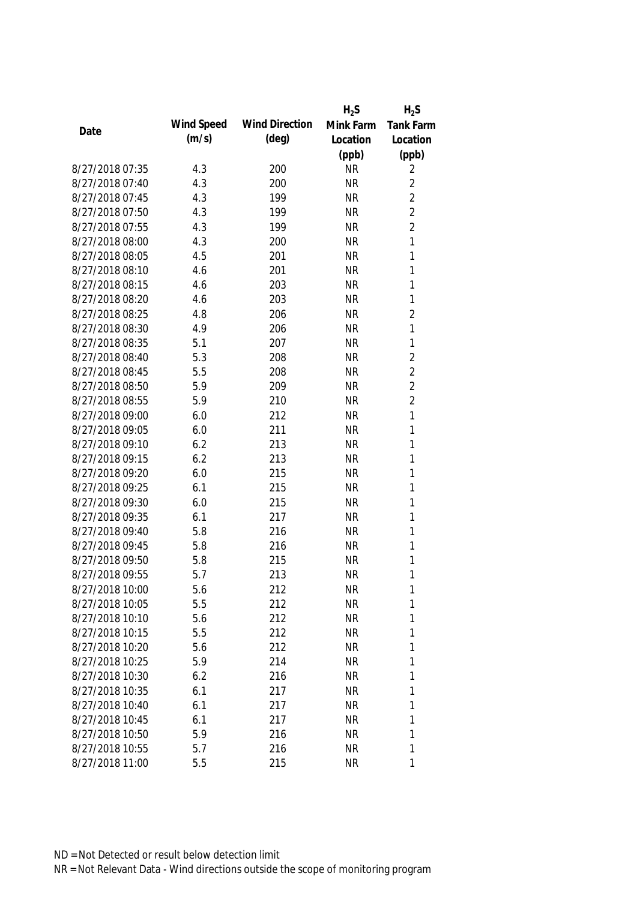|                 |            |                       | $H_2S$    | $H_2S$           |
|-----------------|------------|-----------------------|-----------|------------------|
| Date            | Wind Speed | <b>Wind Direction</b> | Mink Farm | <b>Tank Farm</b> |
|                 | (m/s)      | $(\text{deg})$        | Location  | Location         |
|                 |            |                       | (ppb)     | (ppb)            |
| 8/27/2018 07:35 | 4.3        | 200                   | <b>NR</b> | 2                |
| 8/27/2018 07:40 | 4.3        | 200                   | <b>NR</b> | $\overline{2}$   |
| 8/27/2018 07:45 | 4.3        | 199                   | <b>NR</b> | $\overline{2}$   |
| 8/27/2018 07:50 | 4.3        | 199                   | <b>NR</b> | $\overline{2}$   |
| 8/27/2018 07:55 | 4.3        | 199                   | <b>NR</b> | $\overline{2}$   |
| 8/27/2018 08:00 | 4.3        | 200                   | <b>NR</b> | 1                |
| 8/27/2018 08:05 | 4.5        | 201                   | <b>NR</b> | $\mathbf{1}$     |
| 8/27/2018 08:10 | 4.6        | 201                   | <b>NR</b> | $\mathbf{1}$     |
| 8/27/2018 08:15 | 4.6        | 203                   | <b>NR</b> | $\mathbf{1}$     |
| 8/27/2018 08:20 | 4.6        | 203                   | <b>NR</b> | 1                |
| 8/27/2018 08:25 | 4.8        | 206                   | <b>NR</b> | $\overline{2}$   |
| 8/27/2018 08:30 | 4.9        | 206                   | <b>NR</b> | 1                |
| 8/27/2018 08:35 | 5.1        | 207                   | <b>NR</b> | 1                |
| 8/27/2018 08:40 | 5.3        | 208                   | <b>NR</b> | $\overline{2}$   |
| 8/27/2018 08:45 | 5.5        | 208                   | <b>NR</b> | $\overline{2}$   |
| 8/27/2018 08:50 | 5.9        | 209                   | <b>NR</b> | $\overline{2}$   |
| 8/27/2018 08:55 | 5.9        | 210                   | <b>NR</b> | $\overline{2}$   |
| 8/27/2018 09:00 | 6.0        | 212                   | <b>NR</b> | 1                |
| 8/27/2018 09:05 | 6.0        | 211                   | <b>NR</b> | $\mathbf{1}$     |
| 8/27/2018 09:10 | 6.2        | 213                   | <b>NR</b> | 1                |
| 8/27/2018 09:15 | 6.2        | 213                   | <b>NR</b> | 1                |
| 8/27/2018 09:20 | 6.0        | 215                   | <b>NR</b> | 1                |
| 8/27/2018 09:25 | 6.1        | 215                   | <b>NR</b> | $\mathbf{1}$     |
| 8/27/2018 09:30 | 6.0        | 215                   | <b>NR</b> | 1                |
| 8/27/2018 09:35 | 6.1        | 217                   | <b>NR</b> | $\mathbf{1}$     |
| 8/27/2018 09:40 | 5.8        | 216                   | <b>NR</b> | 1                |
| 8/27/2018 09:45 | 5.8        | 216                   | <b>NR</b> | 1                |
| 8/27/2018 09:50 | 5.8        | 215                   | <b>NR</b> | 1                |
| 8/27/2018 09:55 | 5.7        | 213                   | <b>NR</b> | 1                |
| 8/27/2018 10:00 | 5.6        | 212                   | <b>NR</b> | 1                |
| 8/27/2018 10:05 | 5.5        | 212                   | <b>NR</b> | 1                |
| 8/27/2018 10:10 | 5.6        | 212                   | <b>NR</b> | 1                |
| 8/27/2018 10:15 | 5.5        | 212                   | <b>NR</b> | 1                |
| 8/27/2018 10:20 | 5.6        | 212                   | <b>NR</b> | 1                |
| 8/27/2018 10:25 | 5.9        | 214                   | <b>NR</b> | 1                |
| 8/27/2018 10:30 | 6.2        | 216                   | <b>NR</b> | 1                |
| 8/27/2018 10:35 | 6.1        | 217                   | <b>NR</b> | 1                |
| 8/27/2018 10:40 | 6.1        | 217                   | <b>NR</b> | 1                |
| 8/27/2018 10:45 | 6.1        | 217                   | <b>NR</b> | 1                |
| 8/27/2018 10:50 | 5.9        | 216                   | <b>NR</b> | 1                |
| 8/27/2018 10:55 | 5.7        | 216                   | <b>NR</b> | 1                |
| 8/27/2018 11:00 | 5.5        | 215                   | <b>NR</b> | 1                |
|                 |            |                       |           |                  |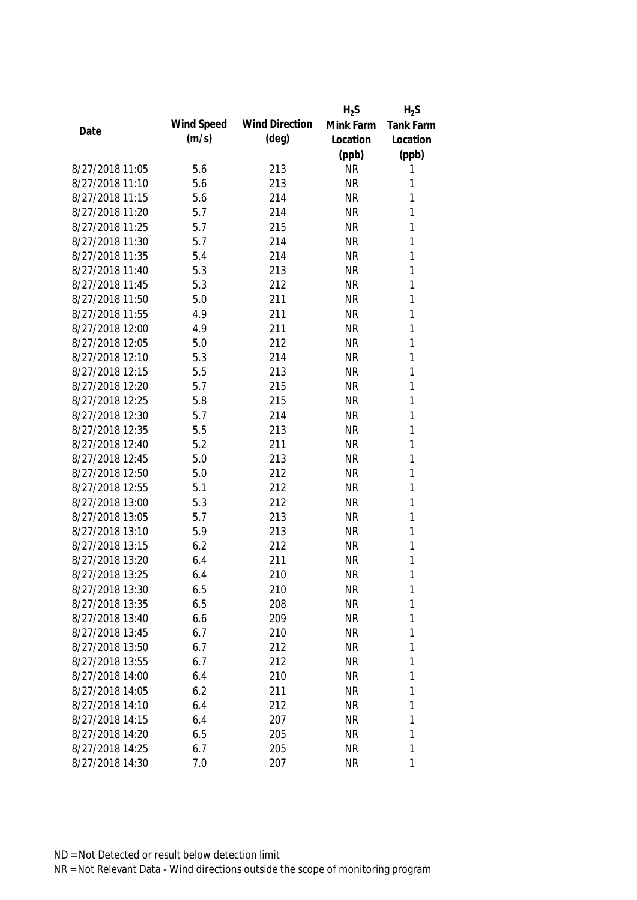|                 |            |                       | $H_2S$    | $H_2S$           |
|-----------------|------------|-----------------------|-----------|------------------|
|                 | Wind Speed | <b>Wind Direction</b> | Mink Farm | <b>Tank Farm</b> |
| Date            | (m/s)      | (deg)                 | Location  | Location         |
|                 |            |                       | (ppb)     | (ppb)            |
| 8/27/2018 11:05 | 5.6        | 213                   | <b>NR</b> | 1                |
| 8/27/2018 11:10 | 5.6        | 213                   | <b>NR</b> | 1                |
| 8/27/2018 11:15 | 5.6        | 214                   | <b>NR</b> | 1                |
| 8/27/2018 11:20 | 5.7        | 214                   | <b>NR</b> | 1                |
| 8/27/2018 11:25 | 5.7        | 215                   | <b>NR</b> | 1                |
| 8/27/2018 11:30 | 5.7        | 214                   | <b>NR</b> | 1                |
| 8/27/2018 11:35 | 5.4        | 214                   | <b>NR</b> | 1                |
| 8/27/2018 11:40 | 5.3        | 213                   | <b>NR</b> | 1                |
| 8/27/2018 11:45 | 5.3        | 212                   | <b>NR</b> | $\mathbf{1}$     |
| 8/27/2018 11:50 | 5.0        | 211                   | <b>NR</b> | 1                |
| 8/27/2018 11:55 | 4.9        | 211                   | <b>NR</b> | 1                |
| 8/27/2018 12:00 | 4.9        | 211                   | <b>NR</b> | 1                |
| 8/27/2018 12:05 | 5.0        | 212                   | <b>NR</b> | 1                |
| 8/27/2018 12:10 | 5.3        | 214                   | <b>NR</b> | $\mathbf{1}$     |
| 8/27/2018 12:15 | 5.5        | 213                   | <b>NR</b> | $\mathbf{1}$     |
| 8/27/2018 12:20 | 5.7        | 215                   | <b>NR</b> | 1                |
| 8/27/2018 12:25 | 5.8        | 215                   | <b>NR</b> | 1                |
| 8/27/2018 12:30 | 5.7        | 214                   | <b>NR</b> | $\mathbf{1}$     |
| 8/27/2018 12:35 | 5.5        | 213                   | <b>NR</b> | 1                |
| 8/27/2018 12:40 | 5.2        | 211                   | <b>NR</b> | 1                |
| 8/27/2018 12:45 | 5.0        | 213                   | <b>NR</b> | 1                |
| 8/27/2018 12:50 | 5.0        | 212                   | <b>NR</b> | $\mathbf{1}$     |
| 8/27/2018 12:55 | 5.1        | 212                   | <b>NR</b> | $\mathbf{1}$     |
| 8/27/2018 13:00 | 5.3        | 212                   | <b>NR</b> | 1                |
| 8/27/2018 13:05 | 5.7        | 213                   | <b>NR</b> | 1                |
| 8/27/2018 13:10 | 5.9        | 213                   | <b>NR</b> | 1                |
| 8/27/2018 13:15 | 6.2        | 212                   | <b>NR</b> | 1                |
| 8/27/2018 13:20 | 6.4        | 211                   | <b>NR</b> | 1                |
| 8/27/2018 13:25 | 6.4        | 210                   | <b>NR</b> | 1                |
| 8/27/2018 13:30 | 6.5        | 210                   | <b>NR</b> | 1                |
| 8/27/2018 13:35 | 6.5        | 208                   | <b>NR</b> | 1                |
| 8/27/2018 13:40 | 6.6        | 209                   | <b>NR</b> | 1                |
| 8/27/2018 13:45 | 6.7        | 210                   | <b>NR</b> | 1                |
| 8/27/2018 13:50 | 6.7        | 212                   | <b>NR</b> | 1                |
| 8/27/2018 13:55 | 6.7        | 212                   | <b>NR</b> | 1                |
| 8/27/2018 14:00 | 6.4        | 210                   | <b>NR</b> | 1                |
| 8/27/2018 14:05 | 6.2        | 211                   | <b>NR</b> | 1                |
| 8/27/2018 14:10 | 6.4        | 212                   | <b>NR</b> | 1                |
| 8/27/2018 14:15 | 6.4        | 207                   | <b>NR</b> | 1                |
| 8/27/2018 14:20 | 6.5        | 205                   | <b>NR</b> | 1                |
| 8/27/2018 14:25 | 6.7        | 205                   | <b>NR</b> | 1                |
| 8/27/2018 14:30 | 7.0        | 207                   | <b>NR</b> | 1                |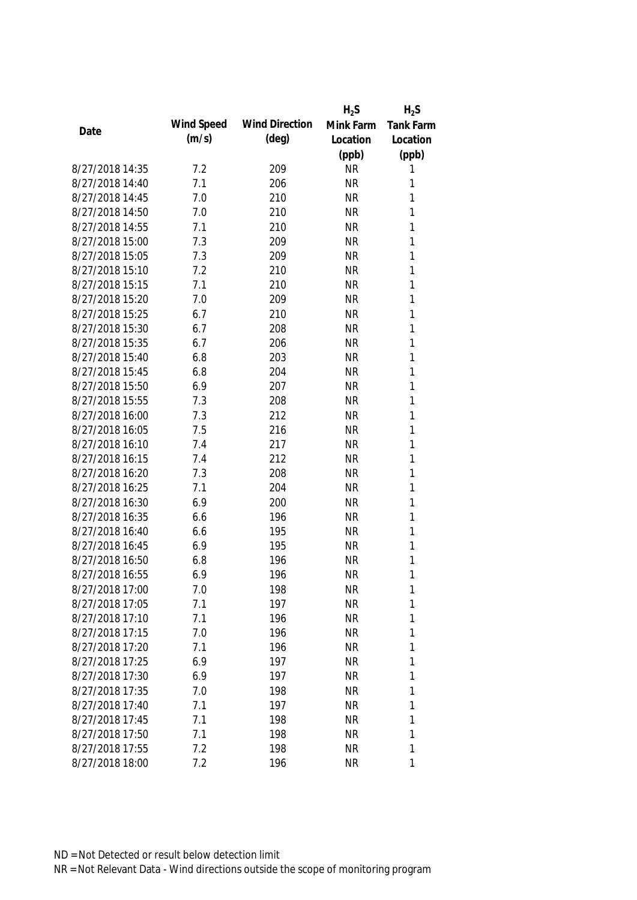|                 |            |                       | $H_2S$    | $H_2S$           |
|-----------------|------------|-----------------------|-----------|------------------|
| Date            | Wind Speed | <b>Wind Direction</b> | Mink Farm | <b>Tank Farm</b> |
|                 | (m/s)      | $(\text{deg})$        | Location  | Location         |
|                 |            |                       | (ppb)     | (ppb)            |
| 8/27/2018 14:35 | 7.2        | 209                   | <b>NR</b> | 1                |
| 8/27/2018 14:40 | 7.1        | 206                   | <b>NR</b> | 1                |
| 8/27/2018 14:45 | 7.0        | 210                   | <b>NR</b> | 1                |
| 8/27/2018 14:50 | 7.0        | 210                   | <b>NR</b> | 1                |
| 8/27/2018 14:55 | 7.1        | 210                   | <b>NR</b> | 1                |
| 8/27/2018 15:00 | 7.3        | 209                   | <b>NR</b> | $\mathbf{1}$     |
| 8/27/2018 15:05 | 7.3        | 209                   | <b>NR</b> | $\mathbf{1}$     |
| 8/27/2018 15:10 | 7.2        | 210                   | <b>NR</b> | 1                |
| 8/27/2018 15:15 | 7.1        | 210                   | <b>NR</b> | 1                |
| 8/27/2018 15:20 | 7.0        | 209                   | <b>NR</b> | 1                |
| 8/27/2018 15:25 | 6.7        | 210                   | <b>NR</b> | 1                |
| 8/27/2018 15:30 | 6.7        | 208                   | <b>NR</b> | 1                |
| 8/27/2018 15:35 | 6.7        | 206                   | <b>NR</b> | 1                |
| 8/27/2018 15:40 | 6.8        | 203                   | <b>NR</b> | $\mathbf{1}$     |
| 8/27/2018 15:45 | 6.8        | 204                   | <b>NR</b> | $\mathbf{1}$     |
| 8/27/2018 15:50 | 6.9        | 207                   | <b>NR</b> | $\mathbf{1}$     |
| 8/27/2018 15:55 | 7.3        | 208                   | <b>NR</b> | 1                |
| 8/27/2018 16:00 | 7.3        | 212                   | <b>NR</b> | 1                |
| 8/27/2018 16:05 | 7.5        | 216                   | <b>NR</b> | 1                |
| 8/27/2018 16:10 | 7.4        | 217                   | <b>NR</b> | 1                |
| 8/27/2018 16:15 | 7.4        | 212                   | <b>NR</b> | 1                |
| 8/27/2018 16:20 | 7.3        | 208                   | <b>NR</b> | 1                |
| 8/27/2018 16:25 | 7.1        | 204                   | <b>NR</b> | 1                |
| 8/27/2018 16:30 | 6.9        | 200                   | <b>NR</b> | 1                |
| 8/27/2018 16:35 | 6.6        | 196                   | <b>NR</b> | 1                |
| 8/27/2018 16:40 | 6.6        | 195                   | <b>NR</b> | 1                |
| 8/27/2018 16:45 | 6.9        | 195                   | <b>NR</b> | 1                |
| 8/27/2018 16:50 | 6.8        | 196                   | <b>NR</b> | 1                |
| 8/27/2018 16:55 | 6.9        | 196                   | <b>NR</b> | 1                |
| 8/27/2018 17:00 | 7.0        | 198                   | <b>NR</b> | 1                |
| 8/27/2018 17:05 | 7.1        | 197                   | <b>NR</b> | 1                |
| 8/27/2018 17:10 | 7.1        | 196                   | <b>NR</b> | 1                |
| 8/27/2018 17:15 | 7.0        | 196                   | <b>NR</b> | 1                |
| 8/27/2018 17:20 | 7.1        | 196                   | <b>NR</b> | 1                |
| 8/27/2018 17:25 | 6.9        | 197                   | <b>NR</b> | 1                |
| 8/27/2018 17:30 | 6.9        | 197                   | <b>NR</b> | 1                |
| 8/27/2018 17:35 | 7.0        | 198                   | <b>NR</b> | 1                |
| 8/27/2018 17:40 | 7.1        | 197                   | <b>NR</b> | 1                |
| 8/27/2018 17:45 | 7.1        | 198                   | <b>NR</b> | 1                |
| 8/27/2018 17:50 | 7.1        | 198                   | <b>NR</b> | 1                |
| 8/27/2018 17:55 | 7.2        | 198                   | <b>NR</b> | 1                |
| 8/27/2018 18:00 | 7.2        | 196                   | <b>NR</b> | 1                |
|                 |            |                       |           |                  |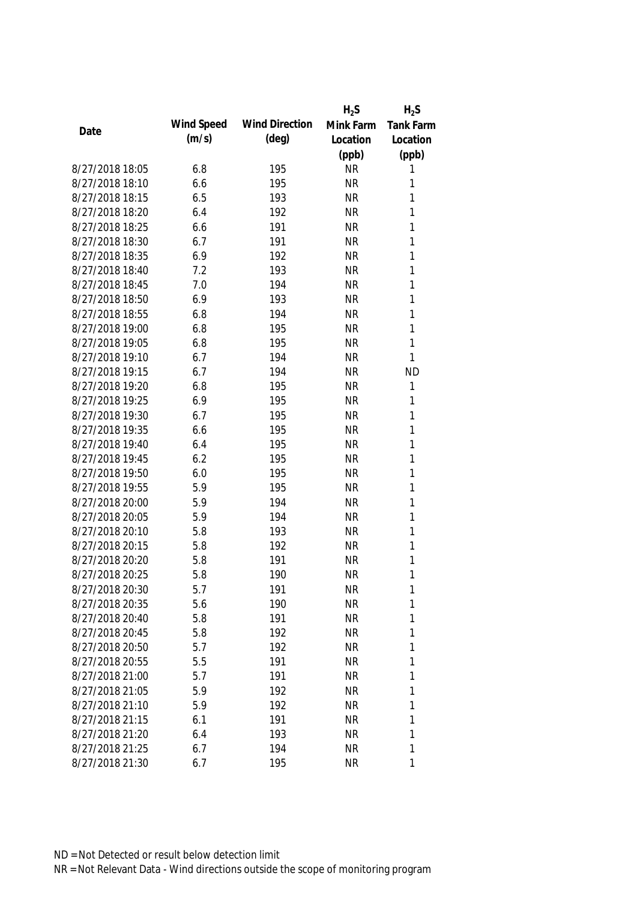|                 |            |                       | $H_2S$    | $H_2S$           |
|-----------------|------------|-----------------------|-----------|------------------|
| Date            | Wind Speed | <b>Wind Direction</b> | Mink Farm | <b>Tank Farm</b> |
|                 | (m/s)      | $(\text{deg})$        | Location  | Location         |
|                 |            |                       | (ppb)     | (ppb)            |
| 8/27/2018 18:05 | 6.8        | 195                   | <b>NR</b> | 1                |
| 8/27/2018 18:10 | 6.6        | 195                   | <b>NR</b> | 1                |
| 8/27/2018 18:15 | 6.5        | 193                   | <b>NR</b> | 1                |
| 8/27/2018 18:20 | 6.4        | 192                   | <b>NR</b> | 1                |
| 8/27/2018 18:25 | 6.6        | 191                   | <b>NR</b> | 1                |
| 8/27/2018 18:30 | 6.7        | 191                   | <b>NR</b> | $\mathbf{1}$     |
| 8/27/2018 18:35 | 6.9        | 192                   | <b>NR</b> | $\mathbf{1}$     |
| 8/27/2018 18:40 | 7.2        | 193                   | <b>NR</b> | $\mathbf{1}$     |
| 8/27/2018 18:45 | 7.0        | 194                   | <b>NR</b> | 1                |
| 8/27/2018 18:50 | 6.9        | 193                   | <b>NR</b> | 1                |
| 8/27/2018 18:55 | 6.8        | 194                   | <b>NR</b> | $\mathbf{1}$     |
| 8/27/2018 19:00 | 6.8        | 195                   | <b>NR</b> | 1                |
| 8/27/2018 19:05 | 6.8        | 195                   | <b>NR</b> | 1                |
| 8/27/2018 19:10 | 6.7        | 194                   | <b>NR</b> | $\mathbf{1}$     |
| 8/27/2018 19:15 | 6.7        | 194                   | <b>NR</b> | <b>ND</b>        |
| 8/27/2018 19:20 | 6.8        | 195                   | <b>NR</b> | $\mathbf{1}$     |
| 8/27/2018 19:25 | 6.9        | 195                   | <b>NR</b> | 1                |
| 8/27/2018 19:30 | 6.7        | 195                   | <b>NR</b> | 1                |
| 8/27/2018 19:35 | 6.6        | 195                   | <b>NR</b> | $\mathbf{1}$     |
| 8/27/2018 19:40 | 6.4        | 195                   | <b>NR</b> | 1                |
| 8/27/2018 19:45 | 6.2        | 195                   | <b>NR</b> | 1                |
| 8/27/2018 19:50 | 6.0        | 195                   | <b>NR</b> | $\mathbf{1}$     |
| 8/27/2018 19:55 | 5.9        | 195                   | <b>NR</b> | $\mathbf{1}$     |
| 8/27/2018 20:00 | 5.9        | 194                   | <b>NR</b> | $\mathbf{1}$     |
| 8/27/2018 20:05 | 5.9        | 194                   | <b>NR</b> | 1                |
| 8/27/2018 20:10 | 5.8        | 193                   | <b>NR</b> | 1                |
| 8/27/2018 20:15 | 5.8        | 192                   | <b>NR</b> | 1                |
| 8/27/2018 20:20 | 5.8        | 191                   | <b>NR</b> | 1                |
| 8/27/2018 20:25 | 5.8        | 190                   | <b>NR</b> | 1                |
| 8/27/2018 20:30 | 5.7        | 191                   | <b>NR</b> | 1                |
| 8/27/2018 20:35 | 5.6        | 190                   | <b>NR</b> | 1                |
| 8/27/2018 20:40 | 5.8        | 191                   | <b>NR</b> | 1                |
| 8/27/2018 20:45 | 5.8        | 192                   | <b>NR</b> | 1                |
| 8/27/2018 20:50 | 5.7        | 192                   | <b>NR</b> | 1                |
| 8/27/2018 20:55 | 5.5        | 191                   | <b>NR</b> | 1                |
| 8/27/2018 21:00 | 5.7        | 191                   | <b>NR</b> | 1                |
| 8/27/2018 21:05 | 5.9        | 192                   | <b>NR</b> | 1                |
| 8/27/2018 21:10 | 5.9        | 192                   | <b>NR</b> | 1                |
| 8/27/2018 21:15 | 6.1        | 191                   | <b>NR</b> | 1                |
| 8/27/2018 21:20 | 6.4        | 193                   | <b>NR</b> | 1                |
| 8/27/2018 21:25 | 6.7        | 194                   | <b>NR</b> | 1                |
| 8/27/2018 21:30 | 6.7        | 195                   | <b>NR</b> | 1                |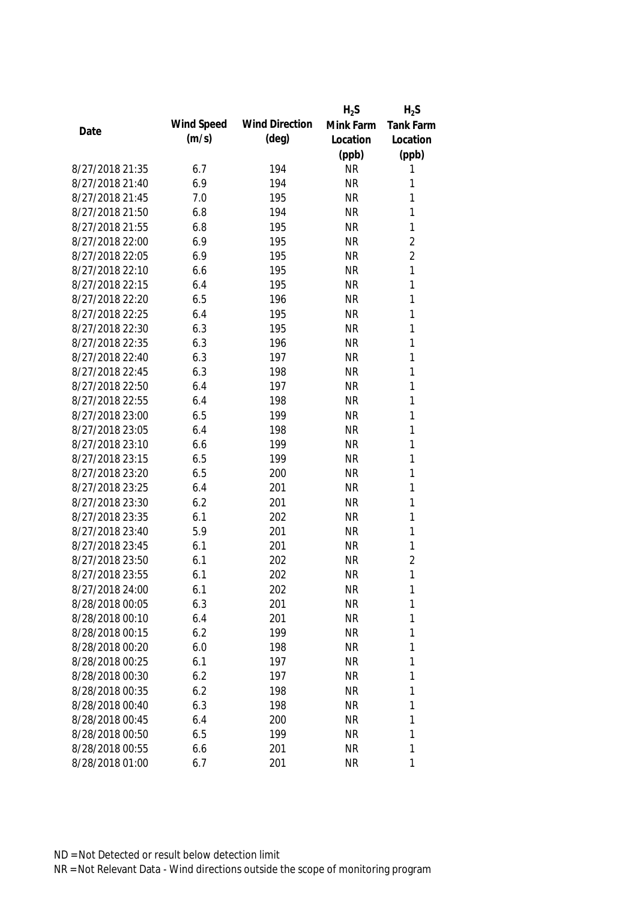|                 |            |                       | $H_2S$    | $H_2S$           |
|-----------------|------------|-----------------------|-----------|------------------|
| Date            | Wind Speed | <b>Wind Direction</b> | Mink Farm | <b>Tank Farm</b> |
|                 | (m/s)      | (deg)                 | Location  | Location         |
|                 |            |                       | (ppb)     | (ppb)            |
| 8/27/2018 21:35 | 6.7        | 194                   | <b>NR</b> | 1                |
| 8/27/2018 21:40 | 6.9        | 194                   | <b>NR</b> | 1                |
| 8/27/2018 21:45 | 7.0        | 195                   | <b>NR</b> | 1                |
| 8/27/2018 21:50 | 6.8        | 194                   | <b>NR</b> | 1                |
| 8/27/2018 21:55 | 6.8        | 195                   | <b>NR</b> | 1                |
| 8/27/2018 22:00 | 6.9        | 195                   | <b>NR</b> | $\overline{2}$   |
| 8/27/2018 22:05 | 6.9        | 195                   | <b>NR</b> | $\overline{2}$   |
| 8/27/2018 22:10 | 6.6        | 195                   | <b>NR</b> | $\mathbf{1}$     |
| 8/27/2018 22:15 | 6.4        | 195                   | <b>NR</b> | $\mathbf{1}$     |
| 8/27/2018 22:20 | 6.5        | 196                   | <b>NR</b> | 1                |
| 8/27/2018 22:25 | 6.4        | 195                   | <b>NR</b> | 1                |
| 8/27/2018 22:30 | 6.3        | 195                   | <b>NR</b> | 1                |
| 8/27/2018 22:35 | 6.3        | 196                   | <b>NR</b> | 1                |
| 8/27/2018 22:40 | 6.3        | 197                   | <b>NR</b> | $\mathbf{1}$     |
| 8/27/2018 22:45 | 6.3        | 198                   | <b>NR</b> | $\mathbf{1}$     |
| 8/27/2018 22:50 | 6.4        | 197                   | <b>NR</b> | $\mathbf{1}$     |
| 8/27/2018 22:55 | 6.4        | 198                   | <b>NR</b> | 1                |
| 8/27/2018 23:00 | 6.5        | 199                   | <b>NR</b> | $\mathbf{1}$     |
| 8/27/2018 23:05 | 6.4        | 198                   | <b>NR</b> | 1                |
| 8/27/2018 23:10 | 6.6        | 199                   | <b>NR</b> | 1                |
| 8/27/2018 23:15 | 6.5        | 199                   | <b>NR</b> | 1                |
| 8/27/2018 23:20 | 6.5        | 200                   | <b>NR</b> | $\mathbf{1}$     |
| 8/27/2018 23:25 | 6.4        | 201                   | <b>NR</b> | $\mathbf{1}$     |
| 8/27/2018 23:30 | 6.2        | 201                   | <b>NR</b> | 1                |
| 8/27/2018 23:35 | 6.1        | 202                   | <b>NR</b> | 1                |
| 8/27/2018 23:40 | 5.9        | 201                   | <b>NR</b> | $\mathbf{1}$     |
| 8/27/2018 23:45 | 6.1        | 201                   | <b>NR</b> | $\mathbf{1}$     |
| 8/27/2018 23:50 | 6.1        | 202                   | <b>NR</b> | $\overline{2}$   |
| 8/27/2018 23:55 | 6.1        | 202                   | <b>NR</b> | 1                |
| 8/27/2018 24:00 | 6.1        | 202                   | <b>NR</b> | 1                |
| 8/28/2018 00:05 | 6.3        | 201                   | <b>NR</b> | 1                |
| 8/28/2018 00:10 | 6.4        | 201                   | <b>NR</b> | 1                |
| 8/28/2018 00:15 | 6.2        | 199                   | <b>NR</b> | 1                |
| 8/28/2018 00:20 | 6.0        | 198                   | <b>NR</b> | 1                |
| 8/28/2018 00:25 | 6.1        | 197                   | <b>NR</b> | 1                |
| 8/28/2018 00:30 | 6.2        | 197                   | <b>NR</b> | 1                |
| 8/28/2018 00:35 | 6.2        | 198                   | <b>NR</b> | 1                |
| 8/28/2018 00:40 | 6.3        | 198                   | <b>NR</b> | 1                |
| 8/28/2018 00:45 | 6.4        | 200                   | <b>NR</b> | 1                |
| 8/28/2018 00:50 | 6.5        | 199                   | <b>NR</b> | 1                |
| 8/28/2018 00:55 | 6.6        | 201                   | <b>NR</b> | 1                |
| 8/28/2018 01:00 | 6.7        | 201                   | <b>NR</b> | 1                |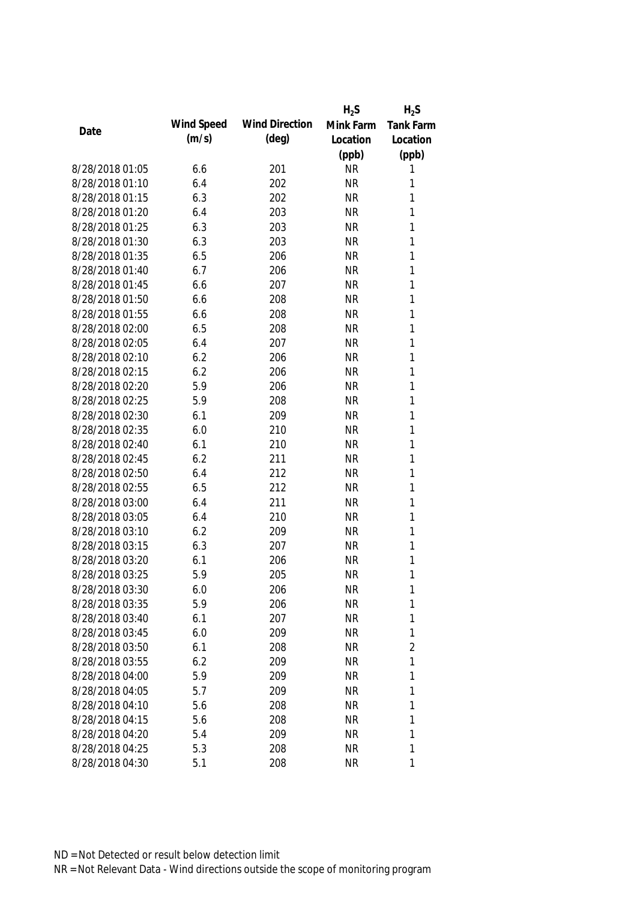|                 |            |                       | $H_2S$    | $H_2S$           |
|-----------------|------------|-----------------------|-----------|------------------|
|                 | Wind Speed | <b>Wind Direction</b> | Mink Farm | <b>Tank Farm</b> |
| Date            | (m/s)      | (deg)                 | Location  | Location         |
|                 |            |                       | (ppb)     | (ppb)            |
| 8/28/2018 01:05 | 6.6        | 201                   | <b>NR</b> | 1                |
| 8/28/2018 01:10 | 6.4        | 202                   | <b>NR</b> | 1                |
| 8/28/2018 01:15 | 6.3        | 202                   | <b>NR</b> | 1                |
| 8/28/2018 01:20 | 6.4        | 203                   | <b>NR</b> | 1                |
| 8/28/2018 01:25 | 6.3        | 203                   | <b>NR</b> | 1                |
| 8/28/2018 01:30 | 6.3        | 203                   | <b>NR</b> | 1                |
| 8/28/2018 01:35 | 6.5        | 206                   | <b>NR</b> | 1                |
| 8/28/2018 01:40 | 6.7        | 206                   | <b>NR</b> | $\mathbf{1}$     |
| 8/28/2018 01:45 | 6.6        | 207                   | <b>NR</b> | $\mathbf{1}$     |
| 8/28/2018 01:50 | 6.6        | 208                   | <b>NR</b> | 1                |
| 8/28/2018 01:55 | 6.6        | 208                   | <b>NR</b> | 1                |
| 8/28/2018 02:00 | 6.5        | 208                   | <b>NR</b> | 1                |
| 8/28/2018 02:05 | 6.4        | 207                   | <b>NR</b> | 1                |
| 8/28/2018 02:10 | 6.2        | 206                   | <b>NR</b> | $\mathbf{1}$     |
| 8/28/2018 02:15 | 6.2        | 206                   | <b>NR</b> | $\mathbf{1}$     |
| 8/28/2018 02:20 | 5.9        | 206                   | <b>NR</b> | 1                |
| 8/28/2018 02:25 | 5.9        | 208                   | <b>NR</b> | 1                |
| 8/28/2018 02:30 | 6.1        | 209                   | <b>NR</b> | $\mathbf{1}$     |
| 8/28/2018 02:35 | 6.0        | 210                   | <b>NR</b> | 1                |
| 8/28/2018 02:40 | 6.1        | 210                   | <b>NR</b> | 1                |
| 8/28/2018 02:45 | 6.2        | 211                   | <b>NR</b> | 1                |
| 8/28/2018 02:50 | 6.4        | 212                   | <b>NR</b> | $\mathbf{1}$     |
| 8/28/2018 02:55 | 6.5        | 212                   | <b>NR</b> | $\mathbf{1}$     |
| 8/28/2018 03:00 | 6.4        | 211                   | <b>NR</b> | 1                |
| 8/28/2018 03:05 | 6.4        | 210                   | <b>NR</b> | 1                |
| 8/28/2018 03:10 | 6.2        | 209                   | <b>NR</b> | 1                |
| 8/28/2018 03:15 | 6.3        | 207                   | <b>NR</b> | 1                |
| 8/28/2018 03:20 | 6.1        | 206                   | <b>NR</b> | 1                |
| 8/28/2018 03:25 | 5.9        | 205                   | <b>NR</b> | 1                |
| 8/28/2018 03:30 | 6.0        | 206                   | <b>NR</b> | 1                |
| 8/28/2018 03:35 | 5.9        | 206                   | <b>NR</b> | 1                |
| 8/28/2018 03:40 | 6.1        | 207                   | <b>NR</b> | 1                |
| 8/28/2018 03:45 | 6.0        | 209                   | <b>NR</b> | 1                |
| 8/28/2018 03:50 | 6.1        | 208                   | <b>NR</b> | $\overline{2}$   |
| 8/28/2018 03:55 | 6.2        | 209                   | <b>NR</b> | 1                |
| 8/28/2018 04:00 | 5.9        | 209                   | <b>NR</b> | 1                |
| 8/28/2018 04:05 | 5.7        | 209                   | <b>NR</b> | 1                |
| 8/28/2018 04:10 | 5.6        | 208                   | <b>NR</b> | 1                |
| 8/28/2018 04:15 | 5.6        | 208                   | <b>NR</b> | 1                |
| 8/28/2018 04:20 | 5.4        | 209                   | <b>NR</b> | 1                |
| 8/28/2018 04:25 | 5.3        | 208                   | <b>NR</b> | 1                |
| 8/28/2018 04:30 | 5.1        | 208                   | <b>NR</b> | 1                |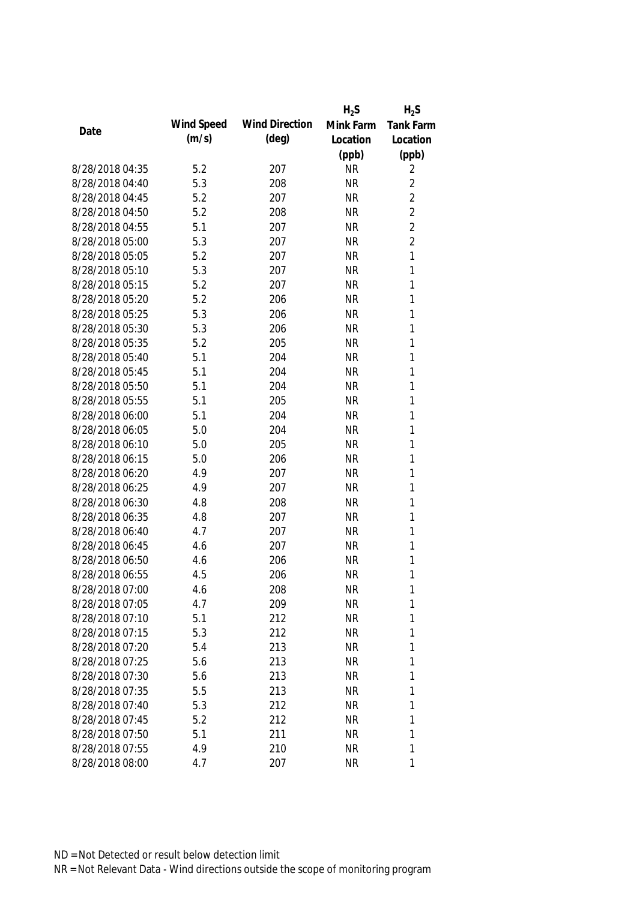|                 |            |                       | $H_2S$    | $H_2S$           |
|-----------------|------------|-----------------------|-----------|------------------|
| Date            | Wind Speed | <b>Wind Direction</b> | Mink Farm | <b>Tank Farm</b> |
|                 | (m/s)      | $(\text{deg})$        | Location  | Location         |
|                 |            |                       | (ppb)     | (ppb)            |
| 8/28/2018 04:35 | 5.2        | 207                   | <b>NR</b> | 2                |
| 8/28/2018 04:40 | 5.3        | 208                   | <b>NR</b> | $\overline{2}$   |
| 8/28/2018 04:45 | 5.2        | 207                   | <b>NR</b> | $\overline{2}$   |
| 8/28/2018 04:50 | 5.2        | 208                   | <b>NR</b> | $\overline{2}$   |
| 8/28/2018 04:55 | 5.1        | 207                   | <b>NR</b> | $\overline{2}$   |
| 8/28/2018 05:00 | 5.3        | 207                   | <b>NR</b> | $\overline{2}$   |
| 8/28/2018 05:05 | 5.2        | 207                   | <b>NR</b> | $\mathbf{1}$     |
| 8/28/2018 05:10 | 5.3        | 207                   | <b>NR</b> | 1                |
| 8/28/2018 05:15 | 5.2        | 207                   | <b>NR</b> | $\mathbf{1}$     |
| 8/28/2018 05:20 | 5.2        | 206                   | <b>NR</b> | 1                |
| 8/28/2018 05:25 | 5.3        | 206                   | <b>NR</b> | 1                |
| 8/28/2018 05:30 | 5.3        | 206                   | <b>NR</b> | 1                |
| 8/28/2018 05:35 | 5.2        | 205                   | <b>NR</b> | 1                |
| 8/28/2018 05:40 | 5.1        | 204                   | <b>NR</b> | 1                |
| 8/28/2018 05:45 | 5.1        | 204                   | <b>NR</b> | 1                |
| 8/28/2018 05:50 | 5.1        | 204                   | <b>NR</b> | 1                |
| 8/28/2018 05:55 | 5.1        | 205                   | <b>NR</b> | 1                |
| 8/28/2018 06:00 | 5.1        | 204                   | <b>NR</b> | 1                |
| 8/28/2018 06:05 | 5.0        | 204                   | <b>NR</b> | 1                |
| 8/28/2018 06:10 | 5.0        | 205                   | <b>NR</b> | 1                |
| 8/28/2018 06:15 | 5.0        | 206                   | <b>NR</b> | 1                |
| 8/28/2018 06:20 | 4.9        | 207                   | <b>NR</b> | 1                |
| 8/28/2018 06:25 | 4.9        | 207                   | <b>NR</b> | 1                |
| 8/28/2018 06:30 | 4.8        | 208                   | <b>NR</b> | 1                |
| 8/28/2018 06:35 | 4.8        | 207                   | <b>NR</b> | 1                |
| 8/28/2018 06:40 | 4.7        | 207                   | <b>NR</b> | 1                |
| 8/28/2018 06:45 | 4.6        | 207                   | <b>NR</b> | 1                |
| 8/28/2018 06:50 | 4.6        | 206                   | <b>NR</b> | 1                |
| 8/28/2018 06:55 | 4.5        | 206                   | <b>NR</b> | 1                |
| 8/28/2018 07:00 | 4.6        | 208                   | <b>NR</b> | 1                |
| 8/28/2018 07:05 | 4.7        | 209                   | <b>NR</b> | 1                |
| 8/28/2018 07:10 | 5.1        | 212                   | <b>NR</b> | 1                |
| 8/28/2018 07:15 | 5.3        | 212                   | <b>NR</b> | 1                |
| 8/28/2018 07:20 | 5.4        | 213                   | <b>NR</b> | 1                |
| 8/28/2018 07:25 | 5.6        | 213                   | <b>NR</b> | 1                |
| 8/28/2018 07:30 | 5.6        | 213                   | <b>NR</b> | 1                |
| 8/28/2018 07:35 | 5.5        | 213                   | <b>NR</b> | 1                |
| 8/28/2018 07:40 | 5.3        | 212                   | <b>NR</b> | 1                |
| 8/28/2018 07:45 | 5.2        | 212                   | <b>NR</b> | 1                |
| 8/28/2018 07:50 | 5.1        | 211                   | <b>NR</b> | 1                |
| 8/28/2018 07:55 | 4.9        | 210                   | <b>NR</b> | 1                |
| 8/28/2018 08:00 | 4.7        | 207                   | <b>NR</b> | 1                |
|                 |            |                       |           |                  |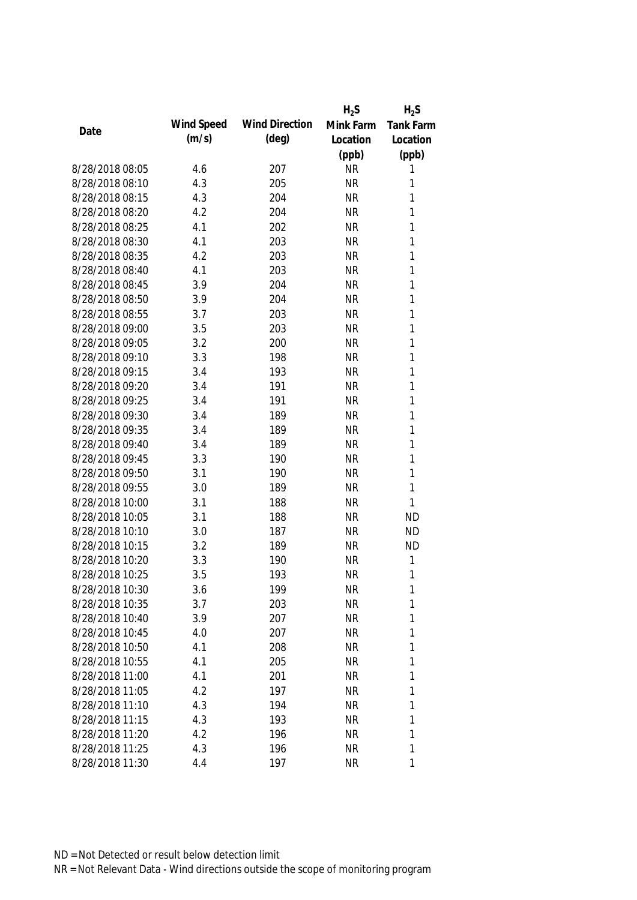|                 |            |                       | $H_2S$    | $H_2S$           |
|-----------------|------------|-----------------------|-----------|------------------|
| Date            | Wind Speed | <b>Wind Direction</b> | Mink Farm | <b>Tank Farm</b> |
|                 | (m/s)      | $(\text{deg})$        | Location  | Location         |
|                 |            |                       | (ppb)     | (ppb)            |
| 8/28/2018 08:05 | 4.6        | 207                   | <b>NR</b> | 1                |
| 8/28/2018 08:10 | 4.3        | 205                   | <b>NR</b> | 1                |
| 8/28/2018 08:15 | 4.3        | 204                   | <b>NR</b> | 1                |
| 8/28/2018 08:20 | 4.2        | 204                   | <b>NR</b> | 1                |
| 8/28/2018 08:25 | 4.1        | 202                   | <b>NR</b> | 1                |
| 8/28/2018 08:30 | 4.1        | 203                   | <b>NR</b> | 1                |
| 8/28/2018 08:35 | 4.2        | 203                   | <b>NR</b> | 1                |
| 8/28/2018 08:40 | 4.1        | 203                   | <b>NR</b> | 1                |
| 8/28/2018 08:45 | 3.9        | 204                   | <b>NR</b> | 1                |
| 8/28/2018 08:50 | 3.9        | 204                   | <b>NR</b> | 1                |
| 8/28/2018 08:55 | 3.7        | 203                   | <b>NR</b> | 1                |
| 8/28/2018 09:00 | 3.5        | 203                   | <b>NR</b> | 1                |
| 8/28/2018 09:05 | 3.2        | 200                   | <b>NR</b> | 1                |
| 8/28/2018 09:10 | 3.3        | 198                   | <b>NR</b> | 1                |
| 8/28/2018 09:15 | 3.4        | 193                   | <b>NR</b> | 1                |
| 8/28/2018 09:20 | 3.4        | 191                   | <b>NR</b> | 1                |
| 8/28/2018 09:25 | 3.4        | 191                   | <b>NR</b> | 1                |
| 8/28/2018 09:30 | 3.4        | 189                   | <b>NR</b> | 1                |
| 8/28/2018 09:35 | 3.4        | 189                   | <b>NR</b> | 1                |
| 8/28/2018 09:40 | 3.4        | 189                   | <b>NR</b> | 1                |
| 8/28/2018 09:45 | 3.3        | 190                   | <b>NR</b> | 1                |
| 8/28/2018 09:50 | 3.1        | 190                   | <b>NR</b> | 1                |
| 8/28/2018 09:55 | 3.0        | 189                   | <b>NR</b> | 1                |
| 8/28/2018 10:00 | 3.1        | 188                   | <b>NR</b> | 1                |
| 8/28/2018 10:05 | 3.1        | 188                   | <b>NR</b> | <b>ND</b>        |
| 8/28/2018 10:10 | 3.0        | 187                   | <b>NR</b> | <b>ND</b>        |
| 8/28/2018 10:15 | 3.2        | 189                   | <b>NR</b> | <b>ND</b>        |
| 8/28/2018 10:20 | 3.3        | 190                   | <b>NR</b> | 1                |
| 8/28/2018 10:25 | 3.5        | 193                   | <b>NR</b> | 1                |
| 8/28/2018 10:30 | 3.6        | 199                   | <b>NR</b> | 1                |
| 8/28/2018 10:35 | 3.7        | 203                   | <b>NR</b> | 1                |
| 8/28/2018 10:40 | 3.9        | 207                   | <b>NR</b> | 1                |
| 8/28/2018 10:45 | 4.0        | 207                   | <b>NR</b> | 1                |
| 8/28/2018 10:50 | 4.1        | 208                   | <b>NR</b> | 1                |
| 8/28/2018 10:55 | 4.1        | 205                   | <b>NR</b> | 1                |
| 8/28/2018 11:00 | 4.1        | 201                   | <b>NR</b> | 1                |
| 8/28/2018 11:05 | 4.2        | 197                   | <b>NR</b> | 1                |
| 8/28/2018 11:10 | 4.3        | 194                   | <b>NR</b> | 1                |
| 8/28/2018 11:15 | 4.3        | 193                   | <b>NR</b> | 1                |
| 8/28/2018 11:20 | 4.2        | 196                   | <b>NR</b> | 1                |
| 8/28/2018 11:25 | 4.3        | 196                   | <b>NR</b> | 1                |
| 8/28/2018 11:30 | 4.4        | 197                   | <b>NR</b> | 1                |
|                 |            |                       |           |                  |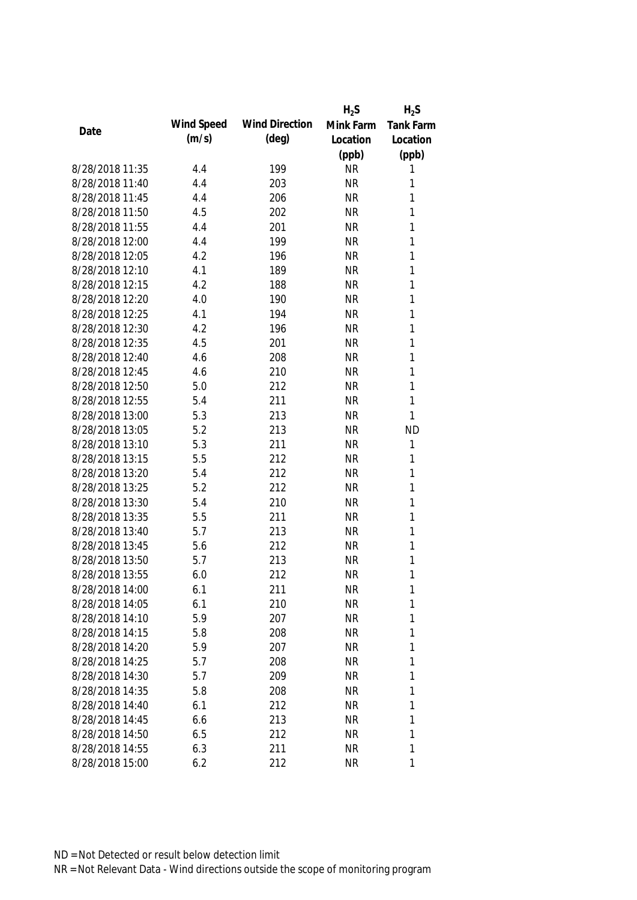|                 |            |                       | $H_2S$    | $H_2S$           |
|-----------------|------------|-----------------------|-----------|------------------|
| Date            | Wind Speed | <b>Wind Direction</b> | Mink Farm | <b>Tank Farm</b> |
|                 | (m/s)      | (deg)                 | Location  | Location         |
|                 |            |                       | (ppb)     | (ppb)            |
| 8/28/2018 11:35 | 4.4        | 199                   | <b>NR</b> | 1                |
| 8/28/2018 11:40 | 4.4        | 203                   | <b>NR</b> | 1                |
| 8/28/2018 11:45 | 4.4        | 206                   | <b>NR</b> | 1                |
| 8/28/2018 11:50 | 4.5        | 202                   | <b>NR</b> | 1                |
| 8/28/2018 11:55 | 4.4        | 201                   | <b>NR</b> | 1                |
| 8/28/2018 12:00 | 4.4        | 199                   | <b>NR</b> | 1                |
| 8/28/2018 12:05 | 4.2        | 196                   | <b>NR</b> | $\mathbf{1}$     |
| 8/28/2018 12:10 | 4.1        | 189                   | <b>NR</b> | $\mathbf{1}$     |
| 8/28/2018 12:15 | 4.2        | 188                   | <b>NR</b> | $\mathbf{1}$     |
| 8/28/2018 12:20 | 4.0        | 190                   | <b>NR</b> | 1                |
| 8/28/2018 12:25 | 4.1        | 194                   | <b>NR</b> | 1                |
| 8/28/2018 12:30 | 4.2        | 196                   | <b>NR</b> | 1                |
| 8/28/2018 12:35 | 4.5        | 201                   | <b>NR</b> | 1                |
| 8/28/2018 12:40 | 4.6        | 208                   | <b>NR</b> | $\mathbf{1}$     |
| 8/28/2018 12:45 | 4.6        | 210                   | <b>NR</b> | $\mathbf{1}$     |
| 8/28/2018 12:50 | 5.0        | 212                   | <b>NR</b> | $\mathbf{1}$     |
| 8/28/2018 12:55 | 5.4        | 211                   | <b>NR</b> | $\mathbf{1}$     |
| 8/28/2018 13:00 | 5.3        | 213                   | <b>NR</b> | $\mathbf{1}$     |
| 8/28/2018 13:05 | 5.2        | 213                   | <b>NR</b> | <b>ND</b>        |
| 8/28/2018 13:10 | 5.3        | 211                   | <b>NR</b> | 1                |
| 8/28/2018 13:15 | 5.5        | 212                   | <b>NR</b> | 1                |
| 8/28/2018 13:20 | 5.4        | 212                   | <b>NR</b> | $\mathbf{1}$     |
| 8/28/2018 13:25 | 5.2        | 212                   | <b>NR</b> | $\mathbf{1}$     |
| 8/28/2018 13:30 | 5.4        | 210                   | <b>NR</b> | 1                |
| 8/28/2018 13:35 | 5.5        | 211                   | <b>NR</b> | 1                |
| 8/28/2018 13:40 | 5.7        | 213                   | <b>NR</b> | 1                |
| 8/28/2018 13:45 | 5.6        | 212                   | <b>NR</b> | 1                |
| 8/28/2018 13:50 | 5.7        | 213                   | <b>NR</b> | 1                |
| 8/28/2018 13:55 | 6.0        | 212                   | <b>NR</b> | 1                |
| 8/28/2018 14:00 | 6.1        | 211                   | <b>NR</b> | 1                |
| 8/28/2018 14:05 | 6.1        | 210                   | <b>NR</b> | 1                |
| 8/28/2018 14:10 | 5.9        | 207                   | <b>NR</b> | 1                |
| 8/28/2018 14:15 | 5.8        | 208                   | <b>NR</b> | 1                |
| 8/28/2018 14:20 | 5.9        | 207                   | <b>NR</b> | 1                |
| 8/28/2018 14:25 | 5.7        | 208                   | <b>NR</b> | 1                |
| 8/28/2018 14:30 | 5.7        | 209                   | <b>NR</b> | 1                |
| 8/28/2018 14:35 | 5.8        | 208                   | <b>NR</b> | 1                |
| 8/28/2018 14:40 | 6.1        | 212                   | <b>NR</b> | 1                |
| 8/28/2018 14:45 | 6.6        | 213                   | <b>NR</b> | 1                |
| 8/28/2018 14:50 | 6.5        | 212                   | <b>NR</b> | 1                |
| 8/28/2018 14:55 | 6.3        | 211                   | <b>NR</b> | 1                |
| 8/28/2018 15:00 | 6.2        | 212                   | <b>NR</b> | 1                |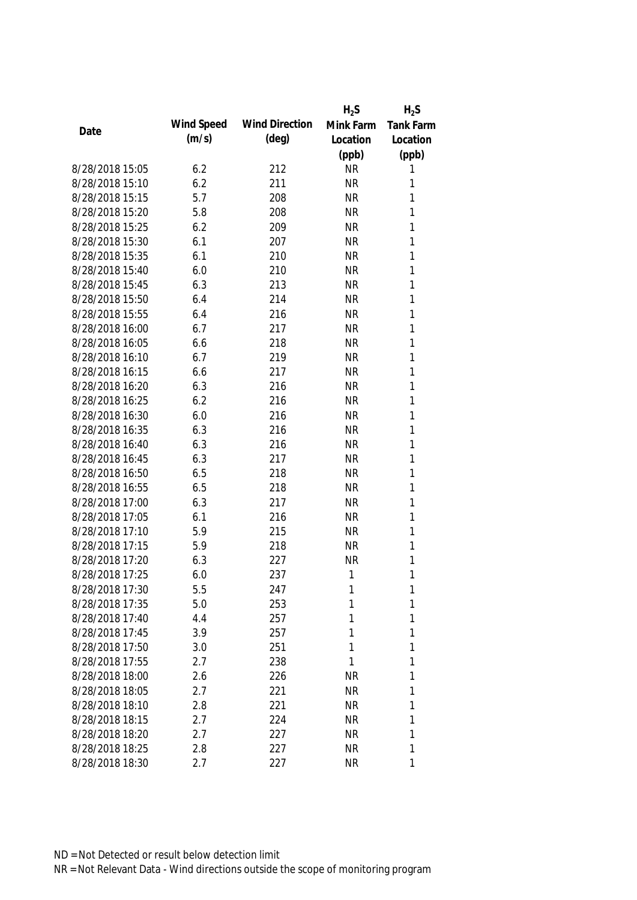|                 |            |                       | $H_2S$    | $H_2S$           |
|-----------------|------------|-----------------------|-----------|------------------|
|                 | Wind Speed | <b>Wind Direction</b> | Mink Farm | <b>Tank Farm</b> |
| Date            | (m/s)      | (deg)                 | Location  | Location         |
|                 |            |                       | (ppb)     | (ppb)            |
| 8/28/2018 15:05 | 6.2        | 212                   | <b>NR</b> | 1                |
| 8/28/2018 15:10 | 6.2        | 211                   | <b>NR</b> | 1                |
| 8/28/2018 15:15 | 5.7        | 208                   | <b>NR</b> | 1                |
| 8/28/2018 15:20 | 5.8        | 208                   | <b>NR</b> | 1                |
| 8/28/2018 15:25 | 6.2        | 209                   | <b>NR</b> | 1                |
| 8/28/2018 15:30 | 6.1        | 207                   | <b>NR</b> | 1                |
| 8/28/2018 15:35 | 6.1        | 210                   | <b>NR</b> | $\mathbf{1}$     |
| 8/28/2018 15:40 | 6.0        | 210                   | <b>NR</b> | $\mathbf{1}$     |
| 8/28/2018 15:45 | 6.3        | 213                   | <b>NR</b> | $\mathbf{1}$     |
| 8/28/2018 15:50 | 6.4        | 214                   | <b>NR</b> | 1                |
| 8/28/2018 15:55 | 6.4        | 216                   | <b>NR</b> | 1                |
| 8/28/2018 16:00 | 6.7        | 217                   | <b>NR</b> | 1                |
| 8/28/2018 16:05 | 6.6        | 218                   | <b>NR</b> | 1                |
| 8/28/2018 16:10 | 6.7        | 219                   | <b>NR</b> | $\mathbf{1}$     |
| 8/28/2018 16:15 | 6.6        | 217                   | <b>NR</b> | $\mathbf{1}$     |
| 8/28/2018 16:20 | 6.3        | 216                   | <b>NR</b> | $\mathbf{1}$     |
| 8/28/2018 16:25 | 6.2        | 216                   | <b>NR</b> | 1                |
| 8/28/2018 16:30 | 6.0        | 216                   | <b>NR</b> | $\mathbf{1}$     |
| 8/28/2018 16:35 | 6.3        | 216                   | <b>NR</b> | 1                |
| 8/28/2018 16:40 | 6.3        | 216                   | <b>NR</b> | 1                |
| 8/28/2018 16:45 | 6.3        | 217                   | <b>NR</b> | 1                |
| 8/28/2018 16:50 | 6.5        | 218                   | <b>NR</b> | $\mathbf{1}$     |
| 8/28/2018 16:55 | 6.5        | 218                   | <b>NR</b> | $\mathbf{1}$     |
| 8/28/2018 17:00 | 6.3        | 217                   | <b>NR</b> | 1                |
| 8/28/2018 17:05 | 6.1        | 216                   | <b>NR</b> | 1                |
| 8/28/2018 17:10 | 5.9        | 215                   | <b>NR</b> | 1                |
| 8/28/2018 17:15 | 5.9        | 218                   | <b>NR</b> | 1                |
| 8/28/2018 17:20 | 6.3        | 227                   | <b>NR</b> | 1                |
| 8/28/2018 17:25 | 6.0        | 237                   | 1         | 1                |
| 8/28/2018 17:30 | 5.5        | 247                   | 1         | 1                |
| 8/28/2018 17:35 | 5.0        | 253                   | 1         | 1                |
| 8/28/2018 17:40 | 4.4        | 257                   | 1         | 1                |
| 8/28/2018 17:45 | 3.9        | 257                   | 1         | 1                |
| 8/28/2018 17:50 | 3.0        | 251                   | 1         | 1                |
| 8/28/2018 17:55 | 2.7        | 238                   | 1         | 1                |
| 8/28/2018 18:00 | 2.6        | 226                   | <b>NR</b> | 1                |
| 8/28/2018 18:05 | 2.7        | 221                   | <b>NR</b> | 1                |
| 8/28/2018 18:10 | 2.8        | 221                   | <b>NR</b> | 1                |
| 8/28/2018 18:15 | 2.7        | 224                   | <b>NR</b> | 1                |
| 8/28/2018 18:20 | 2.7        | 227                   | <b>NR</b> | 1                |
| 8/28/2018 18:25 | 2.8        | 227                   | <b>NR</b> | 1                |
| 8/28/2018 18:30 | 2.7        | 227                   | <b>NR</b> | 1                |
|                 |            |                       |           |                  |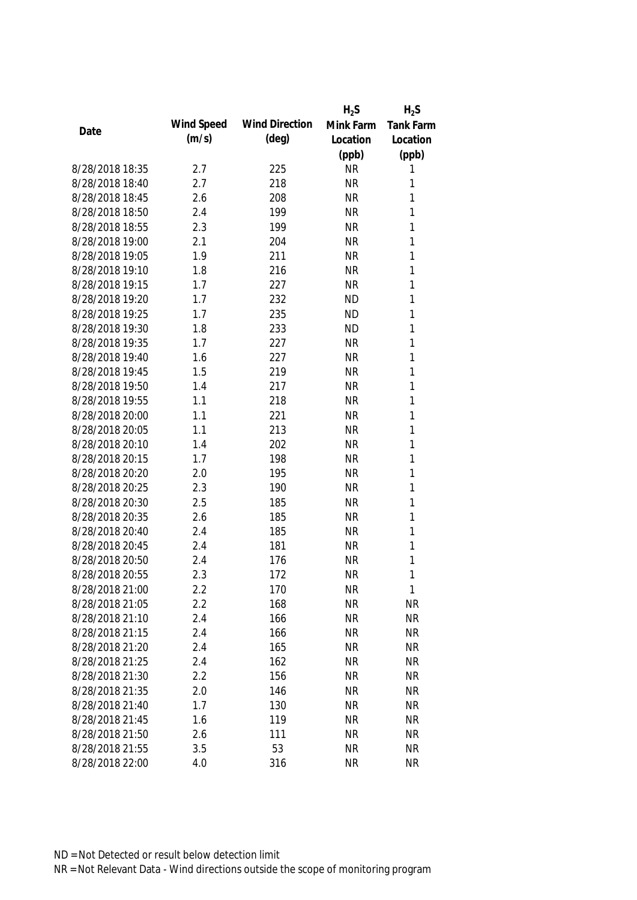|                 |            |                       | $H_2S$    | $H_2S$           |
|-----------------|------------|-----------------------|-----------|------------------|
|                 | Wind Speed | <b>Wind Direction</b> | Mink Farm | <b>Tank Farm</b> |
| Date            | (m/s)      | $(\text{deg})$        | Location  | Location         |
|                 |            |                       | (ppb)     | (ppb)            |
| 8/28/2018 18:35 | 2.7        | 225                   | <b>NR</b> | 1                |
| 8/28/2018 18:40 | 2.7        | 218                   | <b>NR</b> | 1                |
| 8/28/2018 18:45 | 2.6        | 208                   | <b>NR</b> | 1                |
| 8/28/2018 18:50 | 2.4        | 199                   | <b>NR</b> | 1                |
| 8/28/2018 18:55 | 2.3        | 199                   | <b>NR</b> | 1                |
| 8/28/2018 19:00 | 2.1        | 204                   | <b>NR</b> | 1                |
| 8/28/2018 19:05 | 1.9        | 211                   | <b>NR</b> | 1                |
| 8/28/2018 19:10 | 1.8        | 216                   | <b>NR</b> | 1                |
| 8/28/2018 19:15 | 1.7        | 227                   | <b>NR</b> | 1                |
| 8/28/2018 19:20 | 1.7        | 232                   | <b>ND</b> | 1                |
| 8/28/2018 19:25 | 1.7        | 235                   | <b>ND</b> | 1                |
| 8/28/2018 19:30 | 1.8        | 233                   | <b>ND</b> | 1                |
| 8/28/2018 19:35 | 1.7        | 227                   | <b>NR</b> | 1                |
| 8/28/2018 19:40 | 1.6        | 227                   | <b>NR</b> | 1                |
| 8/28/2018 19:45 | 1.5        | 219                   | <b>NR</b> | 1                |
| 8/28/2018 19:50 | 1.4        | 217                   | <b>NR</b> | 1                |
| 8/28/2018 19:55 | 1.1        | 218                   | <b>NR</b> | 1                |
| 8/28/2018 20:00 | 1.1        | 221                   | <b>NR</b> | 1                |
| 8/28/2018 20:05 | 1.1        | 213                   | <b>NR</b> | 1                |
| 8/28/2018 20:10 | 1.4        | 202                   | <b>NR</b> | 1                |
| 8/28/2018 20:15 | 1.7        | 198                   | <b>NR</b> | 1                |
| 8/28/2018 20:20 | 2.0        | 195                   | <b>NR</b> | 1                |
| 8/28/2018 20:25 | 2.3        | 190                   | <b>NR</b> | 1                |
| 8/28/2018 20:30 | 2.5        | 185                   | <b>NR</b> | 1                |
| 8/28/2018 20:35 | 2.6        | 185                   | <b>NR</b> | 1                |
| 8/28/2018 20:40 | 2.4        | 185                   | <b>NR</b> | 1                |
| 8/28/2018 20:45 | 2.4        | 181                   | <b>NR</b> | 1                |
| 8/28/2018 20:50 | 2.4        | 176                   | <b>NR</b> | 1                |
| 8/28/2018 20:55 | 2.3        | 172                   | <b>NR</b> | 1                |
| 8/28/2018 21:00 | 2.2        | 170                   | <b>NR</b> | 1                |
| 8/28/2018 21:05 | 2.2        | 168                   | <b>NR</b> | <b>NR</b>        |
| 8/28/2018 21:10 | 2.4        | 166                   | <b>NR</b> | <b>NR</b>        |
| 8/28/2018 21:15 | 2.4        | 166                   | <b>NR</b> | <b>NR</b>        |
| 8/28/2018 21:20 | 2.4        | 165                   | <b>NR</b> | <b>NR</b>        |
| 8/28/2018 21:25 | 2.4        | 162                   | <b>NR</b> | <b>NR</b>        |
| 8/28/2018 21:30 | 2.2        | 156                   | <b>NR</b> | <b>NR</b>        |
| 8/28/2018 21:35 | 2.0        | 146                   | <b>NR</b> | <b>NR</b>        |
| 8/28/2018 21:40 | 1.7        | 130                   | <b>NR</b> | <b>NR</b>        |
| 8/28/2018 21:45 | 1.6        | 119                   | <b>NR</b> | <b>NR</b>        |
| 8/28/2018 21:50 | 2.6        | 111                   | <b>NR</b> | <b>NR</b>        |
| 8/28/2018 21:55 | 3.5        | 53                    | <b>NR</b> | <b>NR</b>        |
| 8/28/2018 22:00 | 4.0        | 316                   | <b>NR</b> | <b>NR</b>        |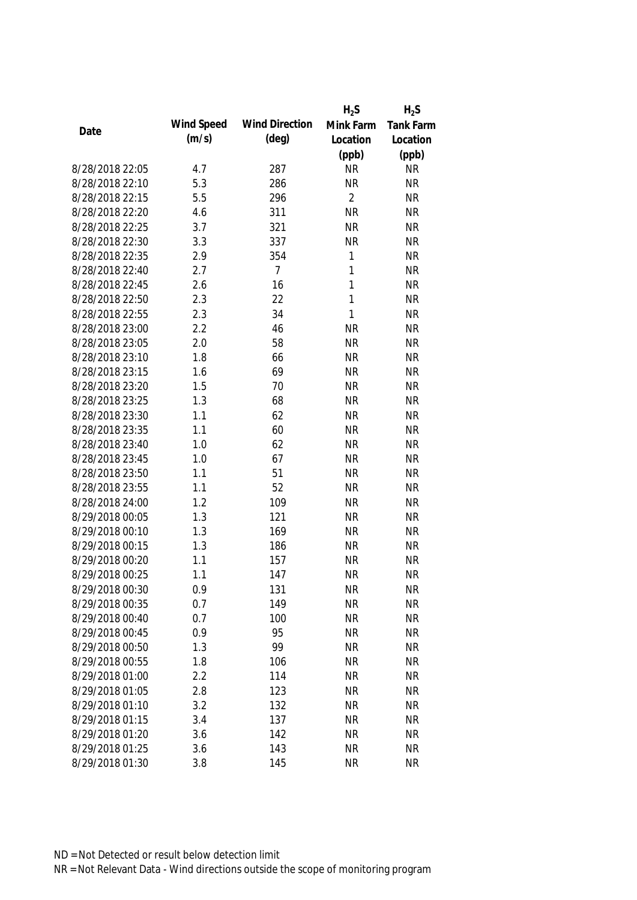|                 |            |                       | $H_2S$         | $H_2S$    |
|-----------------|------------|-----------------------|----------------|-----------|
|                 | Wind Speed | <b>Wind Direction</b> | Mink Farm      | Tank Farm |
| Date            | (m/s)      | $(\text{deg})$        | Location       | Location  |
|                 |            |                       | (ppb)          | (ppb)     |
| 8/28/2018 22:05 | 4.7        | 287                   | <b>NR</b>      | <b>NR</b> |
| 8/28/2018 22:10 | 5.3        | 286                   | <b>NR</b>      | <b>NR</b> |
| 8/28/2018 22:15 | 5.5        | 296                   | $\overline{2}$ | <b>NR</b> |
| 8/28/2018 22:20 | 4.6        | 311                   | <b>NR</b>      | <b>NR</b> |
| 8/28/2018 22:25 | 3.7        | 321                   | <b>NR</b>      | <b>NR</b> |
| 8/28/2018 22:30 | 3.3        | 337                   | <b>NR</b>      | <b>NR</b> |
| 8/28/2018 22:35 | 2.9        | 354                   | 1              | <b>NR</b> |
| 8/28/2018 22:40 | 2.7        | $\overline{7}$        | $\mathbf{1}$   | <b>NR</b> |
| 8/28/2018 22:45 | 2.6        | 16                    | $\mathbf{1}$   | <b>NR</b> |
| 8/28/2018 22:50 | 2.3        | 22                    | 1              | <b>NR</b> |
| 8/28/2018 22:55 | 2.3        | 34                    | 1              | <b>NR</b> |
| 8/28/2018 23:00 | 2.2        | 46                    | <b>NR</b>      | <b>NR</b> |
| 8/28/2018 23:05 | 2.0        | 58                    | <b>NR</b>      | <b>NR</b> |
| 8/28/2018 23:10 | 1.8        | 66                    | <b>NR</b>      | <b>NR</b> |
| 8/28/2018 23:15 | 1.6        | 69                    | <b>NR</b>      | <b>NR</b> |
| 8/28/2018 23:20 | 1.5        | 70                    | <b>NR</b>      | <b>NR</b> |
| 8/28/2018 23:25 | 1.3        | 68                    | <b>NR</b>      | <b>NR</b> |
| 8/28/2018 23:30 | 1.1        | 62                    | <b>NR</b>      | <b>NR</b> |
| 8/28/2018 23:35 | 1.1        | 60                    | <b>NR</b>      | <b>NR</b> |
| 8/28/2018 23:40 | 1.0        | 62                    | <b>NR</b>      | <b>NR</b> |
| 8/28/2018 23:45 | 1.0        | 67                    | <b>NR</b>      | <b>NR</b> |
| 8/28/2018 23:50 | 1.1        | 51                    | <b>NR</b>      | <b>NR</b> |
| 8/28/2018 23:55 | 1.1        | 52                    | <b>NR</b>      | <b>NR</b> |
| 8/28/2018 24:00 | 1.2        | 109                   | <b>NR</b>      | <b>NR</b> |
| 8/29/2018 00:05 | 1.3        | 121                   | <b>NR</b>      | <b>NR</b> |
| 8/29/2018 00:10 | 1.3        | 169                   | <b>NR</b>      | <b>NR</b> |
| 8/29/2018 00:15 | 1.3        | 186                   | <b>NR</b>      | <b>NR</b> |
| 8/29/2018 00:20 | 1.1        | 157                   | <b>NR</b>      | <b>NR</b> |
| 8/29/2018 00:25 | 1.1        | 147                   | <b>NR</b>      | <b>NR</b> |
| 8/29/2018 00:30 | 0.9        | 131                   | <b>NR</b>      | <b>NR</b> |
| 8/29/2018 00:35 | 0.7        | 149                   | <b>NR</b>      | <b>NR</b> |
| 8/29/2018 00:40 | 0.7        | 100                   | <b>NR</b>      | <b>NR</b> |
| 8/29/2018 00:45 | 0.9        | 95                    | <b>NR</b>      | <b>NR</b> |
| 8/29/2018 00:50 | 1.3        | 99                    | <b>NR</b>      | <b>NR</b> |
| 8/29/2018 00:55 | 1.8        | 106                   | <b>NR</b>      | <b>NR</b> |
| 8/29/2018 01:00 | 2.2        | 114                   | <b>NR</b>      | <b>NR</b> |
| 8/29/2018 01:05 | 2.8        | 123                   | <b>NR</b>      | <b>NR</b> |
| 8/29/2018 01:10 | 3.2        | 132                   | <b>NR</b>      | <b>NR</b> |
| 8/29/2018 01:15 | 3.4        | 137                   | <b>NR</b>      | <b>NR</b> |
| 8/29/2018 01:20 | 3.6        | 142                   | <b>NR</b>      | <b>NR</b> |
| 8/29/2018 01:25 | 3.6        | 143                   | <b>NR</b>      | <b>NR</b> |
| 8/29/2018 01:30 | 3.8        | 145                   | <b>NR</b>      | <b>NR</b> |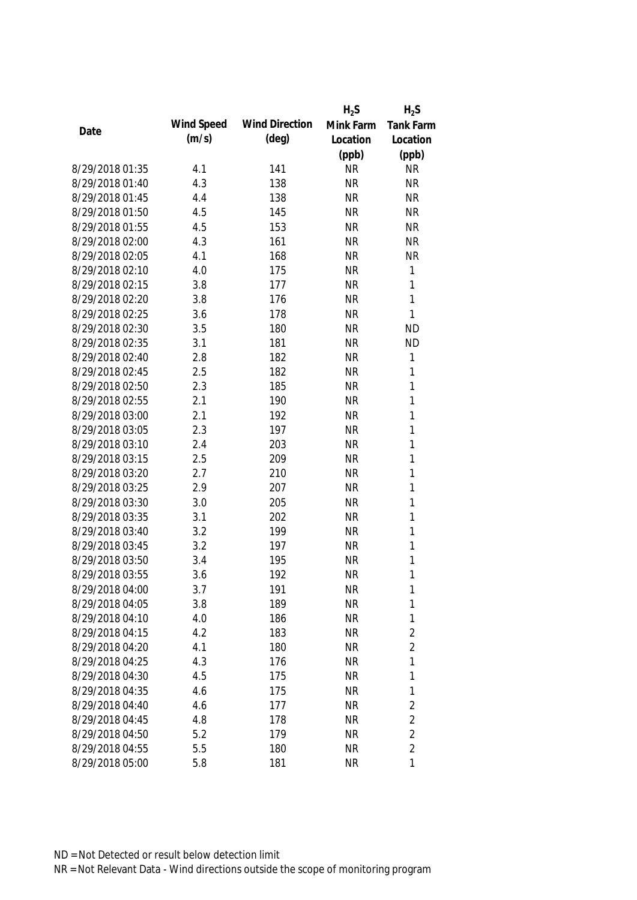|                 |            |                       | $H_2S$    | $H_2S$         |
|-----------------|------------|-----------------------|-----------|----------------|
| Date            | Wind Speed | <b>Wind Direction</b> | Mink Farm | Tank Farm      |
|                 | (m/s)      | $(\text{deg})$        | Location  | Location       |
|                 |            |                       | (ppb)     | (ppb)          |
| 8/29/2018 01:35 | 4.1        | 141                   | <b>NR</b> | <b>NR</b>      |
| 8/29/2018 01:40 | 4.3        | 138                   | <b>NR</b> | <b>NR</b>      |
| 8/29/2018 01:45 | 4.4        | 138                   | <b>NR</b> | <b>NR</b>      |
| 8/29/2018 01:50 | 4.5        | 145                   | <b>NR</b> | <b>NR</b>      |
| 8/29/2018 01:55 | 4.5        | 153                   | <b>NR</b> | <b>NR</b>      |
| 8/29/2018 02:00 | 4.3        | 161                   | <b>NR</b> | <b>NR</b>      |
| 8/29/2018 02:05 | 4.1        | 168                   | <b>NR</b> | <b>NR</b>      |
| 8/29/2018 02:10 | 4.0        | 175                   | <b>NR</b> | $\mathbf{1}$   |
| 8/29/2018 02:15 | 3.8        | 177                   | <b>NR</b> | 1              |
| 8/29/2018 02:20 | 3.8        | 176                   | <b>NR</b> | 1              |
| 8/29/2018 02:25 | 3.6        | 178                   | <b>NR</b> | $\mathbf{1}$   |
| 8/29/2018 02:30 | 3.5        | 180                   | <b>NR</b> | <b>ND</b>      |
| 8/29/2018 02:35 | 3.1        | 181                   | <b>NR</b> | <b>ND</b>      |
| 8/29/2018 02:40 | 2.8        | 182                   | <b>NR</b> | $\mathbf{1}$   |
| 8/29/2018 02:45 | 2.5        | 182                   | <b>NR</b> | $\mathbf{1}$   |
| 8/29/2018 02:50 | 2.3        | 185                   | <b>NR</b> | $\mathbf{1}$   |
| 8/29/2018 02:55 | 2.1        | 190                   | <b>NR</b> | 1              |
| 8/29/2018 03:00 | 2.1        | 192                   | <b>NR</b> | 1              |
| 8/29/2018 03:05 | 2.3        | 197                   | <b>NR</b> | $\mathbf{1}$   |
| 8/29/2018 03:10 | 2.4        | 203                   | <b>NR</b> | 1              |
| 8/29/2018 03:15 | 2.5        | 209                   | <b>NR</b> | 1              |
| 8/29/2018 03:20 | 2.7        | 210                   | <b>NR</b> | 1              |
| 8/29/2018 03:25 | 2.9        | 207                   | <b>NR</b> | $\mathbf{1}$   |
| 8/29/2018 03:30 | 3.0        | 205                   | <b>NR</b> | $\mathbf{1}$   |
| 8/29/2018 03:35 | 3.1        | 202                   | <b>NR</b> | 1              |
| 8/29/2018 03:40 | 3.2        | 199                   | <b>NR</b> | 1              |
| 8/29/2018 03:45 | 3.2        | 197                   | <b>NR</b> | 1              |
| 8/29/2018 03:50 | 3.4        | 195                   | <b>NR</b> | 1              |
| 8/29/2018 03:55 | 3.6        | 192                   | <b>NR</b> | 1              |
| 8/29/2018 04:00 | 3.7        | 191                   | <b>NR</b> | 1              |
| 8/29/2018 04:05 | 3.8        | 189                   | <b>NR</b> | 1              |
| 8/29/2018 04:10 | 4.0        | 186                   | <b>NR</b> | 1              |
| 8/29/2018 04:15 | 4.2        | 183                   | <b>NR</b> | $\overline{2}$ |
| 8/29/2018 04:20 | 4.1        | 180                   | <b>NR</b> | $\overline{2}$ |
| 8/29/2018 04:25 | 4.3        | 176                   | <b>NR</b> | $\mathbf{1}$   |
| 8/29/2018 04:30 | 4.5        | 175                   | <b>NR</b> | 1              |
| 8/29/2018 04:35 | 4.6        | 175                   | <b>NR</b> | 1              |
| 8/29/2018 04:40 | 4.6        | 177                   | <b>NR</b> | $\overline{2}$ |
| 8/29/2018 04:45 | 4.8        | 178                   | <b>NR</b> | $\overline{2}$ |
| 8/29/2018 04:50 | 5.2        | 179                   | <b>NR</b> | $\overline{2}$ |
| 8/29/2018 04:55 | 5.5        | 180                   | <b>NR</b> | $\overline{2}$ |
| 8/29/2018 05:00 | 5.8        | 181                   | <b>NR</b> | 1              |
|                 |            |                       |           |                |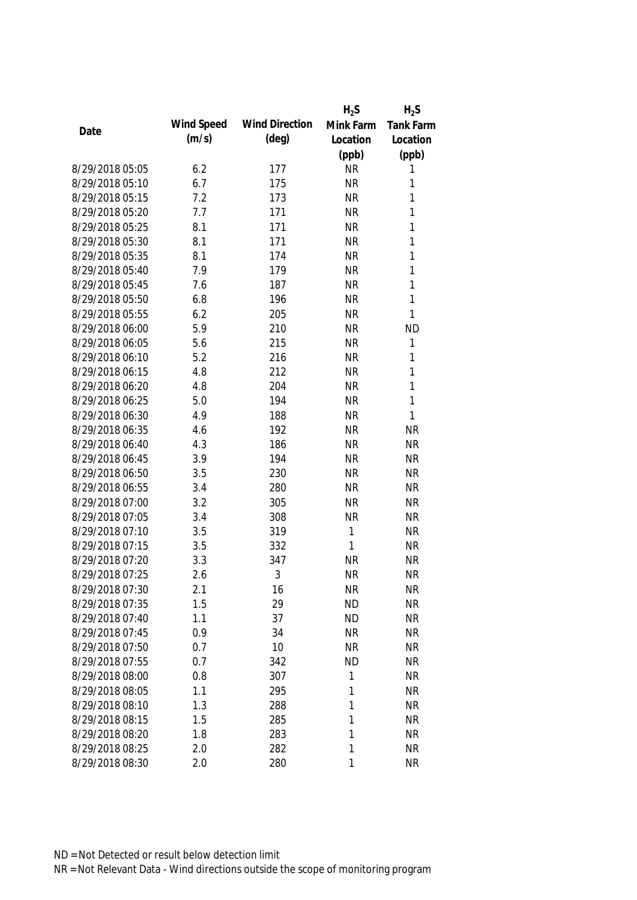|                 |            |                       | $H_2S$    | $H_2S$           |
|-----------------|------------|-----------------------|-----------|------------------|
| Date            | Wind Speed | <b>Wind Direction</b> | Mink Farm | <b>Tank Farm</b> |
|                 | (m/s)      | $(\text{deg})$        | Location  | Location         |
|                 |            |                       | (ppb)     | (ppb)            |
| 8/29/2018 05:05 | 6.2        | 177                   | <b>NR</b> | 1                |
| 8/29/2018 05:10 | 6.7        | 175                   | <b>NR</b> | 1                |
| 8/29/2018 05:15 | 7.2        | 173                   | <b>NR</b> | 1                |
| 8/29/2018 05:20 | 7.7        | 171                   | <b>NR</b> | 1                |
| 8/29/2018 05:25 | 8.1        | 171                   | <b>NR</b> | 1                |
| 8/29/2018 05:30 | 8.1        | 171                   | <b>NR</b> | 1                |
| 8/29/2018 05:35 | 8.1        | 174                   | <b>NR</b> | 1                |
| 8/29/2018 05:40 | 7.9        | 179                   | <b>NR</b> | 1                |
| 8/29/2018 05:45 | 7.6        | 187                   | <b>NR</b> | 1                |
| 8/29/2018 05:50 | 6.8        | 196                   | <b>NR</b> | 1                |
| 8/29/2018 05:55 | 6.2        | 205                   | <b>NR</b> | $\mathbf{1}$     |
| 8/29/2018 06:00 | 5.9        | 210                   | <b>NR</b> | <b>ND</b>        |
| 8/29/2018 06:05 | 5.6        | 215                   | <b>NR</b> | 1                |
| 8/29/2018 06:10 | 5.2        | 216                   | <b>NR</b> | 1                |
| 8/29/2018 06:15 | 4.8        | 212                   | <b>NR</b> | 1                |
| 8/29/2018 06:20 | 4.8        | 204                   | <b>NR</b> | 1                |
| 8/29/2018 06:25 | 5.0        | 194                   | <b>NR</b> | $\mathbf{1}$     |
| 8/29/2018 06:30 | 4.9        | 188                   | <b>NR</b> | $\mathbf{1}$     |
| 8/29/2018 06:35 | 4.6        | 192                   | <b>NR</b> | <b>NR</b>        |
| 8/29/2018 06:40 | 4.3        | 186                   | <b>NR</b> | <b>NR</b>        |
| 8/29/2018 06:45 | 3.9        | 194                   | <b>NR</b> | <b>NR</b>        |
| 8/29/2018 06:50 | 3.5        | 230                   | <b>NR</b> | <b>NR</b>        |
| 8/29/2018 06:55 | 3.4        | 280                   | <b>NR</b> | <b>NR</b>        |
| 8/29/2018 07:00 | 3.2        | 305                   | <b>NR</b> | <b>NR</b>        |
| 8/29/2018 07:05 | 3.4        | 308                   | <b>NR</b> | <b>NR</b>        |
| 8/29/2018 07:10 | 3.5        | 319                   | 1         | <b>NR</b>        |
| 8/29/2018 07:15 | 3.5        | 332                   | 1         | <b>NR</b>        |
| 8/29/2018 07:20 | 3.3        | 347                   | <b>NR</b> | <b>NR</b>        |
| 8/29/2018 07:25 | 2.6        | 3                     | <b>NR</b> | <b>NR</b>        |
| 8/29/2018 07:30 | 2.1        | 16                    | <b>NR</b> | <b>NR</b>        |
| 8/29/2018 07:35 | 1.5        | 29                    | <b>ND</b> | <b>NR</b>        |
| 8/29/2018 07:40 | 1.1        | 37                    | ND        | <b>NR</b>        |
| 8/29/2018 07:45 | 0.9        | 34                    | <b>NR</b> | <b>NR</b>        |
| 8/29/2018 07:50 | 0.7        | 10                    | <b>NR</b> | <b>NR</b>        |
| 8/29/2018 07:55 | 0.7        | 342                   | <b>ND</b> | <b>NR</b>        |
| 8/29/2018 08:00 | 0.8        | 307                   | 1         | <b>NR</b>        |
| 8/29/2018 08:05 | 1.1        | 295                   | 1         | <b>NR</b>        |
| 8/29/2018 08:10 | 1.3        | 288                   | 1         | <b>NR</b>        |
| 8/29/2018 08:15 | 1.5        | 285                   | 1         | <b>NR</b>        |
| 8/29/2018 08:20 | 1.8        | 283                   | 1         | <b>NR</b>        |
| 8/29/2018 08:25 | 2.0        | 282                   | 1         | <b>NR</b>        |
| 8/29/2018 08:30 | 2.0        | 280                   | 1         | <b>NR</b>        |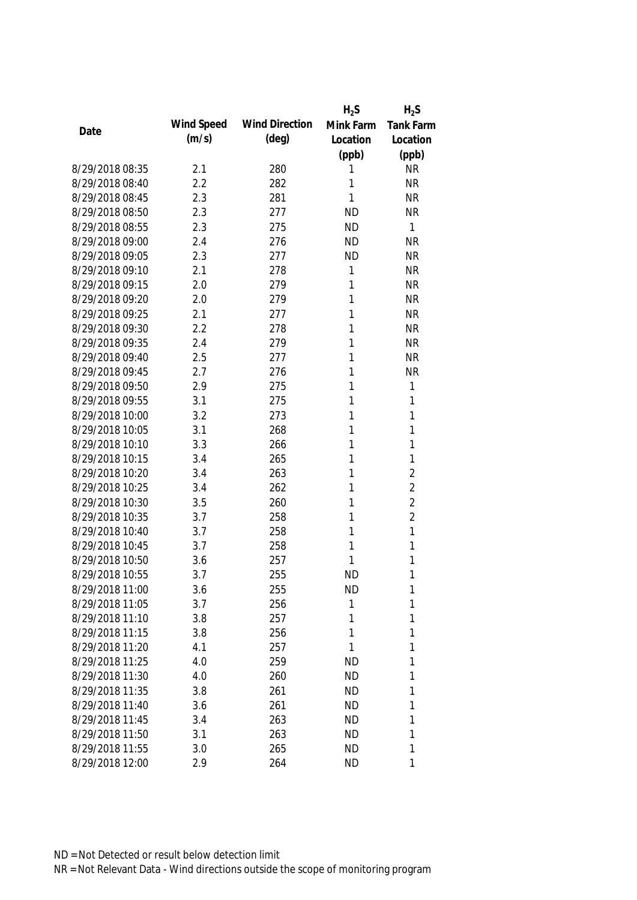|                 |            |                       | $H_2S$    | $H_2S$           |
|-----------------|------------|-----------------------|-----------|------------------|
| Date            | Wind Speed | <b>Wind Direction</b> | Mink Farm | <b>Tank Farm</b> |
|                 | (m/s)      | $(\text{deg})$        | Location  | Location         |
|                 |            |                       | (ppb)     | (ppb)            |
| 8/29/2018 08:35 | 2.1        | 280                   | 1         | <b>NR</b>        |
| 8/29/2018 08:40 | 2.2        | 282                   | 1         | <b>NR</b>        |
| 8/29/2018 08:45 | 2.3        | 281                   | 1         | <b>NR</b>        |
| 8/29/2018 08:50 | 2.3        | 277                   | <b>ND</b> | <b>NR</b>        |
| 8/29/2018 08:55 | 2.3        | 275                   | <b>ND</b> | 1                |
| 8/29/2018 09:00 | 2.4        | 276                   | <b>ND</b> | <b>NR</b>        |
| 8/29/2018 09:05 | 2.3        | 277                   | <b>ND</b> | <b>NR</b>        |
| 8/29/2018 09:10 | 2.1        | 278                   | 1         | <b>NR</b>        |
| 8/29/2018 09:15 | 2.0        | 279                   | 1         | <b>NR</b>        |
| 8/29/2018 09:20 | 2.0        | 279                   | 1         | <b>NR</b>        |
| 8/29/2018 09:25 | 2.1        | 277                   | 1         | <b>NR</b>        |
| 8/29/2018 09:30 | 2.2        | 278                   | 1         | <b>NR</b>        |
| 8/29/2018 09:35 | 2.4        | 279                   | 1         | <b>NR</b>        |
| 8/29/2018 09:40 | 2.5        | 277                   | 1         | <b>NR</b>        |
| 8/29/2018 09:45 | 2.7        | 276                   | 1         | <b>NR</b>        |
| 8/29/2018 09:50 | 2.9        | 275                   | 1         | $\mathbf{1}$     |
| 8/29/2018 09:55 | 3.1        | 275                   | 1         | 1                |
| 8/29/2018 10:00 | 3.2        | 273                   | 1         | $\mathbf{1}$     |
| 8/29/2018 10:05 | 3.1        | 268                   | 1         | 1                |
| 8/29/2018 10:10 | 3.3        | 266                   | 1         | $\mathbf{1}$     |
| 8/29/2018 10:15 | 3.4        | 265                   | 1         | 1                |
| 8/29/2018 10:20 | 3.4        | 263                   | 1         | $\overline{2}$   |
| 8/29/2018 10:25 | 3.4        | 262                   | 1         | $\overline{2}$   |
| 8/29/2018 10:30 | 3.5        | 260                   | 1         | $\overline{2}$   |
| 8/29/2018 10:35 | 3.7        | 258                   | 1         | $\overline{2}$   |
| 8/29/2018 10:40 | 3.7        | 258                   | 1         | 1                |
| 8/29/2018 10:45 | 3.7        | 258                   | 1         | 1                |
| 8/29/2018 10:50 | 3.6        | 257                   | 1         | 1                |
| 8/29/2018 10:55 | 3.7        | 255                   | <b>ND</b> | 1                |
| 8/29/2018 11:00 | 3.6        | 255                   | <b>ND</b> | 1                |
| 8/29/2018 11:05 | 3.7        | 256                   | 1         | 1                |
| 8/29/2018 11:10 | 3.8        | 257                   | 1         | 1                |
| 8/29/2018 11:15 | 3.8        | 256                   | 1         | 1                |
| 8/29/2018 11:20 | 4.1        | 257                   | 1         | 1                |
| 8/29/2018 11:25 | 4.0        | 259                   | <b>ND</b> | 1                |
| 8/29/2018 11:30 | 4.0        | 260                   | <b>ND</b> | 1                |
| 8/29/2018 11:35 | 3.8        | 261                   | <b>ND</b> | 1                |
| 8/29/2018 11:40 | 3.6        | 261                   | <b>ND</b> | 1                |
| 8/29/2018 11:45 | 3.4        | 263                   | <b>ND</b> | 1                |
| 8/29/2018 11:50 | 3.1        | 263                   | <b>ND</b> | 1                |
| 8/29/2018 11:55 | 3.0        | 265                   | <b>ND</b> | 1                |
| 8/29/2018 12:00 | 2.9        | 264                   | <b>ND</b> | 1                |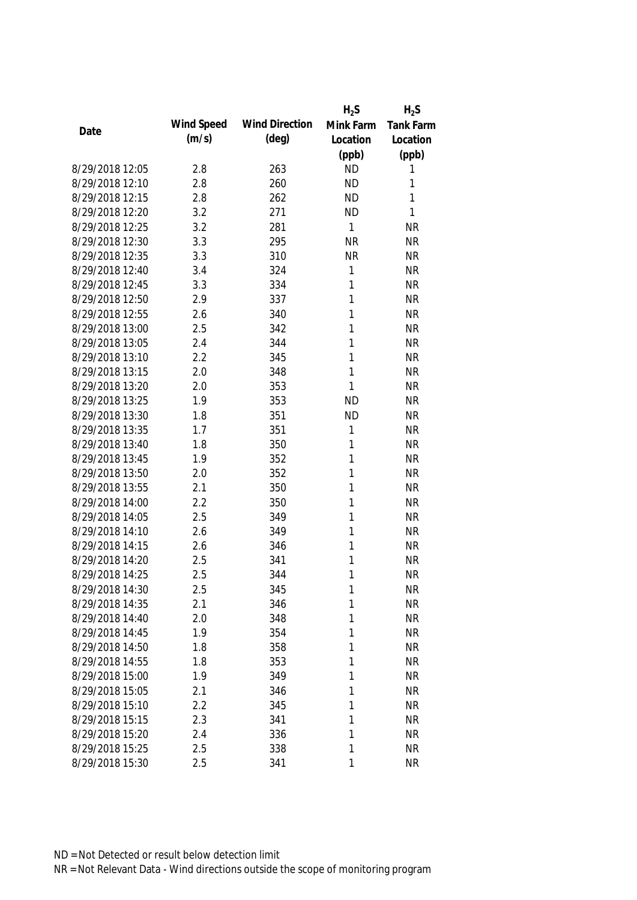|                 |            |                       | $H_2S$    | $H_2S$           |
|-----------------|------------|-----------------------|-----------|------------------|
| Date            | Wind Speed | <b>Wind Direction</b> | Mink Farm | <b>Tank Farm</b> |
|                 | (m/s)      | $(\text{deg})$        | Location  | Location         |
|                 |            |                       | (ppb)     | (ppb)            |
| 8/29/2018 12:05 | 2.8        | 263                   | <b>ND</b> | 1                |
| 8/29/2018 12:10 | 2.8        | 260                   | <b>ND</b> | 1                |
| 8/29/2018 12:15 | 2.8        | 262                   | <b>ND</b> | 1                |
| 8/29/2018 12:20 | 3.2        | 271                   | <b>ND</b> | 1                |
| 8/29/2018 12:25 | 3.2        | 281                   | 1         | <b>NR</b>        |
| 8/29/2018 12:30 | 3.3        | 295                   | <b>NR</b> | <b>NR</b>        |
| 8/29/2018 12:35 | 3.3        | 310                   | <b>NR</b> | <b>NR</b>        |
| 8/29/2018 12:40 | 3.4        | 324                   | 1         | <b>NR</b>        |
| 8/29/2018 12:45 | 3.3        | 334                   | 1         | <b>NR</b>        |
| 8/29/2018 12:50 | 2.9        | 337                   | 1         | <b>NR</b>        |
| 8/29/2018 12:55 | 2.6        | 340                   | 1         | <b>NR</b>        |
| 8/29/2018 13:00 | 2.5        | 342                   | 1         | <b>NR</b>        |
| 8/29/2018 13:05 | 2.4        | 344                   | 1         | <b>NR</b>        |
| 8/29/2018 13:10 | 2.2        | 345                   | 1         | <b>NR</b>        |
| 8/29/2018 13:15 | 2.0        | 348                   | 1         | <b>NR</b>        |
| 8/29/2018 13:20 | 2.0        | 353                   | 1         | <b>NR</b>        |
| 8/29/2018 13:25 | 1.9        | 353                   | <b>ND</b> | <b>NR</b>        |
| 8/29/2018 13:30 | 1.8        | 351                   | <b>ND</b> | <b>NR</b>        |
| 8/29/2018 13:35 | 1.7        | 351                   | 1         | <b>NR</b>        |
| 8/29/2018 13:40 | 1.8        | 350                   | 1         | <b>NR</b>        |
| 8/29/2018 13:45 | 1.9        | 352                   | 1         | <b>NR</b>        |
| 8/29/2018 13:50 | 2.0        | 352                   | 1         | <b>NR</b>        |
| 8/29/2018 13:55 | 2.1        | 350                   | 1         | <b>NR</b>        |
| 8/29/2018 14:00 | 2.2        | 350                   | 1         | <b>NR</b>        |
| 8/29/2018 14:05 | 2.5        | 349                   | 1         | <b>NR</b>        |
| 8/29/2018 14:10 | 2.6        | 349                   | 1         | <b>NR</b>        |
| 8/29/2018 14:15 | 2.6        | 346                   | 1         | <b>NR</b>        |
| 8/29/2018 14:20 | 2.5        | 341                   | 1         | <b>NR</b>        |
| 8/29/2018 14:25 | 2.5        | 344                   | 1         | <b>NR</b>        |
| 8/29/2018 14:30 | 2.5        | 345                   | 1         | <b>NR</b>        |
| 8/29/2018 14:35 | 2.1        | 346                   | 1         | <b>NR</b>        |
| 8/29/2018 14:40 | 2.0        | 348                   | 1         | <b>NR</b>        |
| 8/29/2018 14:45 | 1.9        | 354                   | 1         | <b>NR</b>        |
| 8/29/2018 14:50 | 1.8        | 358                   | 1         | <b>NR</b>        |
| 8/29/2018 14:55 | 1.8        | 353                   | 1         | <b>NR</b>        |
| 8/29/2018 15:00 | 1.9        | 349                   | 1         | <b>NR</b>        |
| 8/29/2018 15:05 | 2.1        | 346                   | 1         | <b>NR</b>        |
| 8/29/2018 15:10 | 2.2        | 345                   | 1         | <b>NR</b>        |
| 8/29/2018 15:15 | 2.3        | 341                   | 1         | <b>NR</b>        |
| 8/29/2018 15:20 | 2.4        | 336                   | 1         | <b>NR</b>        |
| 8/29/2018 15:25 | 2.5        | 338                   | 1         | <b>NR</b>        |
| 8/29/2018 15:30 | 2.5        | 341                   | 1         | <b>NR</b>        |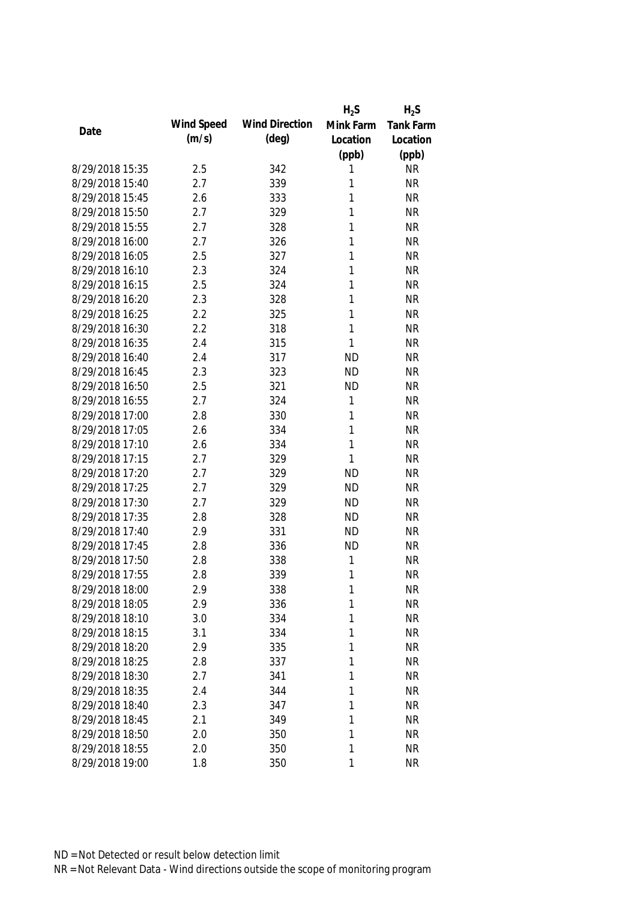|                 |            |                       | $H_2S$    | $H_2S$           |
|-----------------|------------|-----------------------|-----------|------------------|
| Date            | Wind Speed | <b>Wind Direction</b> | Mink Farm | <b>Tank Farm</b> |
|                 | (m/s)      | $(\text{deg})$        | Location  | Location         |
|                 |            |                       | (ppb)     | (ppb)            |
| 8/29/2018 15:35 | 2.5        | 342                   | 1         | <b>NR</b>        |
| 8/29/2018 15:40 | 2.7        | 339                   | 1         | <b>NR</b>        |
| 8/29/2018 15:45 | 2.6        | 333                   | 1         | <b>NR</b>        |
| 8/29/2018 15:50 | 2.7        | 329                   | 1         | <b>NR</b>        |
| 8/29/2018 15:55 | 2.7        | 328                   | 1         | <b>NR</b>        |
| 8/29/2018 16:00 | 2.7        | 326                   | 1         | <b>NR</b>        |
| 8/29/2018 16:05 | 2.5        | 327                   | 1         | <b>NR</b>        |
| 8/29/2018 16:10 | 2.3        | 324                   | 1         | <b>NR</b>        |
| 8/29/2018 16:15 | 2.5        | 324                   | 1         | <b>NR</b>        |
| 8/29/2018 16:20 | 2.3        | 328                   | 1         | <b>NR</b>        |
| 8/29/2018 16:25 | 2.2        | 325                   | 1         | <b>NR</b>        |
| 8/29/2018 16:30 | 2.2        | 318                   | 1         | <b>NR</b>        |
| 8/29/2018 16:35 | 2.4        | 315                   | 1         | <b>NR</b>        |
| 8/29/2018 16:40 | 2.4        | 317                   | <b>ND</b> | <b>NR</b>        |
| 8/29/2018 16:45 | 2.3        | 323                   | <b>ND</b> | <b>NR</b>        |
| 8/29/2018 16:50 | 2.5        | 321                   | <b>ND</b> | <b>NR</b>        |
| 8/29/2018 16:55 | 2.7        | 324                   | 1         | <b>NR</b>        |
| 8/29/2018 17:00 | 2.8        | 330                   | 1         | <b>NR</b>        |
| 8/29/2018 17:05 | 2.6        | 334                   | 1         | <b>NR</b>        |
| 8/29/2018 17:10 | 2.6        | 334                   | 1         | <b>NR</b>        |
| 8/29/2018 17:15 | 2.7        | 329                   | 1         | <b>NR</b>        |
| 8/29/2018 17:20 | 2.7        | 329                   | <b>ND</b> | <b>NR</b>        |
| 8/29/2018 17:25 | 2.7        | 329                   | <b>ND</b> | <b>NR</b>        |
| 8/29/2018 17:30 | 2.7        | 329                   | <b>ND</b> | <b>NR</b>        |
| 8/29/2018 17:35 | 2.8        | 328                   | <b>ND</b> | <b>NR</b>        |
| 8/29/2018 17:40 | 2.9        | 331                   | <b>ND</b> | <b>NR</b>        |
| 8/29/2018 17:45 | 2.8        | 336                   | <b>ND</b> | <b>NR</b>        |
| 8/29/2018 17:50 | 2.8        | 338                   | 1         | <b>NR</b>        |
| 8/29/2018 17:55 | 2.8        | 339                   | 1         | <b>NR</b>        |
| 8/29/2018 18:00 | 2.9        | 338                   | 1         | <b>NR</b>        |
| 8/29/2018 18:05 | 2.9        | 336                   | 1         | <b>NR</b>        |
| 8/29/2018 18:10 | 3.0        | 334                   | 1         | <b>NR</b>        |
| 8/29/2018 18:15 | 3.1        | 334                   | 1         | <b>NR</b>        |
| 8/29/2018 18:20 | 2.9        | 335                   | 1         | <b>NR</b>        |
| 8/29/2018 18:25 | 2.8        | 337                   | 1         | <b>NR</b>        |
| 8/29/2018 18:30 | 2.7        | 341                   | 1         | <b>NR</b>        |
| 8/29/2018 18:35 | 2.4        | 344                   | 1         | <b>NR</b>        |
| 8/29/2018 18:40 | 2.3        | 347                   | 1         | <b>NR</b>        |
| 8/29/2018 18:45 | 2.1        | 349                   | 1         | <b>NR</b>        |
| 8/29/2018 18:50 | 2.0        | 350                   | 1         | <b>NR</b>        |
| 8/29/2018 18:55 | 2.0        | 350                   | 1         | <b>NR</b>        |
| 8/29/2018 19:00 | 1.8        | 350                   | 1         | <b>NR</b>        |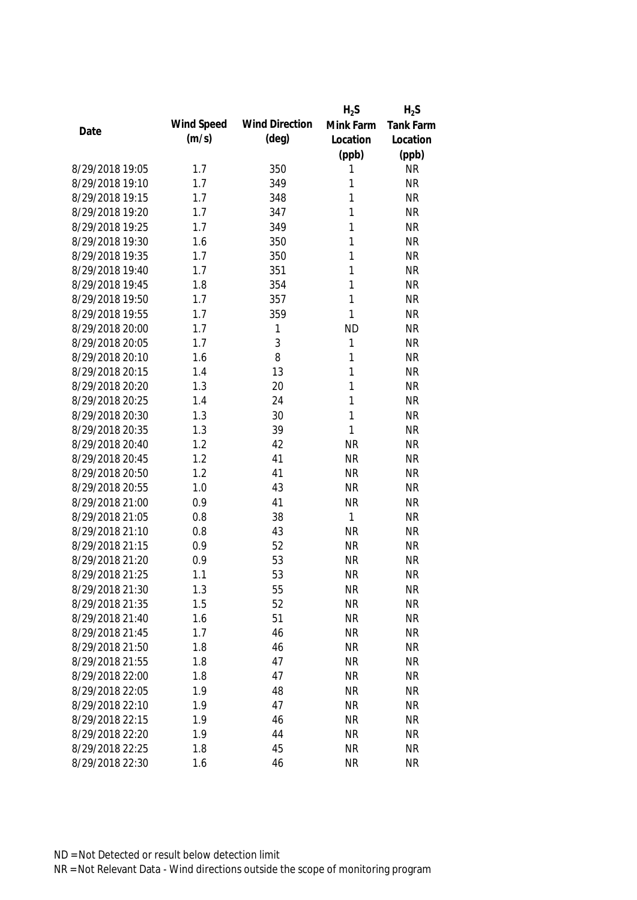|                 |            |                       | $H_2S$    | $H_2S$           |
|-----------------|------------|-----------------------|-----------|------------------|
| Date            | Wind Speed | <b>Wind Direction</b> | Mink Farm | <b>Tank Farm</b> |
|                 | (m/s)      | $(\text{deg})$        | Location  | Location         |
|                 |            |                       | (ppb)     | (ppb)            |
| 8/29/2018 19:05 | 1.7        | 350                   | 1         | <b>NR</b>        |
| 8/29/2018 19:10 | 1.7        | 349                   | 1         | <b>NR</b>        |
| 8/29/2018 19:15 | 1.7        | 348                   | 1         | <b>NR</b>        |
| 8/29/2018 19:20 | 1.7        | 347                   | 1         | <b>NR</b>        |
| 8/29/2018 19:25 | 1.7        | 349                   | 1         | <b>NR</b>        |
| 8/29/2018 19:30 | 1.6        | 350                   | 1         | <b>NR</b>        |
| 8/29/2018 19:35 | 1.7        | 350                   | 1         | <b>NR</b>        |
| 8/29/2018 19:40 | 1.7        | 351                   | 1         | <b>NR</b>        |
| 8/29/2018 19:45 | 1.8        | 354                   | 1         | <b>NR</b>        |
| 8/29/2018 19:50 | 1.7        | 357                   | 1         | <b>NR</b>        |
| 8/29/2018 19:55 | 1.7        | 359                   | 1         | <b>NR</b>        |
| 8/29/2018 20:00 | 1.7        | 1                     | <b>ND</b> | <b>NR</b>        |
| 8/29/2018 20:05 | 1.7        | 3                     | 1         | <b>NR</b>        |
| 8/29/2018 20:10 | 1.6        | 8                     | 1         | <b>NR</b>        |
| 8/29/2018 20:15 | 1.4        | 13                    | 1         | <b>NR</b>        |
| 8/29/2018 20:20 | 1.3        | 20                    | 1         | <b>NR</b>        |
| 8/29/2018 20:25 | 1.4        | 24                    | 1         | <b>NR</b>        |
| 8/29/2018 20:30 | 1.3        | 30                    | 1         | <b>NR</b>        |
| 8/29/2018 20:35 | 1.3        | 39                    | 1         | <b>NR</b>        |
| 8/29/2018 20:40 | 1.2        | 42                    | <b>NR</b> | <b>NR</b>        |
| 8/29/2018 20:45 | 1.2        | 41                    | <b>NR</b> | <b>NR</b>        |
| 8/29/2018 20:50 | 1.2        | 41                    | <b>NR</b> | <b>NR</b>        |
| 8/29/2018 20:55 | 1.0        | 43                    | <b>NR</b> | <b>NR</b>        |
| 8/29/2018 21:00 | 0.9        | 41                    | <b>NR</b> | <b>NR</b>        |
| 8/29/2018 21:05 | 0.8        | 38                    | 1         | <b>NR</b>        |
| 8/29/2018 21:10 | 0.8        | 43                    | <b>NR</b> | <b>NR</b>        |
| 8/29/2018 21:15 | 0.9        | 52                    | <b>NR</b> | <b>NR</b>        |
| 8/29/2018 21:20 | 0.9        | 53                    | <b>NR</b> | <b>NR</b>        |
| 8/29/2018 21:25 | 1.1        | 53                    | <b>NR</b> | <b>NR</b>        |
| 8/29/2018 21:30 | 1.3        | 55                    | <b>NR</b> | <b>NR</b>        |
| 8/29/2018 21:35 | 1.5        | 52                    | <b>NR</b> | <b>NR</b>        |
| 8/29/2018 21:40 | 1.6        | 51                    | <b>NR</b> | <b>NR</b>        |
| 8/29/2018 21:45 | 1.7        | 46                    | <b>NR</b> | <b>NR</b>        |
| 8/29/2018 21:50 | 1.8        | 46                    | <b>NR</b> | <b>NR</b>        |
| 8/29/2018 21:55 | 1.8        | 47                    | <b>NR</b> | <b>NR</b>        |
| 8/29/2018 22:00 | 1.8        | 47                    | <b>NR</b> | <b>NR</b>        |
| 8/29/2018 22:05 | 1.9        | 48                    | <b>NR</b> | <b>NR</b>        |
| 8/29/2018 22:10 | 1.9        | 47                    | <b>NR</b> | <b>NR</b>        |
| 8/29/2018 22:15 | 1.9        | 46                    | <b>NR</b> | <b>NR</b>        |
| 8/29/2018 22:20 | 1.9        | 44                    | <b>NR</b> | <b>NR</b>        |
| 8/29/2018 22:25 | 1.8        | 45                    | <b>NR</b> | <b>NR</b>        |
| 8/29/2018 22:30 | 1.6        | 46                    | <b>NR</b> | <b>NR</b>        |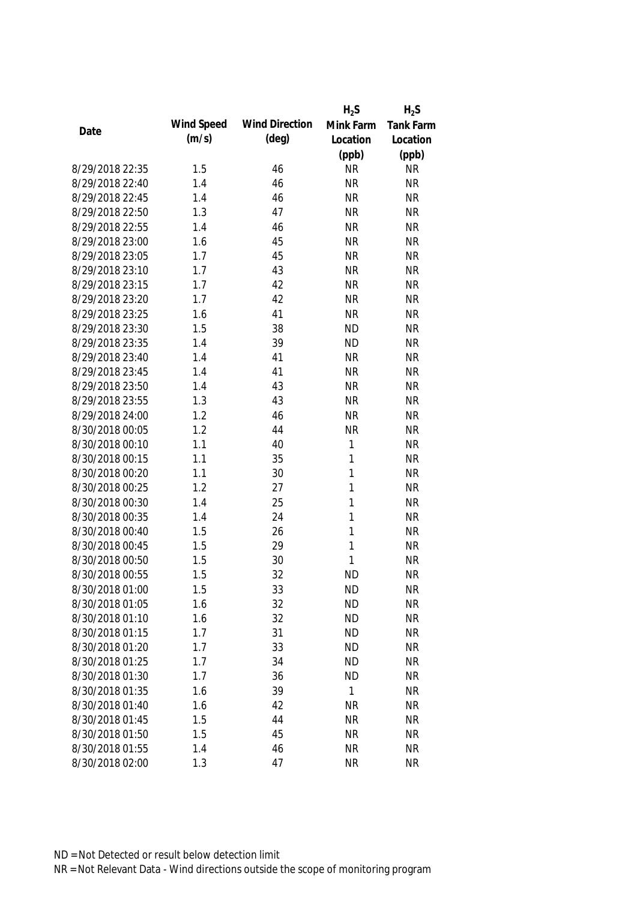|                 |            |                       | $H_2S$       | $H_2S$           |
|-----------------|------------|-----------------------|--------------|------------------|
| Date            | Wind Speed | <b>Wind Direction</b> | Mink Farm    | <b>Tank Farm</b> |
|                 | (m/s)      | $(\text{deg})$        | Location     | Location         |
|                 |            |                       | (ppb)        | (ppb)            |
| 8/29/2018 22:35 | 1.5        | 46                    | <b>NR</b>    | <b>NR</b>        |
| 8/29/2018 22:40 | 1.4        | 46                    | <b>NR</b>    | <b>NR</b>        |
| 8/29/2018 22:45 | 1.4        | 46                    | <b>NR</b>    | <b>NR</b>        |
| 8/29/2018 22:50 | 1.3        | 47                    | <b>NR</b>    | <b>NR</b>        |
| 8/29/2018 22:55 | 1.4        | 46                    | <b>NR</b>    | <b>NR</b>        |
| 8/29/2018 23:00 | 1.6        | 45                    | <b>NR</b>    | <b>NR</b>        |
| 8/29/2018 23:05 | 1.7        | 45                    | <b>NR</b>    | <b>NR</b>        |
| 8/29/2018 23:10 | 1.7        | 43                    | <b>NR</b>    | <b>NR</b>        |
| 8/29/2018 23:15 | 1.7        | 42                    | <b>NR</b>    | <b>NR</b>        |
| 8/29/2018 23:20 | 1.7        | 42                    | <b>NR</b>    | <b>NR</b>        |
| 8/29/2018 23:25 | 1.6        | 41                    | <b>NR</b>    | <b>NR</b>        |
| 8/29/2018 23:30 | 1.5        | 38                    | <b>ND</b>    | <b>NR</b>        |
| 8/29/2018 23:35 | 1.4        | 39                    | <b>ND</b>    | <b>NR</b>        |
| 8/29/2018 23:40 | 1.4        | 41                    | <b>NR</b>    | <b>NR</b>        |
| 8/29/2018 23:45 | 1.4        | 41                    | <b>NR</b>    | <b>NR</b>        |
| 8/29/2018 23:50 | 1.4        | 43                    | <b>NR</b>    | <b>NR</b>        |
| 8/29/2018 23:55 | 1.3        | 43                    | <b>NR</b>    | <b>NR</b>        |
| 8/29/2018 24:00 | 1.2        | 46                    | <b>NR</b>    | <b>NR</b>        |
| 8/30/2018 00:05 | 1.2        | 44                    | <b>NR</b>    | <b>NR</b>        |
| 8/30/2018 00:10 | 1.1        | 40                    | 1            | <b>NR</b>        |
| 8/30/2018 00:15 | 1.1        | 35                    | 1            | <b>NR</b>        |
| 8/30/2018 00:20 | 1.1        | 30                    | 1            | <b>NR</b>        |
| 8/30/2018 00:25 | 1.2        | 27                    | 1            | <b>NR</b>        |
| 8/30/2018 00:30 | 1.4        | 25                    | $\mathbf{1}$ | <b>NR</b>        |
| 8/30/2018 00:35 | 1.4        | 24                    | 1            | <b>NR</b>        |
| 8/30/2018 00:40 | 1.5        | 26                    | 1            | <b>NR</b>        |
| 8/30/2018 00:45 | 1.5        | 29                    | 1            | <b>NR</b>        |
| 8/30/2018 00:50 | 1.5        | 30                    | 1            | <b>NR</b>        |
| 8/30/2018 00:55 | 1.5        | 32                    | <b>ND</b>    | <b>NR</b>        |
| 8/30/2018 01:00 | 1.5        | 33                    | <b>ND</b>    | <b>NR</b>        |
| 8/30/2018 01:05 | 1.6        | 32                    | <b>ND</b>    | <b>NR</b>        |
| 8/30/2018 01:10 | 1.6        | 32                    | <b>ND</b>    | <b>NR</b>        |
| 8/30/2018 01:15 | 1.7        | 31                    | <b>ND</b>    | <b>NR</b>        |
| 8/30/2018 01:20 | 1.7        | 33                    | <b>ND</b>    | <b>NR</b>        |
| 8/30/2018 01:25 | 1.7        | 34                    | <b>ND</b>    | <b>NR</b>        |
| 8/30/2018 01:30 | 1.7        | 36                    | <b>ND</b>    | <b>NR</b>        |
| 8/30/2018 01:35 | 1.6        | 39                    | 1            | <b>NR</b>        |
| 8/30/2018 01:40 | 1.6        | 42                    | <b>NR</b>    | <b>NR</b>        |
| 8/30/2018 01:45 | 1.5        | 44                    | <b>NR</b>    | <b>NR</b>        |
| 8/30/2018 01:50 | 1.5        | 45                    | <b>NR</b>    | <b>NR</b>        |
| 8/30/2018 01:55 | 1.4        | 46                    | <b>NR</b>    | <b>NR</b>        |
| 8/30/2018 02:00 | 1.3        | 47                    | <b>NR</b>    | <b>NR</b>        |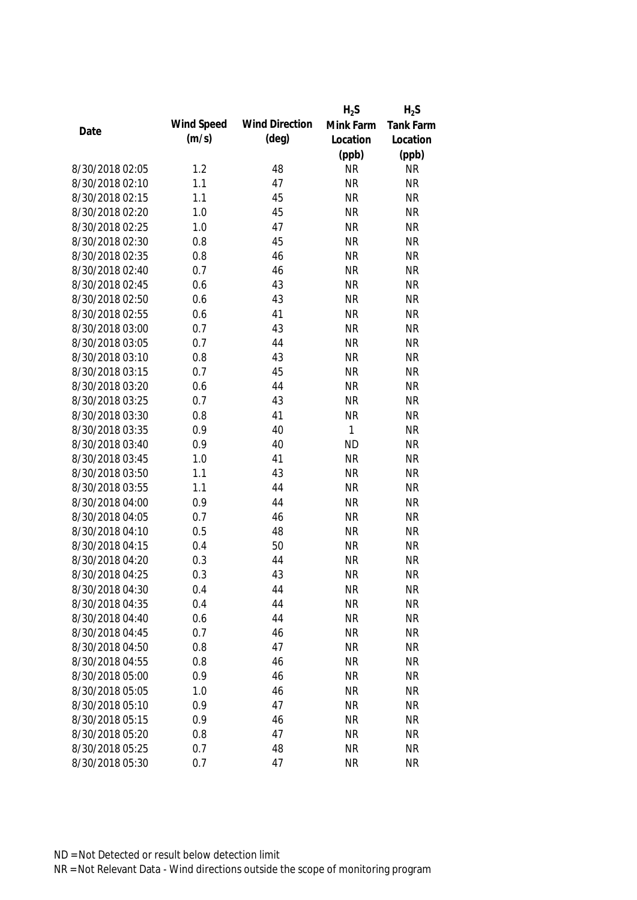|                 |            |                       | $H_2S$       | $H_2S$           |
|-----------------|------------|-----------------------|--------------|------------------|
| Date            | Wind Speed | <b>Wind Direction</b> | Mink Farm    | <b>Tank Farm</b> |
|                 | (m/s)      | $(\text{deg})$        | Location     | Location         |
|                 |            |                       | (ppb)        | (ppb)            |
| 8/30/2018 02:05 | 1.2        | 48                    | <b>NR</b>    | <b>NR</b>        |
| 8/30/2018 02:10 | 1.1        | 47                    | <b>NR</b>    | <b>NR</b>        |
| 8/30/2018 02:15 | 1.1        | 45                    | <b>NR</b>    | <b>NR</b>        |
| 8/30/2018 02:20 | 1.0        | 45                    | <b>NR</b>    | <b>NR</b>        |
| 8/30/2018 02:25 | 1.0        | 47                    | <b>NR</b>    | <b>NR</b>        |
| 8/30/2018 02:30 | 0.8        | 45                    | <b>NR</b>    | <b>NR</b>        |
| 8/30/2018 02:35 | 0.8        | 46                    | <b>NR</b>    | <b>NR</b>        |
| 8/30/2018 02:40 | 0.7        | 46                    | <b>NR</b>    | <b>NR</b>        |
| 8/30/2018 02:45 | 0.6        | 43                    | <b>NR</b>    | <b>NR</b>        |
| 8/30/2018 02:50 | 0.6        | 43                    | <b>NR</b>    | <b>NR</b>        |
| 8/30/2018 02:55 | 0.6        | 41                    | <b>NR</b>    | <b>NR</b>        |
| 8/30/2018 03:00 | 0.7        | 43                    | <b>NR</b>    | <b>NR</b>        |
| 8/30/2018 03:05 | 0.7        | 44                    | <b>NR</b>    | <b>NR</b>        |
| 8/30/2018 03:10 | 0.8        | 43                    | <b>NR</b>    | <b>NR</b>        |
| 8/30/2018 03:15 | 0.7        | 45                    | <b>NR</b>    | <b>NR</b>        |
| 8/30/2018 03:20 | 0.6        | 44                    | <b>NR</b>    | <b>NR</b>        |
| 8/30/2018 03:25 | 0.7        | 43                    | <b>NR</b>    | <b>NR</b>        |
| 8/30/2018 03:30 | 0.8        | 41                    | <b>NR</b>    | <b>NR</b>        |
| 8/30/2018 03:35 | 0.9        | 40                    | $\mathbf{1}$ | <b>NR</b>        |
| 8/30/2018 03:40 | 0.9        | 40                    | <b>ND</b>    | <b>NR</b>        |
| 8/30/2018 03:45 | 1.0        | 41                    | <b>NR</b>    | <b>NR</b>        |
| 8/30/2018 03:50 | 1.1        | 43                    | <b>NR</b>    | <b>NR</b>        |
| 8/30/2018 03:55 | 1.1        | 44                    | <b>NR</b>    | <b>NR</b>        |
| 8/30/2018 04:00 | 0.9        | 44                    | <b>NR</b>    | <b>NR</b>        |
| 8/30/2018 04:05 | 0.7        | 46                    | <b>NR</b>    | <b>NR</b>        |
| 8/30/2018 04:10 | 0.5        | 48                    | <b>NR</b>    | <b>NR</b>        |
| 8/30/2018 04:15 | 0.4        | 50                    | <b>NR</b>    | <b>NR</b>        |
| 8/30/2018 04:20 | 0.3        | 44                    | <b>NR</b>    | <b>NR</b>        |
| 8/30/2018 04:25 | 0.3        | 43                    | <b>NR</b>    | <b>NR</b>        |
| 8/30/2018 04:30 | 0.4        | 44                    | <b>NR</b>    | <b>NR</b>        |
| 8/30/2018 04:35 | 0.4        | 44                    | <b>NR</b>    | <b>NR</b>        |
| 8/30/2018 04:40 | 0.6        | 44                    | <b>NR</b>    | <b>NR</b>        |
| 8/30/2018 04:45 | 0.7        | 46                    | <b>NR</b>    | <b>NR</b>        |
| 8/30/2018 04:50 | 0.8        | 47                    | <b>NR</b>    | <b>NR</b>        |
| 8/30/2018 04:55 | 0.8        | 46                    | <b>NR</b>    | <b>NR</b>        |
| 8/30/2018 05:00 | 0.9        | 46                    | <b>NR</b>    | <b>NR</b>        |
| 8/30/2018 05:05 | 1.0        | 46                    | <b>NR</b>    | <b>NR</b>        |
| 8/30/2018 05:10 | 0.9        | 47                    | <b>NR</b>    | <b>NR</b>        |
| 8/30/2018 05:15 | 0.9        | 46                    | <b>NR</b>    | <b>NR</b>        |
| 8/30/2018 05:20 | 0.8        | 47                    | <b>NR</b>    | <b>NR</b>        |
| 8/30/2018 05:25 | 0.7        | 48                    | <b>NR</b>    | <b>NR</b>        |
| 8/30/2018 05:30 | 0.7        | 47                    | <b>NR</b>    | <b>NR</b>        |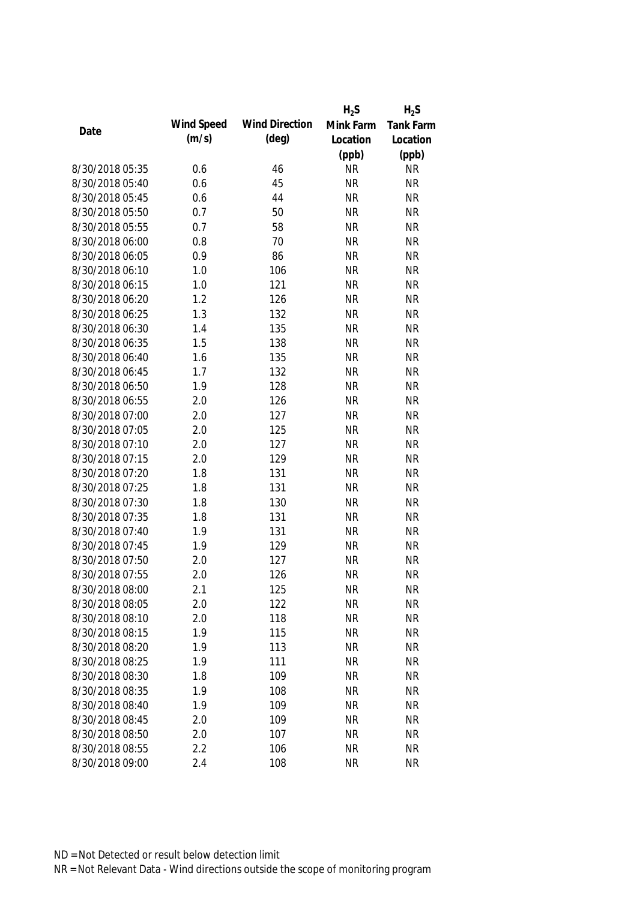|                 |            |                       | $H_2S$    | $H_2S$    |
|-----------------|------------|-----------------------|-----------|-----------|
|                 | Wind Speed | <b>Wind Direction</b> | Mink Farm | Tank Farm |
| Date            | (m/s)      | $(\text{deg})$        | Location  | Location  |
|                 |            |                       | (ppb)     | (ppb)     |
| 8/30/2018 05:35 | 0.6        | 46                    | <b>NR</b> | <b>NR</b> |
| 8/30/2018 05:40 | 0.6        | 45                    | <b>NR</b> | <b>NR</b> |
| 8/30/2018 05:45 | 0.6        | 44                    | <b>NR</b> | <b>NR</b> |
| 8/30/2018 05:50 | 0.7        | 50                    | <b>NR</b> | <b>NR</b> |
| 8/30/2018 05:55 | 0.7        | 58                    | <b>NR</b> | <b>NR</b> |
| 8/30/2018 06:00 | 0.8        | 70                    | <b>NR</b> | <b>NR</b> |
| 8/30/2018 06:05 | 0.9        | 86                    | <b>NR</b> | <b>NR</b> |
| 8/30/2018 06:10 | 1.0        | 106                   | <b>NR</b> | <b>NR</b> |
| 8/30/2018 06:15 | 1.0        | 121                   | <b>NR</b> | <b>NR</b> |
| 8/30/2018 06:20 | 1.2        | 126                   | <b>NR</b> | <b>NR</b> |
| 8/30/2018 06:25 | 1.3        | 132                   | <b>NR</b> | <b>NR</b> |
| 8/30/2018 06:30 | 1.4        | 135                   | <b>NR</b> | <b>NR</b> |
| 8/30/2018 06:35 | 1.5        | 138                   | <b>NR</b> | <b>NR</b> |
| 8/30/2018 06:40 | 1.6        | 135                   | <b>NR</b> | <b>NR</b> |
| 8/30/2018 06:45 | 1.7        | 132                   | <b>NR</b> | <b>NR</b> |
| 8/30/2018 06:50 | 1.9        | 128                   | <b>NR</b> | <b>NR</b> |
| 8/30/2018 06:55 | 2.0        | 126                   | <b>NR</b> | <b>NR</b> |
| 8/30/2018 07:00 | 2.0        | 127                   | <b>NR</b> | <b>NR</b> |
| 8/30/2018 07:05 | 2.0        | 125                   | <b>NR</b> | <b>NR</b> |
| 8/30/2018 07:10 | 2.0        | 127                   | <b>NR</b> | <b>NR</b> |
| 8/30/2018 07:15 | 2.0        | 129                   | <b>NR</b> | <b>NR</b> |
| 8/30/2018 07:20 | 1.8        | 131                   | <b>NR</b> | <b>NR</b> |
| 8/30/2018 07:25 | 1.8        | 131                   | <b>NR</b> | <b>NR</b> |
| 8/30/2018 07:30 | 1.8        | 130                   | <b>NR</b> | <b>NR</b> |
| 8/30/2018 07:35 | 1.8        | 131                   | <b>NR</b> | <b>NR</b> |
| 8/30/2018 07:40 | 1.9        | 131                   | <b>NR</b> | <b>NR</b> |
| 8/30/2018 07:45 | 1.9        | 129                   | <b>NR</b> | <b>NR</b> |
| 8/30/2018 07:50 | 2.0        | 127                   | <b>NR</b> | <b>NR</b> |
| 8/30/2018 07:55 | 2.0        | 126                   | <b>NR</b> | <b>NR</b> |
| 8/30/2018 08:00 | 2.1        | 125                   | <b>NR</b> | <b>NR</b> |
| 8/30/2018 08:05 | 2.0        | 122                   | <b>NR</b> | <b>NR</b> |
| 8/30/2018 08:10 | 2.0        | 118                   | <b>NR</b> | <b>NR</b> |
| 8/30/2018 08:15 | 1.9        | 115                   | <b>NR</b> | <b>NR</b> |
| 8/30/2018 08:20 | 1.9        | 113                   | <b>NR</b> | <b>NR</b> |
| 8/30/2018 08:25 | 1.9        | 111                   | <b>NR</b> | <b>NR</b> |
| 8/30/2018 08:30 | 1.8        | 109                   | <b>NR</b> | <b>NR</b> |
| 8/30/2018 08:35 | 1.9        | 108                   | <b>NR</b> | <b>NR</b> |
| 8/30/2018 08:40 | 1.9        | 109                   | <b>NR</b> | <b>NR</b> |
| 8/30/2018 08:45 | 2.0        | 109                   | <b>NR</b> | <b>NR</b> |
| 8/30/2018 08:50 | 2.0        | 107                   | <b>NR</b> | <b>NR</b> |
| 8/30/2018 08:55 | 2.2        | 106                   | <b>NR</b> | <b>NR</b> |
| 8/30/2018 09:00 | 2.4        | 108                   | <b>NR</b> | <b>NR</b> |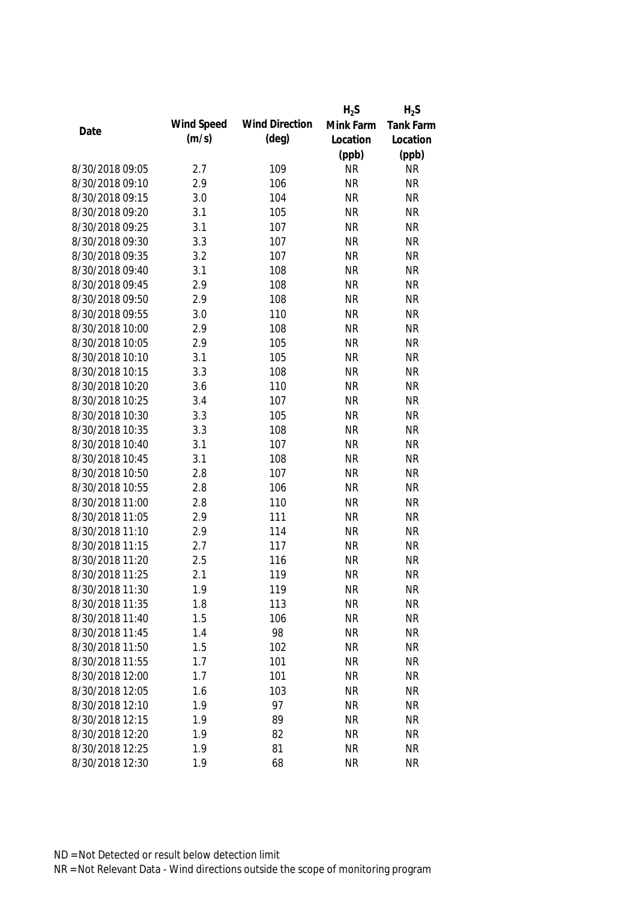|                 |            |                       | $H_2S$    | $H_2S$    |
|-----------------|------------|-----------------------|-----------|-----------|
|                 | Wind Speed | <b>Wind Direction</b> | Mink Farm | Tank Farm |
| Date            | (m/s)      | $(\text{deg})$        | Location  | Location  |
|                 |            |                       | (ppb)     | (ppb)     |
| 8/30/2018 09:05 | 2.7        | 109                   | <b>NR</b> | <b>NR</b> |
| 8/30/2018 09:10 | 2.9        | 106                   | <b>NR</b> | <b>NR</b> |
| 8/30/2018 09:15 | 3.0        | 104                   | <b>NR</b> | <b>NR</b> |
| 8/30/2018 09:20 | 3.1        | 105                   | <b>NR</b> | <b>NR</b> |
| 8/30/2018 09:25 | 3.1        | 107                   | <b>NR</b> | <b>NR</b> |
| 8/30/2018 09:30 | 3.3        | 107                   | <b>NR</b> | <b>NR</b> |
| 8/30/2018 09:35 | 3.2        | 107                   | <b>NR</b> | <b>NR</b> |
| 8/30/2018 09:40 | 3.1        | 108                   | <b>NR</b> | <b>NR</b> |
| 8/30/2018 09:45 | 2.9        | 108                   | <b>NR</b> | <b>NR</b> |
| 8/30/2018 09:50 | 2.9        | 108                   | <b>NR</b> | <b>NR</b> |
| 8/30/2018 09:55 | 3.0        | 110                   | <b>NR</b> | <b>NR</b> |
| 8/30/2018 10:00 | 2.9        | 108                   | <b>NR</b> | <b>NR</b> |
| 8/30/2018 10:05 | 2.9        | 105                   | <b>NR</b> | <b>NR</b> |
| 8/30/2018 10:10 | 3.1        | 105                   | <b>NR</b> | <b>NR</b> |
| 8/30/2018 10:15 | 3.3        | 108                   | <b>NR</b> | <b>NR</b> |
| 8/30/2018 10:20 | 3.6        | 110                   | <b>NR</b> | <b>NR</b> |
| 8/30/2018 10:25 | 3.4        | 107                   | <b>NR</b> | <b>NR</b> |
| 8/30/2018 10:30 | 3.3        | 105                   | <b>NR</b> | <b>NR</b> |
| 8/30/2018 10:35 | 3.3        | 108                   | <b>NR</b> | <b>NR</b> |
| 8/30/2018 10:40 | 3.1        | 107                   | <b>NR</b> | <b>NR</b> |
| 8/30/2018 10:45 | 3.1        | 108                   | <b>NR</b> | <b>NR</b> |
| 8/30/2018 10:50 | 2.8        | 107                   | <b>NR</b> | <b>NR</b> |
| 8/30/2018 10:55 | 2.8        | 106                   | <b>NR</b> | <b>NR</b> |
| 8/30/2018 11:00 | 2.8        | 110                   | <b>NR</b> | <b>NR</b> |
| 8/30/2018 11:05 | 2.9        | 111                   | <b>NR</b> | <b>NR</b> |
| 8/30/2018 11:10 | 2.9        | 114                   | <b>NR</b> | <b>NR</b> |
| 8/30/2018 11:15 | 2.7        | 117                   | <b>NR</b> | <b>NR</b> |
| 8/30/2018 11:20 | 2.5        | 116                   | <b>NR</b> | <b>NR</b> |
| 8/30/2018 11:25 | 2.1        | 119                   | <b>NR</b> | <b>NR</b> |
| 8/30/2018 11:30 | 1.9        | 119                   | <b>NR</b> | <b>NR</b> |
| 8/30/2018 11:35 | 1.8        | 113                   | <b>NR</b> | <b>NR</b> |
| 8/30/2018 11:40 | 1.5        | 106                   | <b>NR</b> | <b>NR</b> |
| 8/30/2018 11:45 | 1.4        | 98                    | <b>NR</b> | <b>NR</b> |
| 8/30/2018 11:50 | 1.5        | 102                   | <b>NR</b> | <b>NR</b> |
| 8/30/2018 11:55 | 1.7        | 101                   | <b>NR</b> | <b>NR</b> |
| 8/30/2018 12:00 | 1.7        | 101                   | <b>NR</b> | <b>NR</b> |
| 8/30/2018 12:05 | 1.6        | 103                   | <b>NR</b> | <b>NR</b> |
| 8/30/2018 12:10 | 1.9        | 97                    | <b>NR</b> | <b>NR</b> |
| 8/30/2018 12:15 | 1.9        | 89                    | <b>NR</b> | <b>NR</b> |
| 8/30/2018 12:20 | 1.9        | 82                    | <b>NR</b> | <b>NR</b> |
| 8/30/2018 12:25 | 1.9        | 81                    | <b>NR</b> | <b>NR</b> |
| 8/30/2018 12:30 | 1.9        | 68                    | <b>NR</b> | <b>NR</b> |
|                 |            |                       |           |           |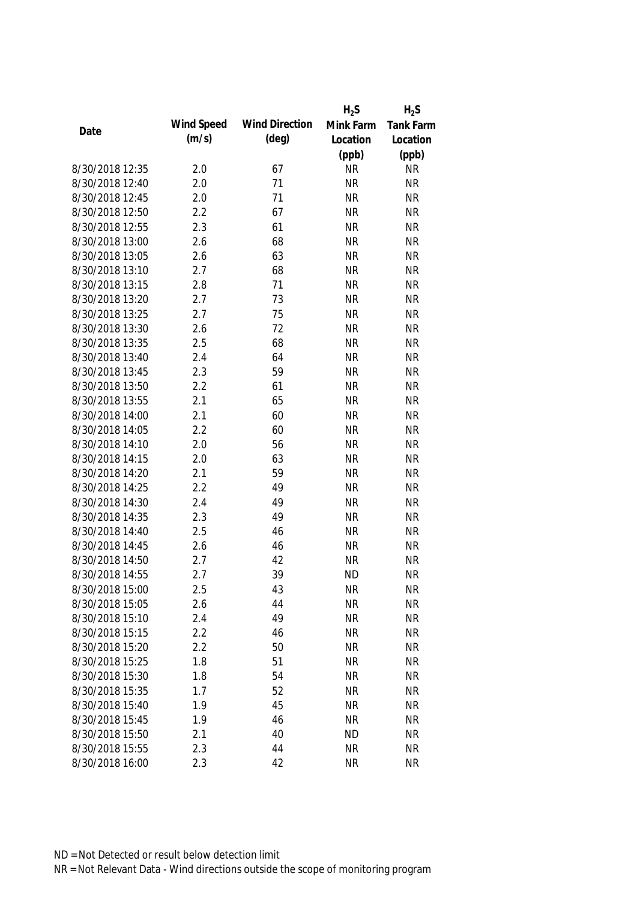|                 |            |                       | $H_2S$    | $H_2S$           |
|-----------------|------------|-----------------------|-----------|------------------|
| Date            | Wind Speed | <b>Wind Direction</b> | Mink Farm | <b>Tank Farm</b> |
|                 | (m/s)      | $(\text{deg})$        | Location  | Location         |
|                 |            |                       | (ppb)     | (ppb)            |
| 8/30/2018 12:35 | 2.0        | 67                    | <b>NR</b> | <b>NR</b>        |
| 8/30/2018 12:40 | 2.0        | 71                    | <b>NR</b> | <b>NR</b>        |
| 8/30/2018 12:45 | 2.0        | 71                    | <b>NR</b> | <b>NR</b>        |
| 8/30/2018 12:50 | 2.2        | 67                    | <b>NR</b> | <b>NR</b>        |
| 8/30/2018 12:55 | 2.3        | 61                    | <b>NR</b> | <b>NR</b>        |
| 8/30/2018 13:00 | 2.6        | 68                    | <b>NR</b> | <b>NR</b>        |
| 8/30/2018 13:05 | 2.6        | 63                    | <b>NR</b> | <b>NR</b>        |
| 8/30/2018 13:10 | 2.7        | 68                    | <b>NR</b> | <b>NR</b>        |
| 8/30/2018 13:15 | 2.8        | 71                    | <b>NR</b> | <b>NR</b>        |
| 8/30/2018 13:20 | 2.7        | 73                    | <b>NR</b> | <b>NR</b>        |
| 8/30/2018 13:25 | 2.7        | 75                    | <b>NR</b> | <b>NR</b>        |
| 8/30/2018 13:30 | 2.6        | 72                    | <b>NR</b> | <b>NR</b>        |
| 8/30/2018 13:35 | 2.5        | 68                    | <b>NR</b> | <b>NR</b>        |
| 8/30/2018 13:40 | 2.4        | 64                    | <b>NR</b> | <b>NR</b>        |
| 8/30/2018 13:45 | 2.3        | 59                    | <b>NR</b> | <b>NR</b>        |
| 8/30/2018 13:50 | 2.2        | 61                    | <b>NR</b> | <b>NR</b>        |
| 8/30/2018 13:55 | 2.1        | 65                    | <b>NR</b> | <b>NR</b>        |
| 8/30/2018 14:00 | 2.1        | 60                    | <b>NR</b> | <b>NR</b>        |
| 8/30/2018 14:05 | 2.2        | 60                    | <b>NR</b> | <b>NR</b>        |
| 8/30/2018 14:10 | 2.0        | 56                    | <b>NR</b> | <b>NR</b>        |
| 8/30/2018 14:15 | 2.0        | 63                    | <b>NR</b> | <b>NR</b>        |
| 8/30/2018 14:20 | 2.1        | 59                    | <b>NR</b> | <b>NR</b>        |
| 8/30/2018 14:25 | 2.2        | 49                    | <b>NR</b> | <b>NR</b>        |
| 8/30/2018 14:30 | 2.4        | 49                    | <b>NR</b> | <b>NR</b>        |
| 8/30/2018 14:35 | 2.3        | 49                    | <b>NR</b> | <b>NR</b>        |
| 8/30/2018 14:40 | 2.5        | 46                    | <b>NR</b> | <b>NR</b>        |
| 8/30/2018 14:45 | 2.6        | 46                    | <b>NR</b> | <b>NR</b>        |
| 8/30/2018 14:50 | 2.7        | 42                    | <b>NR</b> | <b>NR</b>        |
| 8/30/2018 14:55 | 2.7        | 39                    | <b>ND</b> | <b>NR</b>        |
| 8/30/2018 15:00 | 2.5        | 43                    | <b>NR</b> | <b>NR</b>        |
| 8/30/2018 15:05 | 2.6        | 44                    | <b>NR</b> | <b>NR</b>        |
| 8/30/2018 15:10 | 2.4        | 49                    | <b>NR</b> | <b>NR</b>        |
| 8/30/2018 15:15 | 2.2        | 46                    | <b>NR</b> | <b>NR</b>        |
| 8/30/2018 15:20 | 2.2        | 50                    | <b>NR</b> | <b>NR</b>        |
| 8/30/2018 15:25 | 1.8        | 51                    | <b>NR</b> | <b>NR</b>        |
| 8/30/2018 15:30 | 1.8        | 54                    | <b>NR</b> | <b>NR</b>        |
| 8/30/2018 15:35 | 1.7        | 52                    | <b>NR</b> | <b>NR</b>        |
| 8/30/2018 15:40 | 1.9        | 45                    | <b>NR</b> | <b>NR</b>        |
| 8/30/2018 15:45 | 1.9        | 46                    | <b>NR</b> | <b>NR</b>        |
| 8/30/2018 15:50 | 2.1        | 40                    | ND        | <b>NR</b>        |
| 8/30/2018 15:55 | 2.3        | 44                    | <b>NR</b> | <b>NR</b>        |
|                 |            |                       |           |                  |
| 8/30/2018 16:00 | 2.3        | 42                    | <b>NR</b> | <b>NR</b>        |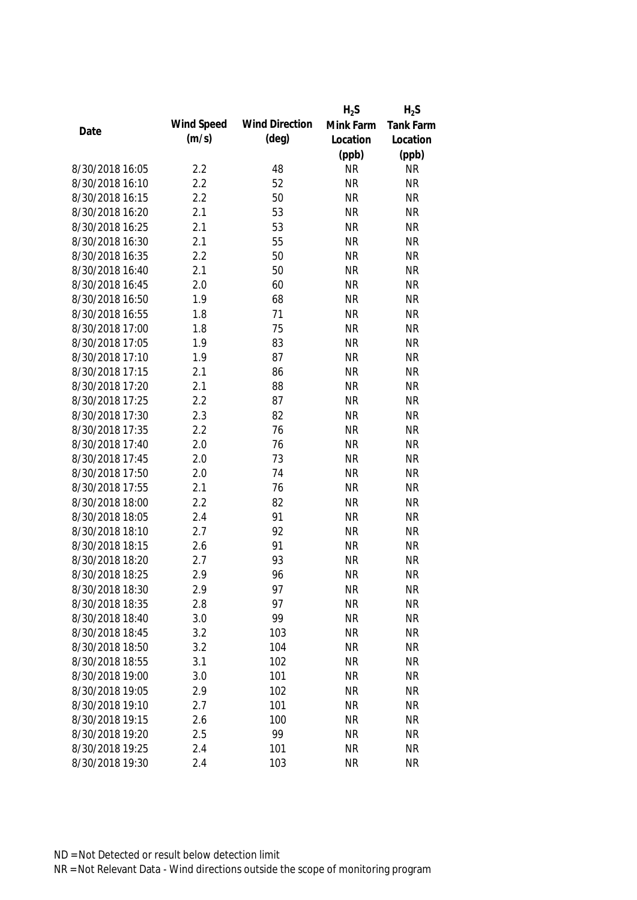|                 |            |                       | $H_2S$    | $H_2S$           |
|-----------------|------------|-----------------------|-----------|------------------|
| Date            | Wind Speed | <b>Wind Direction</b> | Mink Farm | <b>Tank Farm</b> |
|                 | (m/s)      | $(\text{deg})$        | Location  | Location         |
|                 |            |                       | (ppb)     | (ppb)            |
| 8/30/2018 16:05 | 2.2        | 48                    | <b>NR</b> | <b>NR</b>        |
| 8/30/2018 16:10 | 2.2        | 52                    | <b>NR</b> | <b>NR</b>        |
| 8/30/2018 16:15 | 2.2        | 50                    | <b>NR</b> | <b>NR</b>        |
| 8/30/2018 16:20 | 2.1        | 53                    | <b>NR</b> | <b>NR</b>        |
| 8/30/2018 16:25 | 2.1        | 53                    | <b>NR</b> | <b>NR</b>        |
| 8/30/2018 16:30 | 2.1        | 55                    | <b>NR</b> | <b>NR</b>        |
| 8/30/2018 16:35 | 2.2        | 50                    | <b>NR</b> | <b>NR</b>        |
| 8/30/2018 16:40 | 2.1        | 50                    | <b>NR</b> | <b>NR</b>        |
| 8/30/2018 16:45 | 2.0        | 60                    | <b>NR</b> | <b>NR</b>        |
| 8/30/2018 16:50 | 1.9        | 68                    | <b>NR</b> | <b>NR</b>        |
| 8/30/2018 16:55 | 1.8        | 71                    | <b>NR</b> | <b>NR</b>        |
| 8/30/2018 17:00 | 1.8        | 75                    | <b>NR</b> | <b>NR</b>        |
| 8/30/2018 17:05 | 1.9        | 83                    | <b>NR</b> | <b>NR</b>        |
| 8/30/2018 17:10 | 1.9        | 87                    | <b>NR</b> | <b>NR</b>        |
| 8/30/2018 17:15 | 2.1        | 86                    | <b>NR</b> | <b>NR</b>        |
| 8/30/2018 17:20 | 2.1        | 88                    | <b>NR</b> | <b>NR</b>        |
| 8/30/2018 17:25 | 2.2        | 87                    | <b>NR</b> | <b>NR</b>        |
| 8/30/2018 17:30 | 2.3        | 82                    | <b>NR</b> | <b>NR</b>        |
| 8/30/2018 17:35 | 2.2        | 76                    | <b>NR</b> | <b>NR</b>        |
| 8/30/2018 17:40 | 2.0        | 76                    | <b>NR</b> | <b>NR</b>        |
| 8/30/2018 17:45 | 2.0        | 73                    | <b>NR</b> | <b>NR</b>        |
| 8/30/2018 17:50 | 2.0        | 74                    | <b>NR</b> | <b>NR</b>        |
| 8/30/2018 17:55 | 2.1        | 76                    | <b>NR</b> | <b>NR</b>        |
| 8/30/2018 18:00 | 2.2        | 82                    | <b>NR</b> | <b>NR</b>        |
| 8/30/2018 18:05 | 2.4        | 91                    | <b>NR</b> | <b>NR</b>        |
| 8/30/2018 18:10 | 2.7        | 92                    | <b>NR</b> | <b>NR</b>        |
| 8/30/2018 18:15 | 2.6        | 91                    | <b>NR</b> | <b>NR</b>        |
| 8/30/2018 18:20 | 2.7        | 93                    | <b>NR</b> | <b>NR</b>        |
| 8/30/2018 18:25 | 2.9        | 96                    | <b>NR</b> | <b>NR</b>        |
| 8/30/2018 18:30 | 2.9        | 97                    | <b>NR</b> | <b>NR</b>        |
| 8/30/2018 18:35 | 2.8        | 97                    | <b>NR</b> | <b>NR</b>        |
| 8/30/2018 18:40 | 3.0        | 99                    | <b>NR</b> | <b>NR</b>        |
| 8/30/2018 18:45 | 3.2        | 103                   | <b>NR</b> | <b>NR</b>        |
| 8/30/2018 18:50 | 3.2        | 104                   | <b>NR</b> | <b>NR</b>        |
| 8/30/2018 18:55 | 3.1        | 102                   | <b>NR</b> | <b>NR</b>        |
| 8/30/2018 19:00 | 3.0        | 101                   | <b>NR</b> | <b>NR</b>        |
| 8/30/2018 19:05 | 2.9        | 102                   | <b>NR</b> | <b>NR</b>        |
| 8/30/2018 19:10 | 2.7        | 101                   | <b>NR</b> | <b>NR</b>        |
| 8/30/2018 19:15 | 2.6        | 100                   | <b>NR</b> | <b>NR</b>        |
| 8/30/2018 19:20 | 2.5        | 99                    | <b>NR</b> | <b>NR</b>        |
| 8/30/2018 19:25 | 2.4        | 101                   | <b>NR</b> | <b>NR</b>        |
| 8/30/2018 19:30 | 2.4        | 103                   | <b>NR</b> | <b>NR</b>        |
|                 |            |                       |           |                  |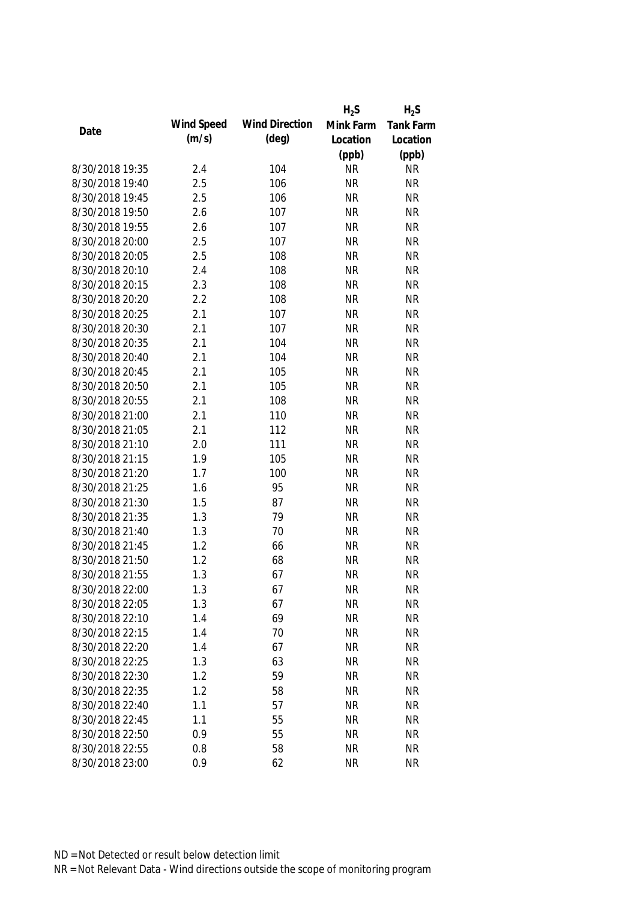|                 |            |                       | $H_2S$    | $H_2S$           |
|-----------------|------------|-----------------------|-----------|------------------|
|                 | Wind Speed | <b>Wind Direction</b> | Mink Farm | <b>Tank Farm</b> |
| Date            | (m/s)      | $(\text{deg})$        | Location  | Location         |
|                 |            |                       | (ppb)     | (ppb)            |
| 8/30/2018 19:35 | 2.4        | 104                   | <b>NR</b> | <b>NR</b>        |
| 8/30/2018 19:40 | 2.5        | 106                   | <b>NR</b> | <b>NR</b>        |
| 8/30/2018 19:45 | 2.5        | 106                   | <b>NR</b> | <b>NR</b>        |
| 8/30/2018 19:50 | 2.6        | 107                   | <b>NR</b> | <b>NR</b>        |
| 8/30/2018 19:55 | 2.6        | 107                   | <b>NR</b> | <b>NR</b>        |
| 8/30/2018 20:00 | 2.5        | 107                   | <b>NR</b> | <b>NR</b>        |
| 8/30/2018 20:05 | 2.5        | 108                   | <b>NR</b> | <b>NR</b>        |
| 8/30/2018 20:10 | 2.4        | 108                   | <b>NR</b> | <b>NR</b>        |
| 8/30/2018 20:15 | 2.3        | 108                   | <b>NR</b> | <b>NR</b>        |
| 8/30/2018 20:20 | 2.2        | 108                   | <b>NR</b> | <b>NR</b>        |
| 8/30/2018 20:25 | 2.1        | 107                   | <b>NR</b> | <b>NR</b>        |
| 8/30/2018 20:30 | 2.1        | 107                   | <b>NR</b> | <b>NR</b>        |
| 8/30/2018 20:35 | 2.1        | 104                   | <b>NR</b> | <b>NR</b>        |
| 8/30/2018 20:40 | 2.1        | 104                   | <b>NR</b> | <b>NR</b>        |
| 8/30/2018 20:45 | 2.1        | 105                   | <b>NR</b> | <b>NR</b>        |
| 8/30/2018 20:50 | 2.1        | 105                   | <b>NR</b> | <b>NR</b>        |
| 8/30/2018 20:55 | 2.1        | 108                   | <b>NR</b> | <b>NR</b>        |
| 8/30/2018 21:00 | 2.1        | 110                   | <b>NR</b> | <b>NR</b>        |
| 8/30/2018 21:05 | 2.1        | 112                   | <b>NR</b> | <b>NR</b>        |
| 8/30/2018 21:10 | 2.0        | 111                   | <b>NR</b> | <b>NR</b>        |
| 8/30/2018 21:15 | 1.9        | 105                   | <b>NR</b> | <b>NR</b>        |
| 8/30/2018 21:20 | 1.7        | 100                   | <b>NR</b> | <b>NR</b>        |
| 8/30/2018 21:25 | 1.6        | 95                    | <b>NR</b> | <b>NR</b>        |
| 8/30/2018 21:30 | 1.5        | 87                    | <b>NR</b> | <b>NR</b>        |
| 8/30/2018 21:35 | 1.3        | 79                    | <b>NR</b> | <b>NR</b>        |
| 8/30/2018 21:40 | 1.3        | 70                    | <b>NR</b> | <b>NR</b>        |
| 8/30/2018 21:45 | 1.2        | 66                    | <b>NR</b> | <b>NR</b>        |
| 8/30/2018 21:50 | 1.2        | 68                    | <b>NR</b> | <b>NR</b>        |
| 8/30/2018 21:55 | 1.3        | 67                    | <b>NR</b> | <b>NR</b>        |
| 8/30/2018 22:00 | 1.3        | 67                    | <b>NR</b> | <b>NR</b>        |
| 8/30/2018 22:05 | 1.3        | 67                    | <b>NR</b> | <b>NR</b>        |
| 8/30/2018 22:10 | 1.4        | 69                    | <b>NR</b> | <b>NR</b>        |
| 8/30/2018 22:15 | 1.4        | 70                    | <b>NR</b> | <b>NR</b>        |
|                 |            |                       |           |                  |
| 8/30/2018 22:20 | 1.4        | 67                    | <b>NR</b> | <b>NR</b>        |
| 8/30/2018 22:25 | 1.3        | 63                    | <b>NR</b> | <b>NR</b>        |
| 8/30/2018 22:30 | 1.2        | 59                    | <b>NR</b> | <b>NR</b>        |
| 8/30/2018 22:35 | 1.2        | 58                    | <b>NR</b> | <b>NR</b>        |
| 8/30/2018 22:40 | 1.1        | 57                    | <b>NR</b> | <b>NR</b>        |
| 8/30/2018 22:45 | 1.1        | 55                    | <b>NR</b> | <b>NR</b>        |
| 8/30/2018 22:50 | 0.9        | 55                    | <b>NR</b> | <b>NR</b>        |
| 8/30/2018 22:55 | 0.8        | 58                    | <b>NR</b> | <b>NR</b>        |
| 8/30/2018 23:00 | 0.9        | 62                    | <b>NR</b> | <b>NR</b>        |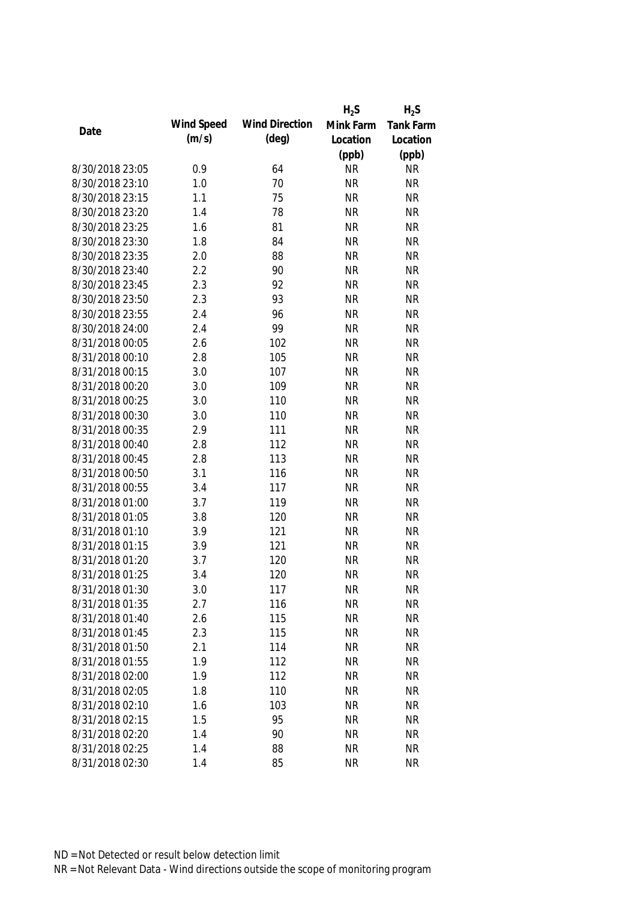|                 |            |                       | $H_2S$    | $H_2S$           |
|-----------------|------------|-----------------------|-----------|------------------|
| Date            | Wind Speed | <b>Wind Direction</b> | Mink Farm | <b>Tank Farm</b> |
|                 | (m/s)      | $(\text{deg})$        | Location  | Location         |
|                 |            |                       | (ppb)     | (ppb)            |
| 8/30/2018 23:05 | 0.9        | 64                    | <b>NR</b> | <b>NR</b>        |
| 8/30/2018 23:10 | 1.0        | 70                    | <b>NR</b> | <b>NR</b>        |
| 8/30/2018 23:15 | 1.1        | 75                    | <b>NR</b> | <b>NR</b>        |
| 8/30/2018 23:20 | 1.4        | 78                    | <b>NR</b> | <b>NR</b>        |
| 8/30/2018 23:25 | 1.6        | 81                    | <b>NR</b> | <b>NR</b>        |
| 8/30/2018 23:30 | 1.8        | 84                    | <b>NR</b> | <b>NR</b>        |
| 8/30/2018 23:35 | 2.0        | 88                    | <b>NR</b> | <b>NR</b>        |
| 8/30/2018 23:40 | 2.2        | 90                    | <b>NR</b> | <b>NR</b>        |
| 8/30/2018 23:45 | 2.3        | 92                    | <b>NR</b> | <b>NR</b>        |
| 8/30/2018 23:50 | 2.3        | 93                    | <b>NR</b> | <b>NR</b>        |
| 8/30/2018 23:55 | 2.4        | 96                    | <b>NR</b> | <b>NR</b>        |
| 8/30/2018 24:00 | 2.4        | 99                    | <b>NR</b> | <b>NR</b>        |
| 8/31/2018 00:05 | 2.6        | 102                   | <b>NR</b> | <b>NR</b>        |
| 8/31/2018 00:10 | 2.8        | 105                   | <b>NR</b> | <b>NR</b>        |
| 8/31/2018 00:15 | 3.0        | 107                   | <b>NR</b> | <b>NR</b>        |
| 8/31/2018 00:20 | 3.0        | 109                   | <b>NR</b> | <b>NR</b>        |
| 8/31/2018 00:25 | 3.0        | 110                   | <b>NR</b> | <b>NR</b>        |
| 8/31/2018 00:30 | 3.0        | 110                   | <b>NR</b> | <b>NR</b>        |
| 8/31/2018 00:35 | 2.9        | 111                   | <b>NR</b> | <b>NR</b>        |
| 8/31/2018 00:40 | 2.8        | 112                   | <b>NR</b> | <b>NR</b>        |
| 8/31/2018 00:45 | 2.8        | 113                   | <b>NR</b> | <b>NR</b>        |
| 8/31/2018 00:50 | 3.1        | 116                   | <b>NR</b> | <b>NR</b>        |
| 8/31/2018 00:55 | 3.4        | 117                   | <b>NR</b> | <b>NR</b>        |
| 8/31/2018 01:00 | 3.7        | 119                   | <b>NR</b> | <b>NR</b>        |
| 8/31/2018 01:05 | 3.8        | 120                   | <b>NR</b> | <b>NR</b>        |
| 8/31/2018 01:10 | 3.9        | 121                   | <b>NR</b> | <b>NR</b>        |
| 8/31/2018 01:15 | 3.9        | 121                   | <b>NR</b> | <b>NR</b>        |
| 8/31/2018 01:20 | 3.7        | 120                   | <b>NR</b> | <b>NR</b>        |
| 8/31/2018 01:25 | 3.4        | 120                   | <b>NR</b> | <b>NR</b>        |
| 8/31/2018 01:30 | 3.0        | 117                   | <b>NR</b> | <b>NR</b>        |
| 8/31/2018 01:35 | 2.7        | 116                   | <b>NR</b> | <b>NR</b>        |
| 8/31/2018 01:40 | 2.6        | 115                   | <b>NR</b> | <b>NR</b>        |
| 8/31/2018 01:45 | 2.3        | 115                   | <b>NR</b> | <b>NR</b>        |
| 8/31/2018 01:50 | 2.1        | 114                   | <b>NR</b> | <b>NR</b>        |
| 8/31/2018 01:55 | 1.9        | 112                   | <b>NR</b> | <b>NR</b>        |
| 8/31/2018 02:00 | 1.9        | 112                   | <b>NR</b> | <b>NR</b>        |
| 8/31/2018 02:05 | 1.8        | 110                   | <b>NR</b> | <b>NR</b>        |
| 8/31/2018 02:10 | 1.6        | 103                   | <b>NR</b> | <b>NR</b>        |
| 8/31/2018 02:15 | 1.5        | 95                    | <b>NR</b> | <b>NR</b>        |
| 8/31/2018 02:20 | 1.4        | 90                    | <b>NR</b> | <b>NR</b>        |
| 8/31/2018 02:25 | 1.4        | 88                    | <b>NR</b> | <b>NR</b>        |
| 8/31/2018 02:30 | 1.4        | 85                    | <b>NR</b> | <b>NR</b>        |
|                 |            |                       |           |                  |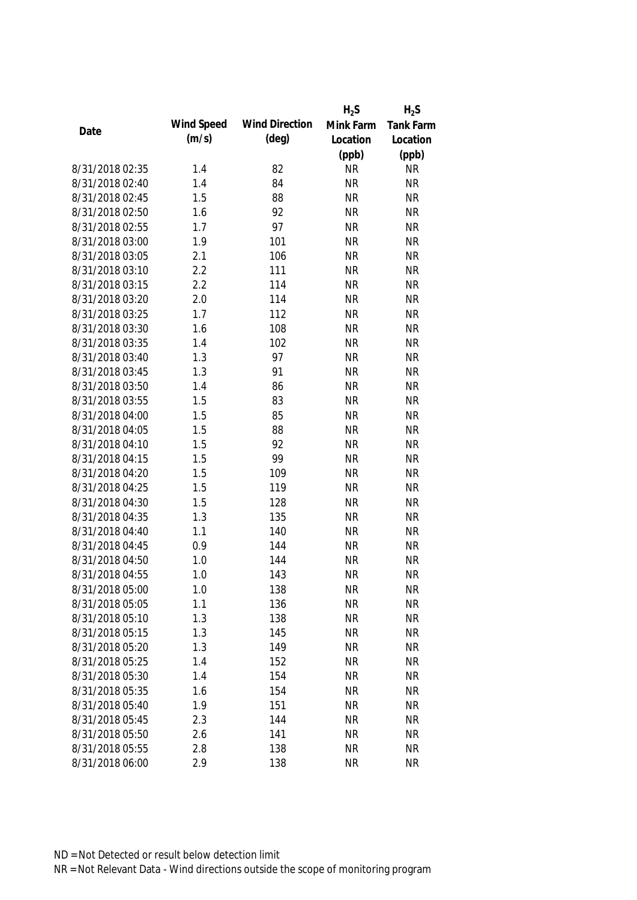|                 |            |                       | $H_2S$    | $H_2S$           |
|-----------------|------------|-----------------------|-----------|------------------|
|                 | Wind Speed | <b>Wind Direction</b> | Mink Farm | <b>Tank Farm</b> |
| Date            | (m/s)      | $(\text{deg})$        | Location  | Location         |
|                 |            |                       | (ppb)     | (ppb)            |
| 8/31/2018 02:35 | 1.4        | 82                    | <b>NR</b> | <b>NR</b>        |
| 8/31/2018 02:40 | 1.4        | 84                    | <b>NR</b> | <b>NR</b>        |
| 8/31/2018 02:45 | 1.5        | 88                    | <b>NR</b> | <b>NR</b>        |
| 8/31/2018 02:50 | 1.6        | 92                    | <b>NR</b> | <b>NR</b>        |
| 8/31/2018 02:55 | 1.7        | 97                    | <b>NR</b> | <b>NR</b>        |
| 8/31/2018 03:00 | 1.9        | 101                   | <b>NR</b> | <b>NR</b>        |
| 8/31/2018 03:05 | 2.1        | 106                   | <b>NR</b> | <b>NR</b>        |
| 8/31/2018 03:10 | 2.2        | 111                   | <b>NR</b> | <b>NR</b>        |
| 8/31/2018 03:15 | 2.2        | 114                   | <b>NR</b> | <b>NR</b>        |
| 8/31/2018 03:20 | 2.0        | 114                   | <b>NR</b> | <b>NR</b>        |
| 8/31/2018 03:25 | 1.7        | 112                   | <b>NR</b> | <b>NR</b>        |
| 8/31/2018 03:30 | 1.6        | 108                   | <b>NR</b> | <b>NR</b>        |
| 8/31/2018 03:35 | 1.4        | 102                   | <b>NR</b> | <b>NR</b>        |
| 8/31/2018 03:40 | 1.3        | 97                    | <b>NR</b> | <b>NR</b>        |
| 8/31/2018 03:45 | 1.3        | 91                    | <b>NR</b> | <b>NR</b>        |
| 8/31/2018 03:50 | 1.4        | 86                    | <b>NR</b> | <b>NR</b>        |
| 8/31/2018 03:55 | 1.5        | 83                    | <b>NR</b> | <b>NR</b>        |
| 8/31/2018 04:00 | 1.5        | 85                    | <b>NR</b> | <b>NR</b>        |
| 8/31/2018 04:05 | 1.5        | 88                    | <b>NR</b> | <b>NR</b>        |
| 8/31/2018 04:10 | 1.5        | 92                    | <b>NR</b> | <b>NR</b>        |
| 8/31/2018 04:15 | 1.5        | 99                    | <b>NR</b> | <b>NR</b>        |
| 8/31/2018 04:20 | 1.5        | 109                   | <b>NR</b> | <b>NR</b>        |
| 8/31/2018 04:25 | 1.5        | 119                   | <b>NR</b> | <b>NR</b>        |
| 8/31/2018 04:30 | 1.5        | 128                   | <b>NR</b> | <b>NR</b>        |
| 8/31/2018 04:35 | 1.3        | 135                   | <b>NR</b> | <b>NR</b>        |
| 8/31/2018 04:40 | 1.1        | 140                   | <b>NR</b> | <b>NR</b>        |
| 8/31/2018 04:45 | 0.9        | 144                   | <b>NR</b> | <b>NR</b>        |
| 8/31/2018 04:50 | 1.0        | 144                   | <b>NR</b> | <b>NR</b>        |
| 8/31/2018 04:55 | 1.0        | 143                   | <b>NR</b> | <b>NR</b>        |
| 8/31/2018 05:00 | 1.0        | 138                   | <b>NR</b> | <b>NR</b>        |
| 8/31/2018 05:05 | 1.1        | 136                   | <b>NR</b> | <b>NR</b>        |
| 8/31/2018 05:10 | 1.3        | 138                   | <b>NR</b> | <b>NR</b>        |
| 8/31/2018 05:15 | 1.3        | 145                   | <b>NR</b> | <b>NR</b>        |
| 8/31/2018 05:20 | 1.3        | 149                   | <b>NR</b> | <b>NR</b>        |
| 8/31/2018 05:25 | 1.4        | 152                   | <b>NR</b> | <b>NR</b>        |
| 8/31/2018 05:30 | 1.4        | 154                   | <b>NR</b> | <b>NR</b>        |
| 8/31/2018 05:35 | 1.6        | 154                   | <b>NR</b> | <b>NR</b>        |
| 8/31/2018 05:40 | 1.9        | 151                   | <b>NR</b> | <b>NR</b>        |
| 8/31/2018 05:45 | 2.3        | 144                   | <b>NR</b> | <b>NR</b>        |
| 8/31/2018 05:50 | 2.6        | 141                   | <b>NR</b> | <b>NR</b>        |
| 8/31/2018 05:55 | 2.8        | 138                   | <b>NR</b> | <b>NR</b>        |
| 8/31/2018 06:00 | 2.9        | 138                   | <b>NR</b> | <b>NR</b>        |
|                 |            |                       |           |                  |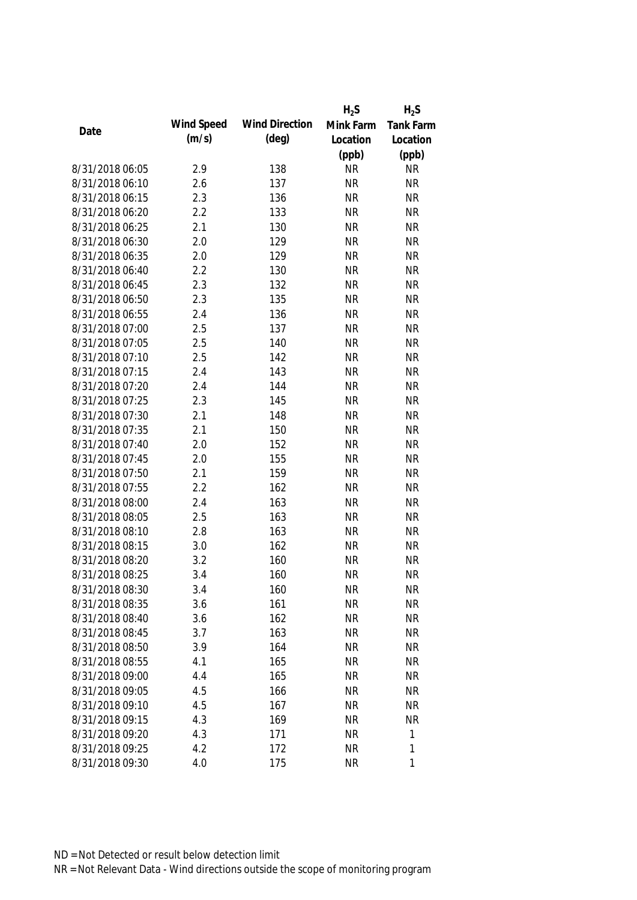|                 |            |                       | $H_2S$    | $H_2S$           |
|-----------------|------------|-----------------------|-----------|------------------|
| Date            | Wind Speed | <b>Wind Direction</b> | Mink Farm | <b>Tank Farm</b> |
|                 | (m/s)      | $(\text{deg})$        | Location  | Location         |
|                 |            |                       | (ppb)     | (ppb)            |
| 8/31/2018 06:05 | 2.9        | 138                   | <b>NR</b> | <b>NR</b>        |
| 8/31/2018 06:10 | 2.6        | 137                   | <b>NR</b> | <b>NR</b>        |
| 8/31/2018 06:15 | 2.3        | 136                   | <b>NR</b> | <b>NR</b>        |
| 8/31/2018 06:20 | 2.2        | 133                   | <b>NR</b> | <b>NR</b>        |
| 8/31/2018 06:25 | 2.1        | 130                   | <b>NR</b> | <b>NR</b>        |
| 8/31/2018 06:30 | 2.0        | 129                   | <b>NR</b> | <b>NR</b>        |
| 8/31/2018 06:35 | 2.0        | 129                   | <b>NR</b> | <b>NR</b>        |
| 8/31/2018 06:40 | 2.2        | 130                   | <b>NR</b> | <b>NR</b>        |
| 8/31/2018 06:45 | 2.3        | 132                   | <b>NR</b> | <b>NR</b>        |
| 8/31/2018 06:50 | 2.3        | 135                   | <b>NR</b> | <b>NR</b>        |
| 8/31/2018 06:55 | 2.4        | 136                   | <b>NR</b> | <b>NR</b>        |
| 8/31/2018 07:00 | 2.5        | 137                   | <b>NR</b> | <b>NR</b>        |
| 8/31/2018 07:05 | 2.5        | 140                   | <b>NR</b> | <b>NR</b>        |
| 8/31/2018 07:10 | 2.5        | 142                   | <b>NR</b> | <b>NR</b>        |
| 8/31/2018 07:15 | 2.4        | 143                   | <b>NR</b> | <b>NR</b>        |
| 8/31/2018 07:20 | 2.4        | 144                   | <b>NR</b> | <b>NR</b>        |
| 8/31/2018 07:25 | 2.3        | 145                   | <b>NR</b> | <b>NR</b>        |
| 8/31/2018 07:30 | 2.1        | 148                   | <b>NR</b> | <b>NR</b>        |
| 8/31/2018 07:35 | 2.1        | 150                   | <b>NR</b> | <b>NR</b>        |
| 8/31/2018 07:40 | 2.0        | 152                   | <b>NR</b> | <b>NR</b>        |
| 8/31/2018 07:45 | 2.0        | 155                   | <b>NR</b> | <b>NR</b>        |
| 8/31/2018 07:50 | 2.1        | 159                   | <b>NR</b> | <b>NR</b>        |
| 8/31/2018 07:55 | 2.2        | 162                   | <b>NR</b> | <b>NR</b>        |
| 8/31/2018 08:00 | 2.4        | 163                   | <b>NR</b> | <b>NR</b>        |
| 8/31/2018 08:05 | 2.5        | 163                   | <b>NR</b> | <b>NR</b>        |
| 8/31/2018 08:10 | 2.8        | 163                   | <b>NR</b> | <b>NR</b>        |
| 8/31/2018 08:15 | 3.0        | 162                   | <b>NR</b> | <b>NR</b>        |
| 8/31/2018 08:20 | 3.2        | 160                   | <b>NR</b> | <b>NR</b>        |
| 8/31/2018 08:25 | 3.4        | 160                   | <b>NR</b> | <b>NR</b>        |
| 8/31/2018 08:30 | 3.4        | 160                   | <b>NR</b> | <b>NR</b>        |
| 8/31/2018 08:35 | 3.6        | 161                   | <b>NR</b> | <b>NR</b>        |
| 8/31/2018 08:40 | 3.6        | 162                   | <b>NR</b> | <b>NR</b>        |
| 8/31/2018 08:45 | 3.7        | 163                   | <b>NR</b> | <b>NR</b>        |
| 8/31/2018 08:50 | 3.9        | 164                   | <b>NR</b> | <b>NR</b>        |
| 8/31/2018 08:55 | 4.1        | 165                   | <b>NR</b> | <b>NR</b>        |
| 8/31/2018 09:00 | 4.4        | 165                   | <b>NR</b> | <b>NR</b>        |
| 8/31/2018 09:05 | 4.5        | 166                   | <b>NR</b> | <b>NR</b>        |
| 8/31/2018 09:10 | 4.5        | 167                   | <b>NR</b> | <b>NR</b>        |
| 8/31/2018 09:15 | 4.3        | 169                   | <b>NR</b> | <b>NR</b>        |
| 8/31/2018 09:20 | 4.3        | 171                   | <b>NR</b> | 1                |
| 8/31/2018 09:25 | 4.2        | 172                   | <b>NR</b> | $\mathbf{1}$     |
| 8/31/2018 09:30 | 4.0        | 175                   | <b>NR</b> | 1                |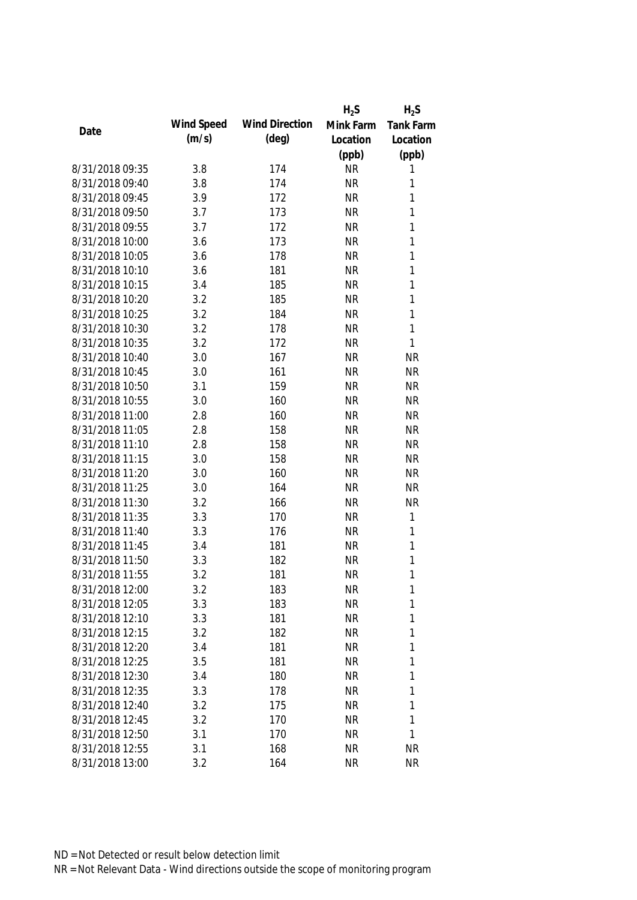|                 |            |                       | $H_2S$    | $H_2S$      |
|-----------------|------------|-----------------------|-----------|-------------|
|                 | Wind Speed | <b>Wind Direction</b> | Mink Farm | Tank Farm   |
| Date            | (m/s)      | $(\text{deg})$        | Location  | Location    |
|                 |            |                       | (ppb)     | (ppb)       |
| 8/31/2018 09:35 | 3.8        | 174                   | <b>NR</b> | 1           |
| 8/31/2018 09:40 | 3.8        | 174                   | <b>NR</b> | 1           |
| 8/31/2018 09:45 | 3.9        | 172                   | <b>NR</b> | 1           |
| 8/31/2018 09:50 | 3.7        | 173                   | <b>NR</b> | 1           |
| 8/31/2018 09:55 | 3.7        | 172                   | <b>NR</b> | 1           |
| 8/31/2018 10:00 | 3.6        | 173                   | <b>NR</b> | 1           |
| 8/31/2018 10:05 | 3.6        | 178                   | <b>NR</b> | 1           |
| 8/31/2018 10:10 | 3.6        | 181                   | <b>NR</b> | 1           |
| 8/31/2018 10:15 | 3.4        | 185                   | <b>NR</b> | 1           |
| 8/31/2018 10:20 | 3.2        | 185                   | <b>NR</b> | 1           |
| 8/31/2018 10:25 | 3.2        | 184                   | <b>NR</b> | 1           |
| 8/31/2018 10:30 | 3.2        | 178                   | <b>NR</b> | 1           |
| 8/31/2018 10:35 | 3.2        | 172                   | <b>NR</b> | 1           |
| 8/31/2018 10:40 | 3.0        | 167                   | <b>NR</b> | <b>NR</b>   |
| 8/31/2018 10:45 | 3.0        | 161                   | <b>NR</b> | <b>NR</b>   |
| 8/31/2018 10:50 | 3.1        | 159                   | <b>NR</b> | <b>NR</b>   |
| 8/31/2018 10:55 | 3.0        | 160                   | <b>NR</b> | <b>NR</b>   |
| 8/31/2018 11:00 | 2.8        | 160                   | <b>NR</b> | <b>NR</b>   |
| 8/31/2018 11:05 | 2.8        | 158                   | <b>NR</b> | <b>NR</b>   |
| 8/31/2018 11:10 | 2.8        | 158                   | <b>NR</b> | <b>NR</b>   |
| 8/31/2018 11:15 | 3.0        | 158                   | <b>NR</b> | <b>NR</b>   |
| 8/31/2018 11:20 | 3.0        | 160                   | <b>NR</b> | <b>NR</b>   |
| 8/31/2018 11:25 | 3.0        | 164                   | <b>NR</b> | <b>NR</b>   |
| 8/31/2018 11:30 | 3.2        | 166                   | <b>NR</b> | <b>NR</b>   |
| 8/31/2018 11:35 | 3.3        | 170                   | <b>NR</b> | $\mathbf 1$ |
| 8/31/2018 11:40 | 3.3        | 176                   | <b>NR</b> | $\mathbf 1$ |
| 8/31/2018 11:45 | 3.4        | 181                   | <b>NR</b> | 1           |
| 8/31/2018 11:50 | 3.3        | 182                   | <b>NR</b> | 1           |
| 8/31/2018 11:55 | 3.2        | 181                   | <b>NR</b> | 1           |
| 8/31/2018 12:00 | 3.2        | 183                   | <b>NR</b> | 1           |
| 8/31/2018 12:05 | 3.3        | 183                   | <b>NR</b> | 1           |
| 8/31/2018 12:10 | 3.3        | 181                   | <b>NR</b> | 1           |
| 8/31/2018 12:15 | 3.2        | 182                   | <b>NR</b> | 1           |
| 8/31/2018 12:20 | 3.4        | 181                   | <b>NR</b> | 1           |
| 8/31/2018 12:25 | 3.5        | 181                   | <b>NR</b> | 1           |
| 8/31/2018 12:30 | 3.4        | 180                   | <b>NR</b> | 1           |
| 8/31/2018 12:35 | 3.3        | 178                   | <b>NR</b> | 1           |
| 8/31/2018 12:40 | 3.2        | 175                   | <b>NR</b> | 1           |
| 8/31/2018 12:45 | 3.2        | 170                   | <b>NR</b> | 1           |
| 8/31/2018 12:50 | 3.1        | 170                   | <b>NR</b> | 1           |
| 8/31/2018 12:55 | 3.1        | 168                   | <b>NR</b> | <b>NR</b>   |
| 8/31/2018 13:00 | 3.2        | 164                   | <b>NR</b> | <b>NR</b>   |
|                 |            |                       |           |             |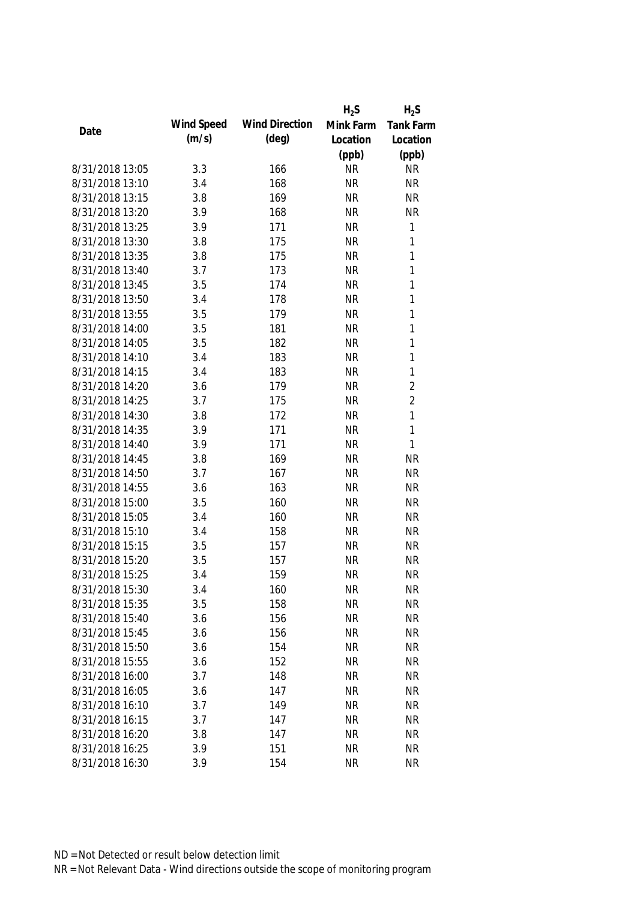|                 |            |                       | $H_2S$    | $H_2S$         |
|-----------------|------------|-----------------------|-----------|----------------|
|                 | Wind Speed | <b>Wind Direction</b> | Mink Farm | Tank Farm      |
| Date            | (m/s)      | $(\text{deg})$        | Location  | Location       |
|                 |            |                       | (ppb)     | (ppb)          |
| 8/31/2018 13:05 | 3.3        | 166                   | <b>NR</b> | <b>NR</b>      |
| 8/31/2018 13:10 | 3.4        | 168                   | <b>NR</b> | <b>NR</b>      |
| 8/31/2018 13:15 | 3.8        | 169                   | <b>NR</b> | <b>NR</b>      |
| 8/31/2018 13:20 | 3.9        | 168                   | <b>NR</b> | <b>NR</b>      |
| 8/31/2018 13:25 | 3.9        | 171                   | <b>NR</b> | $\mathbf{1}$   |
| 8/31/2018 13:30 | 3.8        | 175                   | <b>NR</b> | $\mathbf{1}$   |
| 8/31/2018 13:35 | 3.8        | 175                   | <b>NR</b> | $\mathbf{1}$   |
| 8/31/2018 13:40 | 3.7        | 173                   | <b>NR</b> | $\mathbf{1}$   |
| 8/31/2018 13:45 | 3.5        | 174                   | <b>NR</b> | $\mathbf{1}$   |
| 8/31/2018 13:50 | 3.4        | 178                   | <b>NR</b> | $\mathbf{1}$   |
| 8/31/2018 13:55 | 3.5        | 179                   | <b>NR</b> | $\mathbf{1}$   |
| 8/31/2018 14:00 | 3.5        | 181                   | <b>NR</b> | $\mathbf{1}$   |
| 8/31/2018 14:05 | 3.5        | 182                   | <b>NR</b> | $\mathbf{1}$   |
| 8/31/2018 14:10 | 3.4        | 183                   | <b>NR</b> | $\mathbf{1}$   |
| 8/31/2018 14:15 | 3.4        | 183                   | <b>NR</b> | $\mathbf{1}$   |
| 8/31/2018 14:20 | 3.6        | 179                   | <b>NR</b> | $\overline{2}$ |
| 8/31/2018 14:25 | 3.7        | 175                   | <b>NR</b> | $\overline{2}$ |
| 8/31/2018 14:30 | 3.8        | 172                   | <b>NR</b> | $\mathbf{1}$   |
| 8/31/2018 14:35 | 3.9        | 171                   | <b>NR</b> | $\mathbf{1}$   |
| 8/31/2018 14:40 | 3.9        | 171                   | <b>NR</b> | $\mathbf{1}$   |
| 8/31/2018 14:45 | 3.8        | 169                   | <b>NR</b> | <b>NR</b>      |
| 8/31/2018 14:50 | 3.7        | 167                   | <b>NR</b> | <b>NR</b>      |
| 8/31/2018 14:55 | 3.6        | 163                   | <b>NR</b> | <b>NR</b>      |
| 8/31/2018 15:00 | 3.5        | 160                   | <b>NR</b> | <b>NR</b>      |
| 8/31/2018 15:05 | 3.4        | 160                   | <b>NR</b> | <b>NR</b>      |
| 8/31/2018 15:10 | 3.4        | 158                   | <b>NR</b> | <b>NR</b>      |
| 8/31/2018 15:15 | 3.5        | 157                   | <b>NR</b> | <b>NR</b>      |
| 8/31/2018 15:20 | 3.5        | 157                   | <b>NR</b> | <b>NR</b>      |
| 8/31/2018 15:25 | 3.4        | 159                   | <b>NR</b> | <b>NR</b>      |
| 8/31/2018 15:30 | 3.4        | 160                   | <b>NR</b> | <b>NR</b>      |
| 8/31/2018 15:35 | 3.5        | 158                   | <b>NR</b> | <b>NR</b>      |
| 8/31/2018 15:40 | 3.6        | 156                   | <b>NR</b> | <b>NR</b>      |
| 8/31/2018 15:45 | 3.6        | 156                   | <b>NR</b> | <b>NR</b>      |
| 8/31/2018 15:50 | 3.6        | 154                   | <b>NR</b> | <b>NR</b>      |
| 8/31/2018 15:55 | 3.6        | 152                   | <b>NR</b> | <b>NR</b>      |
| 8/31/2018 16:00 | 3.7        | 148                   | <b>NR</b> | <b>NR</b>      |
| 8/31/2018 16:05 | 3.6        | 147                   | <b>NR</b> | <b>NR</b>      |
| 8/31/2018 16:10 | 3.7        | 149                   | <b>NR</b> | <b>NR</b>      |
| 8/31/2018 16:15 | 3.7        | 147                   | <b>NR</b> | <b>NR</b>      |
| 8/31/2018 16:20 | 3.8        | 147                   | <b>NR</b> | <b>NR</b>      |
| 8/31/2018 16:25 | 3.9        | 151                   | <b>NR</b> | <b>NR</b>      |
| 8/31/2018 16:30 | 3.9        | 154                   | <b>NR</b> | <b>NR</b>      |
|                 |            |                       |           |                |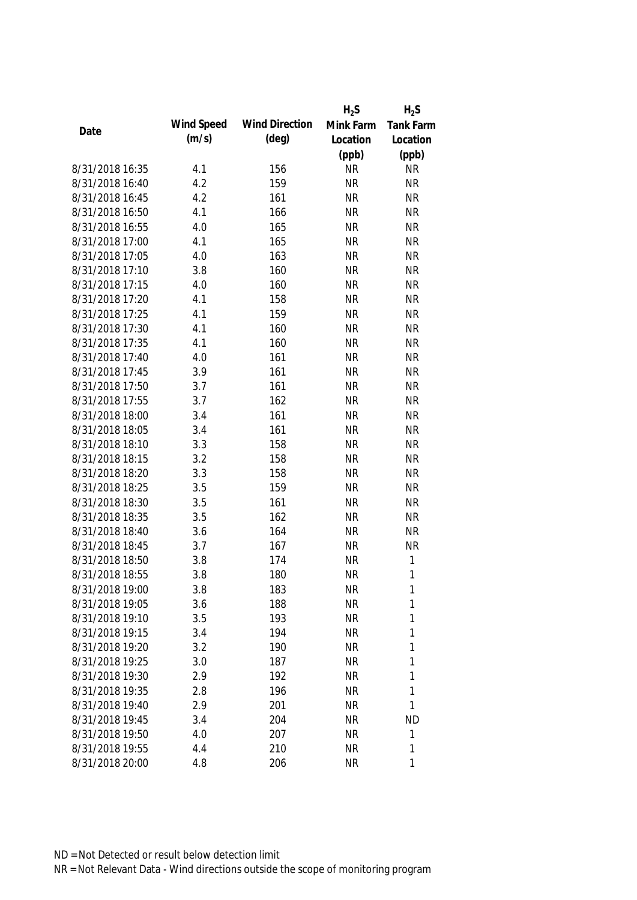|                 |            |                       | $H_2S$    | $H_2S$       |
|-----------------|------------|-----------------------|-----------|--------------|
|                 | Wind Speed | <b>Wind Direction</b> | Mink Farm | Tank Farm    |
| Date            | (m/s)      | $(\text{deg})$        | Location  | Location     |
|                 |            |                       | (ppb)     | (ppb)        |
| 8/31/2018 16:35 | 4.1        | 156                   | <b>NR</b> | <b>NR</b>    |
| 8/31/2018 16:40 | 4.2        | 159                   | <b>NR</b> | <b>NR</b>    |
| 8/31/2018 16:45 | 4.2        | 161                   | <b>NR</b> | <b>NR</b>    |
| 8/31/2018 16:50 | 4.1        | 166                   | <b>NR</b> | <b>NR</b>    |
| 8/31/2018 16:55 | 4.0        | 165                   | <b>NR</b> | <b>NR</b>    |
| 8/31/2018 17:00 | 4.1        | 165                   | <b>NR</b> | <b>NR</b>    |
| 8/31/2018 17:05 | 4.0        | 163                   | <b>NR</b> | <b>NR</b>    |
| 8/31/2018 17:10 | 3.8        | 160                   | <b>NR</b> | <b>NR</b>    |
| 8/31/2018 17:15 | 4.0        | 160                   | <b>NR</b> | <b>NR</b>    |
| 8/31/2018 17:20 | 4.1        | 158                   | <b>NR</b> | <b>NR</b>    |
| 8/31/2018 17:25 | 4.1        | 159                   | <b>NR</b> | <b>NR</b>    |
| 8/31/2018 17:30 | 4.1        | 160                   | <b>NR</b> | <b>NR</b>    |
| 8/31/2018 17:35 | 4.1        | 160                   | <b>NR</b> | <b>NR</b>    |
| 8/31/2018 17:40 | 4.0        | 161                   | <b>NR</b> | <b>NR</b>    |
| 8/31/2018 17:45 | 3.9        | 161                   | <b>NR</b> | <b>NR</b>    |
| 8/31/2018 17:50 | 3.7        | 161                   | <b>NR</b> | <b>NR</b>    |
| 8/31/2018 17:55 | 3.7        | 162                   | <b>NR</b> | <b>NR</b>    |
| 8/31/2018 18:00 | 3.4        | 161                   | <b>NR</b> | <b>NR</b>    |
| 8/31/2018 18:05 | 3.4        | 161                   | <b>NR</b> | <b>NR</b>    |
| 8/31/2018 18:10 | 3.3        | 158                   | <b>NR</b> | <b>NR</b>    |
| 8/31/2018 18:15 | 3.2        | 158                   | <b>NR</b> | <b>NR</b>    |
| 8/31/2018 18:20 | 3.3        | 158                   | <b>NR</b> | <b>NR</b>    |
| 8/31/2018 18:25 | 3.5        | 159                   | <b>NR</b> | <b>NR</b>    |
| 8/31/2018 18:30 | 3.5        | 161                   | <b>NR</b> | <b>NR</b>    |
| 8/31/2018 18:35 | 3.5        | 162                   | <b>NR</b> | <b>NR</b>    |
| 8/31/2018 18:40 | 3.6        | 164                   | <b>NR</b> | <b>NR</b>    |
| 8/31/2018 18:45 | 3.7        | 167                   | <b>NR</b> | <b>NR</b>    |
| 8/31/2018 18:50 | 3.8        | 174                   | <b>NR</b> | $\mathbf{1}$ |
| 8/31/2018 18:55 | 3.8        | 180                   | <b>NR</b> | $\mathbf{1}$ |
| 8/31/2018 19:00 | 3.8        | 183                   | <b>NR</b> | 1            |
| 8/31/2018 19:05 | 3.6        | 188                   | <b>NR</b> | 1            |
| 8/31/2018 19:10 | 3.5        | 193                   | <b>NR</b> | 1            |
| 8/31/2018 19:15 | 3.4        | 194                   | <b>NR</b> | 1            |
| 8/31/2018 19:20 | 3.2        | 190                   | <b>NR</b> | 1            |
| 8/31/2018 19:25 | 3.0        | 187                   | <b>NR</b> | 1            |
| 8/31/2018 19:30 | 2.9        | 192                   | <b>NR</b> | 1            |
| 8/31/2018 19:35 | 2.8        | 196                   | <b>NR</b> | 1            |
| 8/31/2018 19:40 | 2.9        | 201                   | <b>NR</b> | 1            |
| 8/31/2018 19:45 | 3.4        | 204                   | <b>NR</b> | <b>ND</b>    |
| 8/31/2018 19:50 |            | 207                   | <b>NR</b> | 1            |
|                 | 4.0        |                       |           | 1            |
| 8/31/2018 19:55 | 4.4        | 210                   | <b>NR</b> |              |
| 8/31/2018 20:00 | 4.8        | 206                   | <b>NR</b> | 1            |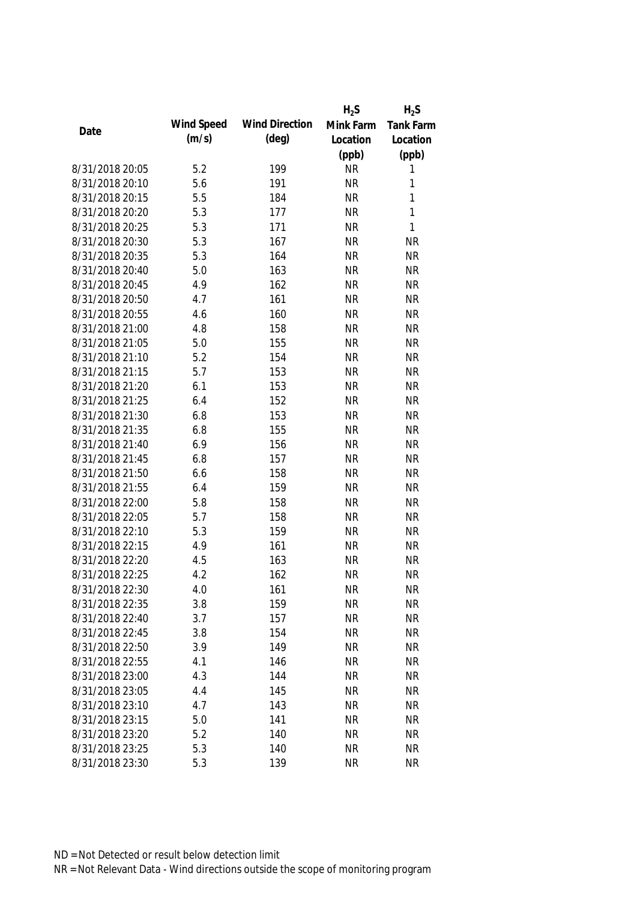|                 |            |                       | $H_2S$    | $H_2S$           |
|-----------------|------------|-----------------------|-----------|------------------|
| Date            | Wind Speed | <b>Wind Direction</b> | Mink Farm | <b>Tank Farm</b> |
|                 | (m/s)      | $(\text{deg})$        | Location  | Location         |
|                 |            |                       | (ppb)     | (ppb)            |
| 8/31/2018 20:05 | 5.2        | 199                   | <b>NR</b> | 1                |
| 8/31/2018 20:10 | 5.6        | 191                   | <b>NR</b> | 1                |
| 8/31/2018 20:15 | 5.5        | 184                   | <b>NR</b> | 1                |
| 8/31/2018 20:20 | 5.3        | 177                   | <b>NR</b> | 1                |
| 8/31/2018 20:25 | 5.3        | 171                   | <b>NR</b> | 1                |
| 8/31/2018 20:30 | 5.3        | 167                   | <b>NR</b> | <b>NR</b>        |
| 8/31/2018 20:35 | 5.3        | 164                   | <b>NR</b> | <b>NR</b>        |
| 8/31/2018 20:40 | 5.0        | 163                   | <b>NR</b> | <b>NR</b>        |
| 8/31/2018 20:45 | 4.9        | 162                   | <b>NR</b> | <b>NR</b>        |
| 8/31/2018 20:50 | 4.7        | 161                   | <b>NR</b> | <b>NR</b>        |
| 8/31/2018 20:55 | 4.6        | 160                   | <b>NR</b> | <b>NR</b>        |
| 8/31/2018 21:00 | 4.8        | 158                   | <b>NR</b> | <b>NR</b>        |
| 8/31/2018 21:05 | 5.0        | 155                   | <b>NR</b> | <b>NR</b>        |
| 8/31/2018 21:10 | 5.2        | 154                   | <b>NR</b> | <b>NR</b>        |
| 8/31/2018 21:15 | 5.7        | 153                   | <b>NR</b> | <b>NR</b>        |
| 8/31/2018 21:20 | 6.1        | 153                   | <b>NR</b> | <b>NR</b>        |
| 8/31/2018 21:25 | 6.4        | 152                   | <b>NR</b> | <b>NR</b>        |
| 8/31/2018 21:30 | 6.8        | 153                   | <b>NR</b> | <b>NR</b>        |
| 8/31/2018 21:35 | 6.8        | 155                   | <b>NR</b> | <b>NR</b>        |
| 8/31/2018 21:40 | 6.9        | 156                   | <b>NR</b> | <b>NR</b>        |
| 8/31/2018 21:45 | 6.8        | 157                   | <b>NR</b> | <b>NR</b>        |
| 8/31/2018 21:50 | 6.6        | 158                   | <b>NR</b> | <b>NR</b>        |
| 8/31/2018 21:55 | 6.4        | 159                   | <b>NR</b> | <b>NR</b>        |
| 8/31/2018 22:00 | 5.8        | 158                   | <b>NR</b> | <b>NR</b>        |
| 8/31/2018 22:05 | 5.7        | 158                   | <b>NR</b> | <b>NR</b>        |
| 8/31/2018 22:10 | 5.3        | 159                   | <b>NR</b> | <b>NR</b>        |
| 8/31/2018 22:15 | 4.9        | 161                   | <b>NR</b> | <b>NR</b>        |
| 8/31/2018 22:20 | 4.5        | 163                   | <b>NR</b> | <b>NR</b>        |
| 8/31/2018 22:25 | 4.2        | 162                   | <b>NR</b> | <b>NR</b>        |
| 8/31/2018 22:30 | 4.0        | 161                   | <b>NR</b> | <b>NR</b>        |
| 8/31/2018 22:35 | 3.8        | 159                   | <b>NR</b> | <b>NR</b>        |
| 8/31/2018 22:40 | 3.7        | 157                   | <b>NR</b> | <b>NR</b>        |
| 8/31/2018 22:45 | 3.8        | 154                   | <b>NR</b> | <b>NR</b>        |
| 8/31/2018 22:50 | 3.9        | 149                   | <b>NR</b> | <b>NR</b>        |
| 8/31/2018 22:55 | 4.1        | 146                   | <b>NR</b> | <b>NR</b>        |
| 8/31/2018 23:00 | 4.3        | 144                   | <b>NR</b> | <b>NR</b>        |
| 8/31/2018 23:05 | 4.4        | 145                   | <b>NR</b> | <b>NR</b>        |
| 8/31/2018 23:10 | 4.7        | 143                   | <b>NR</b> | <b>NR</b>        |
| 8/31/2018 23:15 | 5.0        | 141                   | <b>NR</b> | <b>NR</b>        |
| 8/31/2018 23:20 | 5.2        | 140                   | <b>NR</b> | <b>NR</b>        |
| 8/31/2018 23:25 | 5.3        | 140                   | <b>NR</b> | <b>NR</b>        |
| 8/31/2018 23:30 | 5.3        | 139                   | <b>NR</b> | <b>NR</b>        |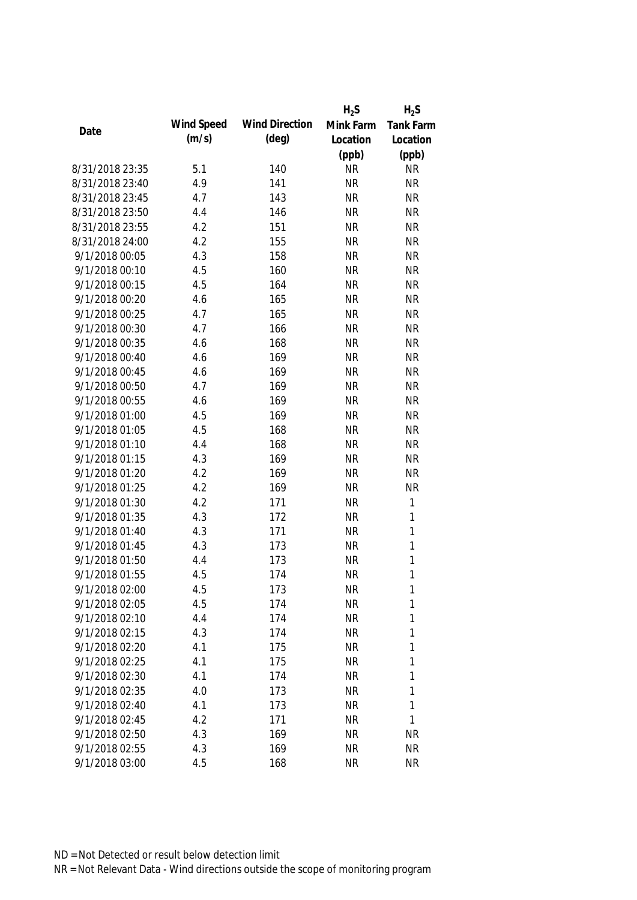|                 |            |                       | $H_2S$    | $H_2S$       |
|-----------------|------------|-----------------------|-----------|--------------|
|                 | Wind Speed | <b>Wind Direction</b> | Mink Farm | Tank Farm    |
| Date            | (m/s)      | (deg)                 | Location  | Location     |
|                 |            |                       | (ppb)     | (ppb)        |
| 8/31/2018 23:35 | 5.1        | 140                   | <b>NR</b> | <b>NR</b>    |
| 8/31/2018 23:40 | 4.9        | 141                   | <b>NR</b> | <b>NR</b>    |
| 8/31/2018 23:45 | 4.7        | 143                   | <b>NR</b> | <b>NR</b>    |
| 8/31/2018 23:50 | 4.4        | 146                   | <b>NR</b> | <b>NR</b>    |
| 8/31/2018 23:55 | 4.2        | 151                   | <b>NR</b> | <b>NR</b>    |
| 8/31/2018 24:00 | 4.2        | 155                   | <b>NR</b> | <b>NR</b>    |
| 9/1/2018 00:05  | 4.3        | 158                   | <b>NR</b> | <b>NR</b>    |
| 9/1/2018 00:10  | 4.5        | 160                   | <b>NR</b> | <b>NR</b>    |
| 9/1/2018 00:15  | 4.5        | 164                   | <b>NR</b> | <b>NR</b>    |
| 9/1/2018 00:20  | 4.6        | 165                   | <b>NR</b> | <b>NR</b>    |
| 9/1/2018 00:25  | 4.7        | 165                   | <b>NR</b> | <b>NR</b>    |
| 9/1/2018 00:30  | 4.7        | 166                   | <b>NR</b> | <b>NR</b>    |
| 9/1/2018 00:35  | 4.6        | 168                   | <b>NR</b> | <b>NR</b>    |
| 9/1/2018 00:40  | 4.6        | 169                   | <b>NR</b> | <b>NR</b>    |
| 9/1/2018 00:45  | 4.6        | 169                   | <b>NR</b> | <b>NR</b>    |
| 9/1/2018 00:50  | 4.7        | 169                   | <b>NR</b> | <b>NR</b>    |
| 9/1/2018 00:55  | 4.6        | 169                   | <b>NR</b> | <b>NR</b>    |
| 9/1/2018 01:00  | 4.5        | 169                   | <b>NR</b> | <b>NR</b>    |
| 9/1/2018 01:05  | 4.5        | 168                   | <b>NR</b> | <b>NR</b>    |
| 9/1/2018 01:10  | 4.4        | 168                   | <b>NR</b> | <b>NR</b>    |
| 9/1/2018 01:15  | 4.3        | 169                   | <b>NR</b> | <b>NR</b>    |
| 9/1/2018 01:20  | 4.2        | 169                   | <b>NR</b> | <b>NR</b>    |
| 9/1/2018 01:25  | 4.2        | 169                   | <b>NR</b> | <b>NR</b>    |
| 9/1/2018 01:30  | 4.2        | 171                   | <b>NR</b> | $\mathbf{1}$ |
| 9/1/2018 01:35  | 4.3        | 172                   | <b>NR</b> | $\mathbf{1}$ |
| 9/1/2018 01:40  | 4.3        | 171                   | <b>NR</b> | $\mathbf{1}$ |
| 9/1/2018 01:45  | 4.3        | 173                   | <b>NR</b> | $\mathbf{1}$ |
| 9/1/2018 01:50  | 4.4        | 173                   | <b>NR</b> | $\mathbf{1}$ |
| 9/1/2018 01:55  | 4.5        | 174                   | <b>NR</b> | $\mathbf{1}$ |
| 9/1/2018 02:00  | 4.5        | 173                   | <b>NR</b> | 1            |
| 9/1/2018 02:05  | 4.5        | 174                   | <b>NR</b> | 1            |
| 9/1/2018 02:10  | 4.4        | 174                   | <b>NR</b> | 1            |
| 9/1/2018 02:15  | 4.3        | 174                   | <b>NR</b> | 1            |
| 9/1/2018 02:20  | 4.1        | 175                   | <b>NR</b> | 1            |
| 9/1/2018 02:25  | 4.1        | 175                   | <b>NR</b> | 1            |
| 9/1/2018 02:30  | 4.1        | 174                   | <b>NR</b> | 1            |
| 9/1/2018 02:35  | 4.0        | 173                   | <b>NR</b> | 1            |
| 9/1/2018 02:40  | 4.1        | 173                   | <b>NR</b> | 1            |
| 9/1/2018 02:45  | 4.2        | 171                   | <b>NR</b> | 1            |
| 9/1/2018 02:50  | 4.3        | 169                   | <b>NR</b> | NR           |
| 9/1/2018 02:55  | 4.3        | 169                   | <b>NR</b> | <b>NR</b>    |
| 9/1/2018 03:00  | 4.5        | 168                   | <b>NR</b> | <b>NR</b>    |
|                 |            |                       |           |              |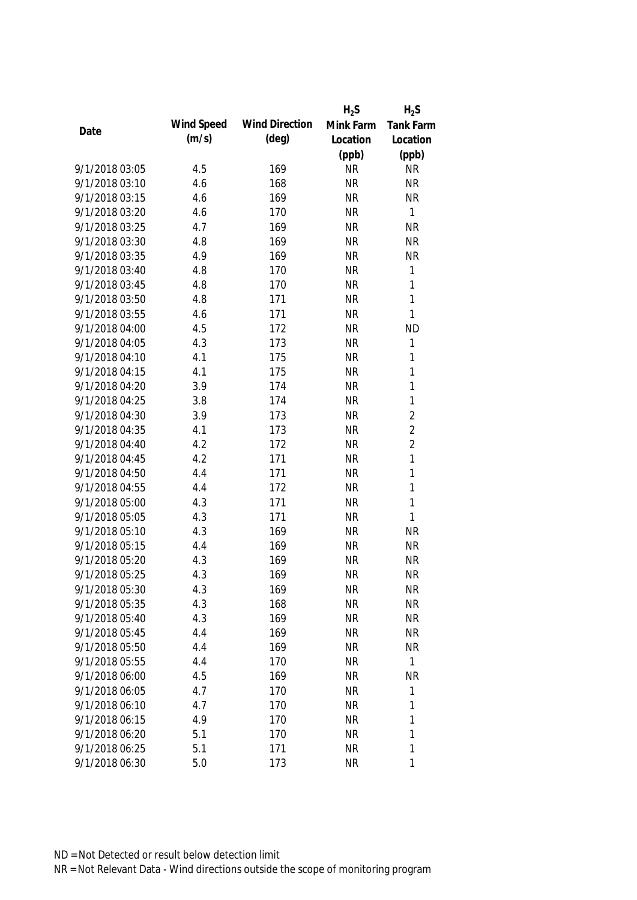|                |            |                       | $H_2S$    | $H_2S$           |
|----------------|------------|-----------------------|-----------|------------------|
| Date           | Wind Speed | <b>Wind Direction</b> | Mink Farm | <b>Tank Farm</b> |
|                | (m/s)      | (deg)                 | Location  | Location         |
|                |            |                       | (ppb)     | (ppb)            |
| 9/1/2018 03:05 | 4.5        | 169                   | <b>NR</b> | <b>NR</b>        |
| 9/1/2018 03:10 | 4.6        | 168                   | <b>NR</b> | <b>NR</b>        |
| 9/1/2018 03:15 | 4.6        | 169                   | <b>NR</b> | <b>NR</b>        |
| 9/1/2018 03:20 | 4.6        | 170                   | <b>NR</b> | $\mathbf{1}$     |
| 9/1/2018 03:25 | 4.7        | 169                   | <b>NR</b> | <b>NR</b>        |
| 9/1/2018 03:30 | 4.8        | 169                   | <b>NR</b> | <b>NR</b>        |
| 9/1/2018 03:35 | 4.9        | 169                   | <b>NR</b> | <b>NR</b>        |
| 9/1/2018 03:40 | 4.8        | 170                   | <b>NR</b> | $\mathbf{1}$     |
| 9/1/2018 03:45 | 4.8        | 170                   | <b>NR</b> | $\mathbf{1}$     |
| 9/1/2018 03:50 | 4.8        | 171                   | <b>NR</b> | $\mathbf{1}$     |
| 9/1/2018 03:55 | 4.6        | 171                   | <b>NR</b> | $\mathbf{1}$     |
| 9/1/2018 04:00 | 4.5        | 172                   | <b>NR</b> | <b>ND</b>        |
| 9/1/2018 04:05 | 4.3        | 173                   | <b>NR</b> | 1                |
| 9/1/2018 04:10 | 4.1        | 175                   | <b>NR</b> | 1                |
| 9/1/2018 04:15 | 4.1        | 175                   | <b>NR</b> | $\mathbf{1}$     |
| 9/1/2018 04:20 | 3.9        | 174                   | <b>NR</b> | $\mathbf{1}$     |
| 9/1/2018 04:25 | 3.8        | 174                   | <b>NR</b> | $\mathbf{1}$     |
| 9/1/2018 04:30 | 3.9        | 173                   | <b>NR</b> | $\overline{2}$   |
| 9/1/2018 04:35 | 4.1        | 173                   | <b>NR</b> | $\overline{2}$   |
| 9/1/2018 04:40 | 4.2        | 172                   | <b>NR</b> | $\overline{2}$   |
| 9/1/2018 04:45 | 4.2        | 171                   | <b>NR</b> | $\mathbf{1}$     |
| 9/1/2018 04:50 | 4.4        | 171                   | <b>NR</b> | $\mathbf{1}$     |
| 9/1/2018 04:55 | 4.4        | 172                   | <b>NR</b> | $\mathbf{1}$     |
| 9/1/2018 05:00 | 4.3        | 171                   | <b>NR</b> | $\mathbf{1}$     |
| 9/1/2018 05:05 | 4.3        | 171                   | <b>NR</b> | $\mathbf{1}$     |
| 9/1/2018 05:10 | 4.3        | 169                   | <b>NR</b> | <b>NR</b>        |
| 9/1/2018 05:15 | 4.4        | 169                   | <b>NR</b> | <b>NR</b>        |
| 9/1/2018 05:20 | 4.3        | 169                   | <b>NR</b> | <b>NR</b>        |
| 9/1/2018 05:25 | 4.3        | 169                   | <b>NR</b> | <b>NR</b>        |
| 9/1/2018 05:30 | 4.3        | 169                   | <b>NR</b> | <b>NR</b>        |
| 9/1/2018 05:35 | 4.3        | 168                   | <b>NR</b> | <b>NR</b>        |
| 9/1/2018 05:40 | 4.3        | 169                   | <b>NR</b> | <b>NR</b>        |
| 9/1/2018 05:45 | 4.4        | 169                   | <b>NR</b> | <b>NR</b>        |
| 9/1/2018 05:50 | 4.4        | 169                   | <b>NR</b> | <b>NR</b>        |
| 9/1/2018 05:55 | 4.4        | 170                   | <b>NR</b> | $\mathbf{1}$     |
| 9/1/2018 06:00 | 4.5        | 169                   | <b>NR</b> | <b>NR</b>        |
| 9/1/2018 06:05 | 4.7        | 170                   | <b>NR</b> | 1                |
| 9/1/2018 06:10 | 4.7        | 170                   | <b>NR</b> | 1                |
| 9/1/2018 06:15 | 4.9        | 170                   | <b>NR</b> | 1                |
| 9/1/2018 06:20 | 5.1        | 170                   | <b>NR</b> | $\mathbf{1}$     |
| 9/1/2018 06:25 | 5.1        | 171                   | <b>NR</b> | 1                |
| 9/1/2018 06:30 | 5.0        | 173                   | <b>NR</b> | 1                |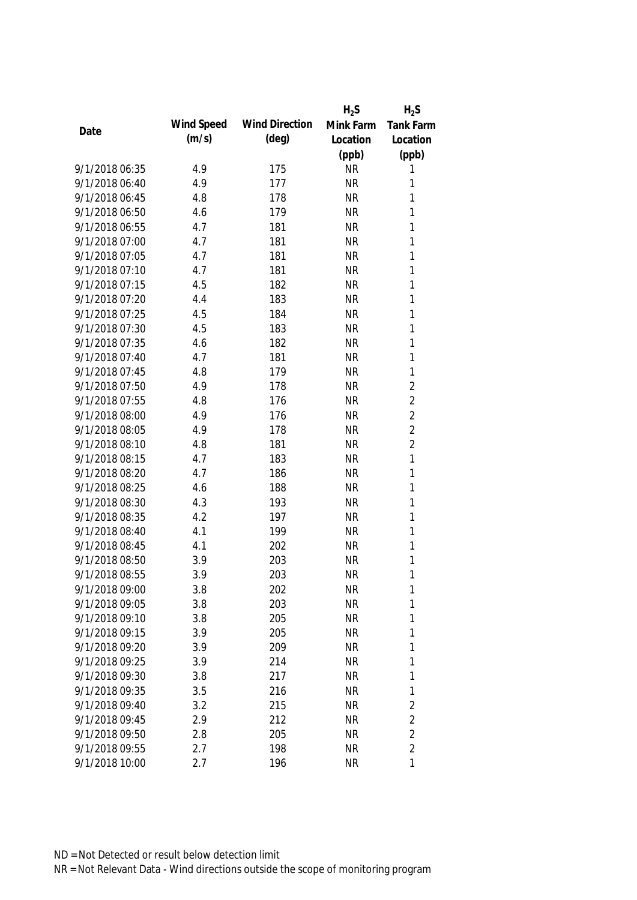|                |            |                       | $H_2S$    | $H_2S$           |
|----------------|------------|-----------------------|-----------|------------------|
| Date           | Wind Speed | <b>Wind Direction</b> | Mink Farm | <b>Tank Farm</b> |
|                | (m/s)      | $(\text{deg})$        | Location  | Location         |
|                |            |                       | (ppb)     | (ppb)            |
| 9/1/2018 06:35 | 4.9        | 175                   | <b>NR</b> | 1                |
| 9/1/2018 06:40 | 4.9        | 177                   | <b>NR</b> | 1                |
| 9/1/2018 06:45 | 4.8        | 178                   | <b>NR</b> | 1                |
| 9/1/2018 06:50 | 4.6        | 179                   | <b>NR</b> | 1                |
| 9/1/2018 06:55 | 4.7        | 181                   | <b>NR</b> | $\mathbf{1}$     |
| 9/1/2018 07:00 | 4.7        | 181                   | <b>NR</b> | $\mathbf{1}$     |
| 9/1/2018 07:05 | 4.7        | 181                   | <b>NR</b> | $\mathbf{1}$     |
| 9/1/2018 07:10 | 4.7        | 181                   | <b>NR</b> | $\mathbf{1}$     |
| 9/1/2018 07:15 | 4.5        | 182                   | <b>NR</b> | $\mathbf{1}$     |
| 9/1/2018 07:20 | 4.4        | 183                   | <b>NR</b> | $\mathbf{1}$     |
| 9/1/2018 07:25 | 4.5        | 184                   | <b>NR</b> | $\mathbf{1}$     |
| 9/1/2018 07:30 | 4.5        | 183                   | <b>NR</b> | $\mathbf{1}$     |
| 9/1/2018 07:35 | 4.6        | 182                   | <b>NR</b> | $\mathbf{1}$     |
| 9/1/2018 07:40 | 4.7        | 181                   | <b>NR</b> | $\mathbf{1}$     |
| 9/1/2018 07:45 | 4.8        | 179                   | <b>NR</b> | $\mathbf{1}$     |
| 9/1/2018 07:50 | 4.9        | 178                   | <b>NR</b> | $\overline{2}$   |
| 9/1/2018 07:55 | 4.8        | 176                   | <b>NR</b> | $\overline{2}$   |
| 9/1/2018 08:00 | 4.9        | 176                   | <b>NR</b> | $\overline{2}$   |
| 9/1/2018 08:05 | 4.9        | 178                   | <b>NR</b> | $\overline{2}$   |
| 9/1/2018 08:10 | 4.8        | 181                   | <b>NR</b> | $\overline{2}$   |
| 9/1/2018 08:15 | 4.7        | 183                   | <b>NR</b> | 1                |
| 9/1/2018 08:20 | 4.7        | 186                   | <b>NR</b> | $\mathbf{1}$     |
| 9/1/2018 08:25 | 4.6        | 188                   | <b>NR</b> | $\mathbf{1}$     |
| 9/1/2018 08:30 | 4.3        | 193                   | <b>NR</b> | $\mathbf{1}$     |
| 9/1/2018 08:35 | 4.2        | 197                   | <b>NR</b> | 1                |
| 9/1/2018 08:40 | 4.1        | 199                   | <b>NR</b> | $\mathbf{1}$     |
| 9/1/2018 08:45 | 4.1        | 202                   | <b>NR</b> | 1                |
| 9/1/2018 08:50 | 3.9        | 203                   | <b>NR</b> | 1                |
| 9/1/2018 08:55 | 3.9        | 203                   | <b>NR</b> | $\mathbf{1}$     |
| 9/1/2018 09:00 | 3.8        | 202                   | <b>NR</b> | 1                |
| 9/1/2018 09:05 | 3.8        | 203                   | <b>NR</b> | 1                |
| 9/1/2018 09:10 | 3.8        | 205                   | <b>NR</b> | 1                |
| 9/1/2018 09:15 | 3.9        | 205                   | <b>NR</b> | 1                |
| 9/1/2018 09:20 | 3.9        | 209                   | <b>NR</b> | 1                |
| 9/1/2018 09:25 | 3.9        | 214                   | <b>NR</b> | 1                |
| 9/1/2018 09:30 | 3.8        | 217                   | <b>NR</b> | 1                |
| 9/1/2018 09:35 | 3.5        | 216                   | <b>NR</b> | $\mathbf 1$      |
| 9/1/2018 09:40 | 3.2        | 215                   | <b>NR</b> | 2                |
| 9/1/2018 09:45 | 2.9        | 212                   | <b>NR</b> | $\overline{2}$   |
| 9/1/2018 09:50 | 2.8        | 205                   | <b>NR</b> | $\overline{2}$   |
| 9/1/2018 09:55 | 2.7        | 198                   | <b>NR</b> | $\overline{2}$   |
| 9/1/2018 10:00 | 2.7        | 196                   | <b>NR</b> | 1                |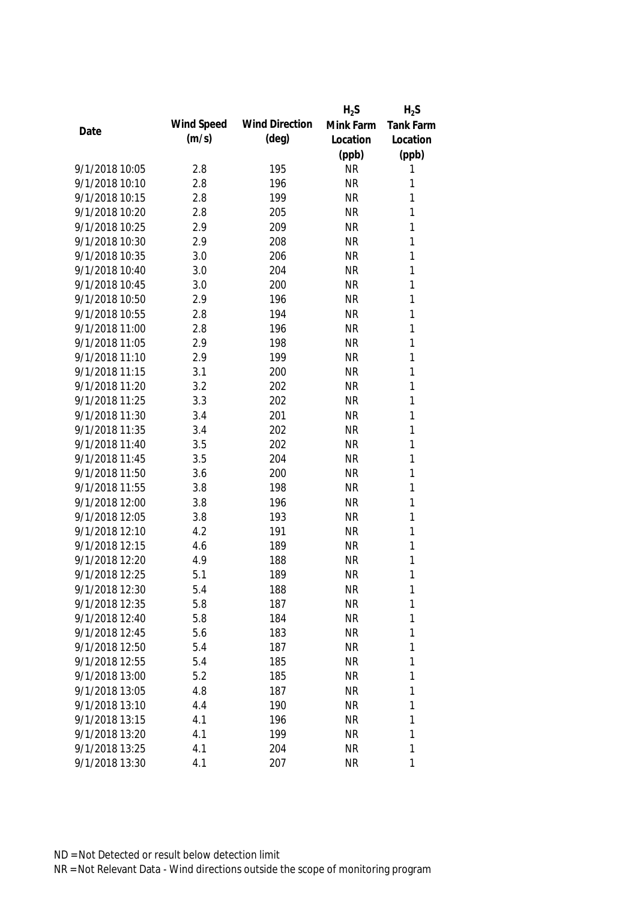|                |            |                       | $H_2S$    | $H_2S$           |
|----------------|------------|-----------------------|-----------|------------------|
|                | Wind Speed | <b>Wind Direction</b> | Mink Farm | <b>Tank Farm</b> |
| Date           | (m/s)      | $(\text{deg})$        | Location  | Location         |
|                |            |                       | (ppb)     | (ppb)            |
| 9/1/2018 10:05 | 2.8        | 195                   | <b>NR</b> | 1                |
| 9/1/2018 10:10 | 2.8        | 196                   | <b>NR</b> | 1                |
| 9/1/2018 10:15 | 2.8        | 199                   | <b>NR</b> | 1                |
| 9/1/2018 10:20 | 2.8        | 205                   | <b>NR</b> | 1                |
| 9/1/2018 10:25 | 2.9        | 209                   | <b>NR</b> | 1                |
| 9/1/2018 10:30 | 2.9        | 208                   | <b>NR</b> | 1                |
| 9/1/2018 10:35 | 3.0        | 206                   | <b>NR</b> | 1                |
| 9/1/2018 10:40 | 3.0        | 204                   | <b>NR</b> | $\mathbf{1}$     |
| 9/1/2018 10:45 | 3.0        | 200                   | <b>NR</b> | $\mathbf{1}$     |
| 9/1/2018 10:50 | 2.9        | 196                   | <b>NR</b> | 1                |
| 9/1/2018 10:55 | 2.8        | 194                   | <b>NR</b> | 1                |
| 9/1/2018 11:00 | 2.8        | 196                   | <b>NR</b> | 1                |
| 9/1/2018 11:05 | 2.9        | 198                   | <b>NR</b> | 1                |
| 9/1/2018 11:10 | 2.9        | 199                   | <b>NR</b> | $\mathbf{1}$     |
| 9/1/2018 11:15 | 3.1        | 200                   | <b>NR</b> | $\mathbf{1}$     |
| 9/1/2018 11:20 | 3.2        | 202                   | <b>NR</b> | $\mathbf{1}$     |
| 9/1/2018 11:25 | 3.3        | 202                   | <b>NR</b> | 1                |
| 9/1/2018 11:30 | 3.4        | 201                   | <b>NR</b> | $\mathbf{1}$     |
| 9/1/2018 11:35 | 3.4        | 202                   | <b>NR</b> | $\mathbf{1}$     |
| 9/1/2018 11:40 | 3.5        | 202                   | <b>NR</b> | $\mathbf{1}$     |
| 9/1/2018 11:45 | 3.5        | 204                   | <b>NR</b> | 1                |
| 9/1/2018 11:50 | 3.6        | 200                   | <b>NR</b> | $\mathbf{1}$     |
| 9/1/2018 11:55 | 3.8        | 198                   | <b>NR</b> | $\mathbf{1}$     |
| 9/1/2018 12:00 | 3.8        | 196                   | <b>NR</b> | 1                |
| 9/1/2018 12:05 | 3.8        | 193                   | <b>NR</b> | 1                |
| 9/1/2018 12:10 | 4.2        | 191                   | <b>NR</b> | 1                |
| 9/1/2018 12:15 | 4.6        | 189                   | <b>NR</b> | 1                |
| 9/1/2018 12:20 | 4.9        | 188                   | <b>NR</b> | 1                |
| 9/1/2018 12:25 | 5.1        | 189                   | <b>NR</b> | 1                |
| 9/1/2018 12:30 | 5.4        | 188                   | <b>NR</b> | 1                |
| 9/1/2018 12:35 | 5.8        | 187                   | <b>NR</b> | 1                |
| 9/1/2018 12:40 | 5.8        | 184                   | <b>NR</b> | 1                |
| 9/1/2018 12:45 | 5.6        | 183                   | <b>NR</b> | 1                |
| 9/1/2018 12:50 | 5.4        | 187                   | <b>NR</b> | 1                |
| 9/1/2018 12:55 | 5.4        | 185                   | <b>NR</b> | 1                |
| 9/1/2018 13:00 | 5.2        | 185                   | <b>NR</b> | 1                |
| 9/1/2018 13:05 | 4.8        | 187                   | <b>NR</b> | 1                |
| 9/1/2018 13:10 | 4.4        | 190                   | <b>NR</b> | 1                |
| 9/1/2018 13:15 | 4.1        | 196                   | <b>NR</b> | 1                |
| 9/1/2018 13:20 | 4.1        | 199                   | <b>NR</b> | 1                |
| 9/1/2018 13:25 | 4.1        | 204                   | <b>NR</b> | 1                |
| 9/1/2018 13:30 | 4.1        | 207                   | <b>NR</b> | 1                |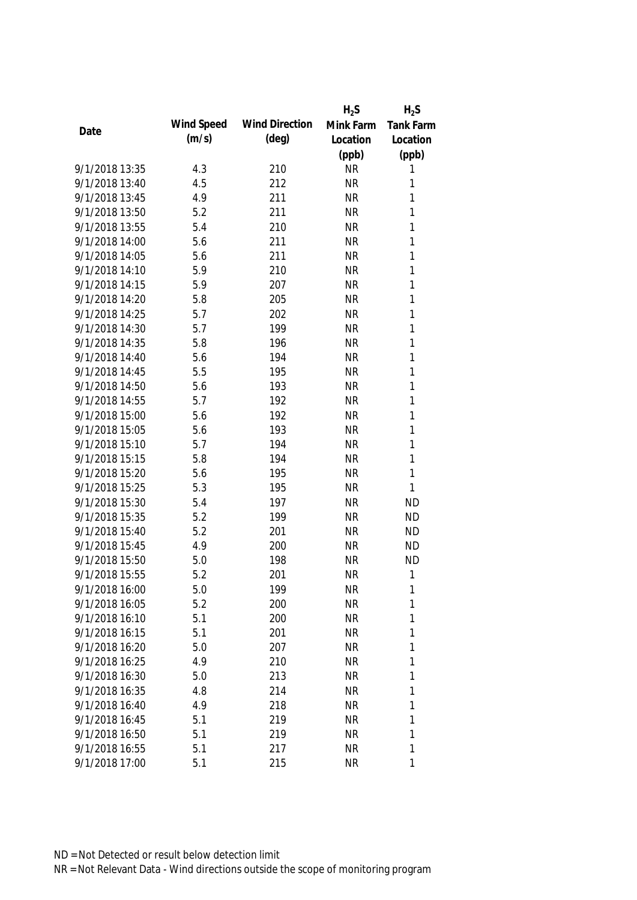|                |            |                       | $H_2S$    | $H_2S$           |
|----------------|------------|-----------------------|-----------|------------------|
|                | Wind Speed | <b>Wind Direction</b> | Mink Farm | <b>Tank Farm</b> |
| Date           | (m/s)      | (deg)                 | Location  | Location         |
|                |            |                       | (ppb)     | (ppb)            |
| 9/1/2018 13:35 | 4.3        | 210                   | <b>NR</b> | 1                |
| 9/1/2018 13:40 | 4.5        | 212                   | <b>NR</b> | 1                |
| 9/1/2018 13:45 | 4.9        | 211                   | <b>NR</b> | 1                |
| 9/1/2018 13:50 | 5.2        | 211                   | <b>NR</b> | 1                |
| 9/1/2018 13:55 | 5.4        | 210                   | <b>NR</b> | $\mathbf{1}$     |
| 9/1/2018 14:00 | 5.6        | 211                   | <b>NR</b> | 1                |
| 9/1/2018 14:05 | 5.6        | 211                   | <b>NR</b> | $\mathbf{1}$     |
| 9/1/2018 14:10 | 5.9        | 210                   | <b>NR</b> | $\mathbf{1}$     |
| 9/1/2018 14:15 | 5.9        | 207                   | <b>NR</b> | $\mathbf{1}$     |
| 9/1/2018 14:20 | 5.8        | 205                   | <b>NR</b> | 1                |
| 9/1/2018 14:25 | 5.7        | 202                   | <b>NR</b> | $\mathbf{1}$     |
| 9/1/2018 14:30 | 5.7        | 199                   | <b>NR</b> | 1                |
| 9/1/2018 14:35 | 5.8        | 196                   | <b>NR</b> | $\mathbf{1}$     |
| 9/1/2018 14:40 | 5.6        | 194                   | <b>NR</b> | $\mathbf{1}$     |
| 9/1/2018 14:45 | 5.5        | 195                   | <b>NR</b> | $\mathbf{1}$     |
| 9/1/2018 14:50 | 5.6        | 193                   | <b>NR</b> | $\mathbf{1}$     |
| 9/1/2018 14:55 | 5.7        | 192                   | <b>NR</b> | $\mathbf{1}$     |
| 9/1/2018 15:00 | 5.6        | 192                   | <b>NR</b> | $\mathbf{1}$     |
| 9/1/2018 15:05 | 5.6        | 193                   | <b>NR</b> | $\mathbf{1}$     |
| 9/1/2018 15:10 | 5.7        | 194                   | <b>NR</b> | $\mathbf{1}$     |
| 9/1/2018 15:15 | 5.8        | 194                   | <b>NR</b> | $\mathbf{1}$     |
| 9/1/2018 15:20 | 5.6        | 195                   | <b>NR</b> | $\mathbf{1}$     |
| 9/1/2018 15:25 | 5.3        | 195                   | <b>NR</b> | 1                |
| 9/1/2018 15:30 | 5.4        | 197                   | <b>NR</b> | <b>ND</b>        |
| 9/1/2018 15:35 | 5.2        | 199                   | <b>NR</b> | <b>ND</b>        |
| 9/1/2018 15:40 | 5.2        | 201                   | <b>NR</b> | <b>ND</b>        |
| 9/1/2018 15:45 | 4.9        | 200                   | <b>NR</b> | <b>ND</b>        |
| 9/1/2018 15:50 | 5.0        | 198                   | <b>NR</b> | <b>ND</b>        |
| 9/1/2018 15:55 | 5.2        | 201                   | <b>NR</b> | $\mathbf{1}$     |
| 9/1/2018 16:00 | 5.0        | 199                   | <b>NR</b> | 1                |
| 9/1/2018 16:05 | 5.2        | 200                   | <b>NR</b> | 1                |
| 9/1/2018 16:10 | 5.1        | 200                   | <b>NR</b> | 1                |
| 9/1/2018 16:15 | 5.1        | 201                   | <b>NR</b> | 1                |
| 9/1/2018 16:20 | 5.0        | 207                   | <b>NR</b> | 1                |
| 9/1/2018 16:25 | 4.9        | 210                   | <b>NR</b> | 1                |
| 9/1/2018 16:30 | 5.0        | 213                   | <b>NR</b> | 1                |
| 9/1/2018 16:35 | 4.8        | 214                   | <b>NR</b> | 1                |
| 9/1/2018 16:40 | 4.9        | 218                   | <b>NR</b> | 1                |
| 9/1/2018 16:45 | 5.1        | 219                   | <b>NR</b> | 1                |
| 9/1/2018 16:50 | 5.1        | 219                   | <b>NR</b> | 1                |
| 9/1/2018 16:55 | 5.1        | 217                   | <b>NR</b> | 1                |
| 9/1/2018 17:00 | 5.1        | 215                   | <b>NR</b> | 1                |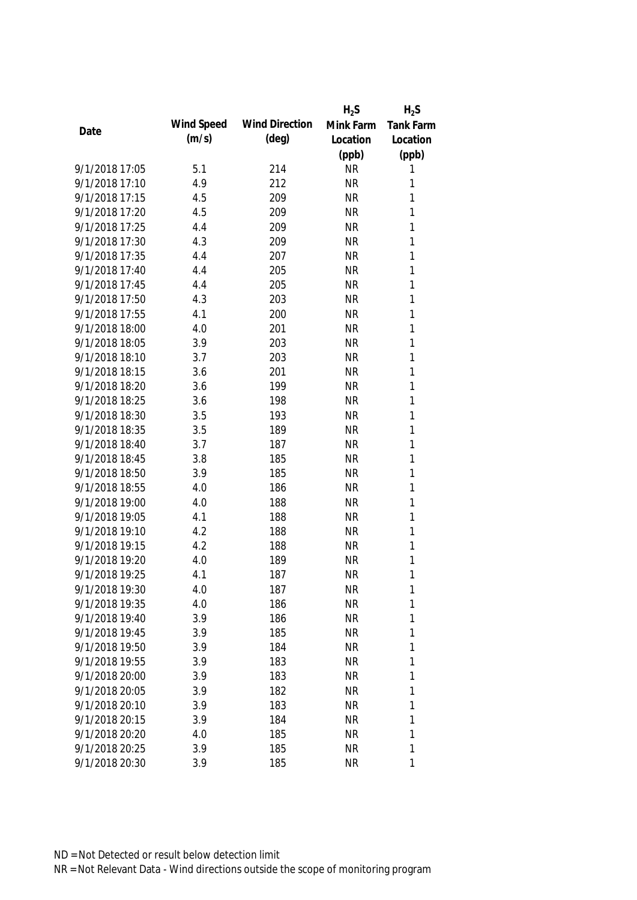|                |            |                       | $H_2S$    | $H_2S$           |
|----------------|------------|-----------------------|-----------|------------------|
|                | Wind Speed | <b>Wind Direction</b> | Mink Farm | <b>Tank Farm</b> |
| Date           | (m/s)      | $(\text{deg})$        | Location  | Location         |
|                |            |                       | (ppb)     | (ppb)            |
| 9/1/2018 17:05 | 5.1        | 214                   | <b>NR</b> | 1                |
| 9/1/2018 17:10 | 4.9        | 212                   | <b>NR</b> | 1                |
| 9/1/2018 17:15 | 4.5        | 209                   | <b>NR</b> | 1                |
| 9/1/2018 17:20 | 4.5        | 209                   | <b>NR</b> | 1                |
| 9/1/2018 17:25 | 4.4        | 209                   | <b>NR</b> | 1                |
| 9/1/2018 17:30 | 4.3        | 209                   | <b>NR</b> | 1                |
| 9/1/2018 17:35 | 4.4        | 207                   | <b>NR</b> | $\mathbf{1}$     |
| 9/1/2018 17:40 | 4.4        | 205                   | <b>NR</b> | $\mathbf{1}$     |
| 9/1/2018 17:45 | 4.4        | 205                   | <b>NR</b> | $\mathbf{1}$     |
| 9/1/2018 17:50 | 4.3        | 203                   | <b>NR</b> | 1                |
| 9/1/2018 17:55 | 4.1        | 200                   | <b>NR</b> | $\mathbf{1}$     |
| 9/1/2018 18:00 | 4.0        | 201                   | <b>NR</b> | 1                |
| 9/1/2018 18:05 | 3.9        | 203                   | <b>NR</b> | 1                |
| 9/1/2018 18:10 | 3.7        | 203                   | <b>NR</b> | $\mathbf{1}$     |
| 9/1/2018 18:15 | 3.6        | 201                   | <b>NR</b> | $\mathbf{1}$     |
| 9/1/2018 18:20 | 3.6        | 199                   | <b>NR</b> | $\mathbf{1}$     |
| 9/1/2018 18:25 | 3.6        | 198                   | <b>NR</b> | $\mathbf{1}$     |
| 9/1/2018 18:30 | 3.5        | 193                   | <b>NR</b> | $\mathbf{1}$     |
| 9/1/2018 18:35 | 3.5        | 189                   | <b>NR</b> | $\mathbf{1}$     |
| 9/1/2018 18:40 | 3.7        | 187                   | <b>NR</b> | $\mathbf{1}$     |
| 9/1/2018 18:45 | 3.8        | 185                   | <b>NR</b> | 1                |
| 9/1/2018 18:50 | 3.9        | 185                   | <b>NR</b> | $\mathbf{1}$     |
| 9/1/2018 18:55 | 4.0        | 186                   | <b>NR</b> | $\mathbf{1}$     |
| 9/1/2018 19:00 | 4.0        | 188                   | <b>NR</b> | 1                |
| 9/1/2018 19:05 | 4.1        | 188                   | <b>NR</b> | 1                |
| 9/1/2018 19:10 | 4.2        | 188                   | <b>NR</b> | 1                |
| 9/1/2018 19:15 | 4.2        | 188                   | <b>NR</b> | 1                |
| 9/1/2018 19:20 | 4.0        | 189                   | <b>NR</b> | 1                |
| 9/1/2018 19:25 | 4.1        | 187                   | <b>NR</b> | 1                |
| 9/1/2018 19:30 | 4.0        | 187                   | <b>NR</b> | 1                |
| 9/1/2018 19:35 | 4.0        | 186                   | <b>NR</b> | 1                |
| 9/1/2018 19:40 | 3.9        | 186                   | <b>NR</b> | 1                |
| 9/1/2018 19:45 | 3.9        | 185                   | <b>NR</b> | 1                |
| 9/1/2018 19:50 | 3.9        | 184                   | <b>NR</b> | 1                |
| 9/1/2018 19:55 | 3.9        | 183                   | <b>NR</b> | 1                |
| 9/1/2018 20:00 | 3.9        | 183                   | <b>NR</b> | 1                |
| 9/1/2018 20:05 | 3.9        | 182                   | <b>NR</b> | 1                |
| 9/1/2018 20:10 | 3.9        | 183                   | <b>NR</b> | 1                |
| 9/1/2018 20:15 | 3.9        | 184                   | <b>NR</b> | 1                |
| 9/1/2018 20:20 | 4.0        | 185                   | <b>NR</b> | 1                |
| 9/1/2018 20:25 | 3.9        | 185                   | <b>NR</b> | 1                |
| 9/1/2018 20:30 | 3.9        | 185                   | <b>NR</b> | 1                |